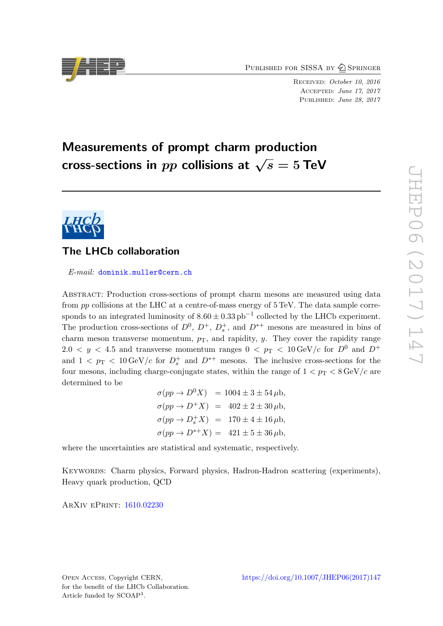PUBLISHED FOR SISSA BY 2 SPRINGER

Received: October 10, 2016 Accepted: June 17, 2017 PUBLISHED: June 28, 2017

# Measurements of prompt charm production cross-sections in  $pp$  collisions at  $\sqrt{s} = 5$  TeV



# The LHCb collaboration

E-mail: [dominik.muller@cern.ch](mailto:dominik.muller@cern.ch)

Abstract: Production cross-sections of prompt charm mesons are measured using data from pp collisions at the LHC at a centre-of-mass energy of 5 TeV. The data sample corresponds to an integrated luminosity of  $8.60 \pm 0.33$  pb<sup>-1</sup> collected by the LHCb experiment. The production cross-sections of  $D^0$ ,  $D^+$ ,  $D_s^+$ , and  $D^{*+}$  mesons are measured in bins of charm meson transverse momentum,  $p_T$ , and rapidity, y. They cover the rapidity range  $2.0 < y < 4.5$  and transverse momentum ranges  $0 < p_T < 10 \,\text{GeV}/c$  for  $D^0$  and  $D^+$ and  $1 < p_{\rm T} < 10 \,\text{GeV}/c$  for  $D_s^+$  and  $D^{*+}$  mesons. The inclusive cross-sections for the four mesons, including charge-conjugate states, within the range of  $1 < p_T < 8 \,\text{GeV}/c$  are determined to be

> $\sigma(pp \to D^0 X) = 1004 \pm 3 \pm 54 \,\mu b,$  $\sigma(pp \to D^+X) = 402 \pm 2 \pm 30 \,\mu b,$  $\sigma(pp \to D_s^+ X) = 170 \pm 4 \pm 16 \,\mu b,$  $\sigma(pp \to D^{*+}X) = 421 \pm 5 \pm 36 \,\mu b,$

where the uncertainties are statistical and systematic, respectively.

KEYWORDS: Charm physics, Forward physics, Hadron-Hadron scattering (experiments), Heavy quark production, QCD

ArXiv ePrint: [1610.02230](https://arxiv.org/abs/1610.02230)

Open Access, Copyright CERN, for the benefit of the LHCb Collaboration. Article funded by SCOAP<sup>3</sup>.

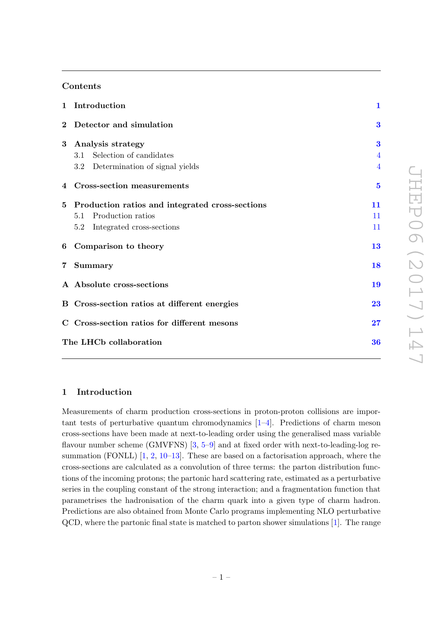### Contents

|                | 1 Introduction                                  | $\mathbf{1}$   |
|----------------|-------------------------------------------------|----------------|
| $\bf{2}$       | Detector and simulation                         | 3              |
| $\bf{3}$       | Analysis strategy                               | 3              |
|                | Selection of candidates<br>3.1                  | $\overline{4}$ |
|                | 3.2 Determination of signal yields              |                |
|                | 4 Cross-section measurements                    | $\overline{5}$ |
| 5 <sup>1</sup> | Production ratios and integrated cross-sections | 11             |
|                | Production ratios<br>5.1                        | 11             |
|                | Integrated cross-sections<br>5.2                | 11             |
| 6              | Comparison to theory                            | 13             |
| $7\,$          | <b>Summary</b>                                  | 18             |
|                | A Absolute cross-sections                       | 19             |
|                | B Cross-section ratios at different energies    | 23             |
|                | C Cross-section ratios for different mesons     | 27             |
|                | The LHCb collaboration                          | 36             |
|                |                                                 |                |

### <span id="page-1-0"></span>1 Introduction

Measurements of charm production cross-sections in proton-proton collisions are important tests of perturbative quantum chromodynamics [\[1–](#page-33-0)[4\]](#page-33-1). Predictions of charm meson cross-sections have been made at next-to-leading order using the generalised mass variable flavour number scheme (GMVFNS) [\[3,](#page-33-2) [5–](#page-33-3)[9\]](#page-33-4) and at fixed order with next-to-leading-log resummation (FONLL)  $[1, 2, 10-13]$  $[1, 2, 10-13]$  $[1, 2, 10-13]$  $[1, 2, 10-13]$  $[1, 2, 10-13]$ . These are based on a factorisation approach, where the cross-sections are calculated as a convolution of three terms: the parton distribution functions of the incoming protons; the partonic hard scattering rate, estimated as a perturbative series in the coupling constant of the strong interaction; and a fragmentation function that parametrises the hadronisation of the charm quark into a given type of charm hadron. Predictions are also obtained from Monte Carlo programs implementing NLO perturbative QCD, where the partonic final state is matched to parton shower simulations [\[1\]](#page-33-0). The range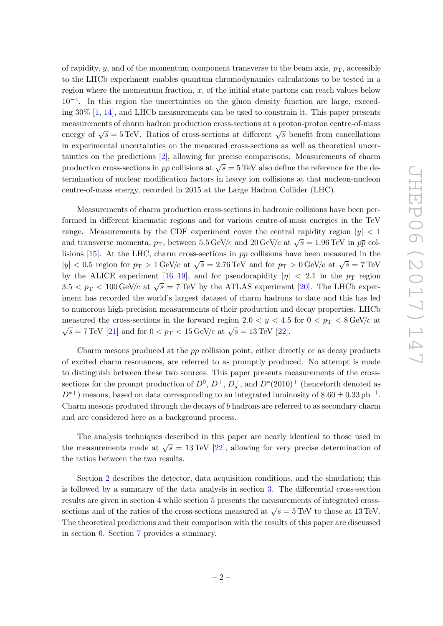of rapidity, y, and of the momentum component transverse to the beam axis,  $p<sub>T</sub>$ , accessible to the LHCb experiment enables quantum chromodynamics calculations to be tested in a region where the momentum fraction,  $x$ , of the initial state partons can reach values below 10−<sup>4</sup> . In this region the uncertainties on the gluon density function are large, exceeding 30% [\[1,](#page-33-0) [14\]](#page-33-8), and LHCb measurements can be used to constrain it. This paper presents measurements of charm hadron production cross-sections at a proton-proton centre-of-mass energy of  $\sqrt{s} = 5 \text{ TeV}$ . Ratios of cross-sections at different  $\sqrt{s}$  benefit from cancellations in experimental uncertainties on the measured cross-sections as well as theoretical uncertainties on the predictions [\[2\]](#page-33-5), allowing for precise comparisons. Measurements of charm production cross-sections in pp collisions at  $\sqrt{s} = 5 \text{ TeV}$  also define the reference for the determination of nuclear modification factors in heavy ion collisions at that nucleon-nucleon centre-of-mass energy, recorded in 2015 at the Large Hadron Collider (LHC).

Measurements of charm production cross-sections in hadronic collisions have been performed in different kinematic regions and for various centre-of-mass energies in the TeV range. Measurements by the CDF experiment cover the central rapidity region  $|y| < 1$ and transverse momenta,  $p_T$ , between 5.5 GeV/c and 20 GeV/c at  $\sqrt{s} = 1.96 \text{ TeV}$  in  $p\bar{p}$  collisions [\[15\]](#page-33-9). At the LHC, charm cross-sections in pp collisions have been measured in the |y| < 0.5 region for  $p_T > 1$  GeV/c at  $\sqrt{s} = 2.76$  TeV and for  $p_T > 0$  GeV/c at  $\sqrt{s} = 7$  TeV by the ALICE experiment [\[16](#page-33-10)[–19\]](#page-34-0), and for pseudorapidity  $|\eta| < 2.1$  in the  $p_T$  region  $3.5 < p_{\rm T} < 100 \,\text{GeV/c}$  at  $\sqrt{s} = 7 \,\text{TeV}$  by the ATLAS experiment [\[20\]](#page-34-1). The LHCb experiment has recorded the world's largest dataset of charm hadrons to date and this has led to numerous high-precision measurements of their production and decay properties. LHCb measured the cross-sections in the forward region  $2.0 < y < 4.5$  for  $0 < p_T < 8 \text{ GeV}/c$  at  $\sqrt{s} = 7 \,\text{TeV}$  [\[21\]](#page-34-2) and for  $0 < p_{\text{T}} < 15 \,\text{GeV/c}$  at  $\sqrt{s} = 13 \,\text{TeV}$  [\[22\]](#page-34-3).

Charm mesons produced at the pp collision point, either directly or as decay products of excited charm resonances, are referred to as promptly produced. No attempt is made to distinguish between these two sources. This paper presents measurements of the crosssections for the prompt production of  $D^0$ ,  $D^+$ ,  $D_s^+$ , and  $D^*(2010)^+$  (henceforth denoted as  $D^{*+}$ ) mesons, based on data corresponding to an integrated luminosity of  $8.60 \pm 0.33$  pb<sup>-1</sup>. Charm mesons produced through the decays of b hadrons are referred to as secondary charm and are considered here as a background process.

The analysis techniques described in this paper are nearly identical to those used in the measurements made at  $\sqrt{s} = 13 \,\text{TeV}$  [\[22\]](#page-34-3), allowing for very precise determination of the ratios between the two results.

Section [2](#page-3-0) describes the detector, data acquisition conditions, and the simulation; this is followed by a summary of the data analysis in section [3.](#page-3-1) The differential cross-section results are given in section [4](#page-5-0) while section [5](#page-11-0) presents the measurements of integrated crosssections and of the ratios of the cross-sections measured at  $\sqrt{s} = 5 \text{ TeV}$  to those at 13 TeV. The theoretical predictions and their comparison with the results of this paper are discussed in section [6.](#page-13-0) Section [7](#page-18-0) provides a summary.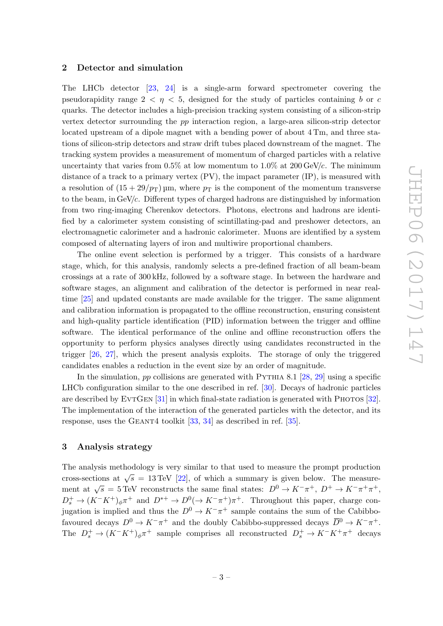### <span id="page-3-0"></span>2 Detector and simulation

The LHCb detector [\[23,](#page-34-4) [24\]](#page-34-5) is a single-arm forward spectrometer covering the pseudorapidity range  $2 < \eta < 5$ , designed for the study of particles containing b or c quarks. The detector includes a high-precision tracking system consisting of a silicon-strip vertex detector surrounding the pp interaction region, a large-area silicon-strip detector located upstream of a dipole magnet with a bending power of about 4 Tm, and three stations of silicon-strip detectors and straw drift tubes placed downstream of the magnet. The tracking system provides a measurement of momentum of charged particles with a relative uncertainty that varies from  $0.5\%$  at low momentum to  $1.0\%$  at  $200 \,\mathrm{GeV/c}$ . The minimum distance of a track to a primary vertex  $(PV)$ , the impact parameter  $IP$ ), is measured with a resolution of  $(15 + 29/p_T)$  µm, where  $p_T$  is the component of the momentum transverse to the beam, in  $GeV/c$ . Different types of charged hadrons are distinguished by information from two ring-imaging Cherenkov detectors. Photons, electrons and hadrons are identified by a calorimeter system consisting of scintillating-pad and preshower detectors, an electromagnetic calorimeter and a hadronic calorimeter. Muons are identified by a system composed of alternating layers of iron and multiwire proportional chambers.

The online event selection is performed by a trigger. This consists of a hardware stage, which, for this analysis, randomly selects a pre-defined fraction of all beam-beam crossings at a rate of 300 kHz, followed by a software stage. In between the hardware and software stages, an alignment and calibration of the detector is performed in near realtime [\[25\]](#page-34-6) and updated constants are made available for the trigger. The same alignment and calibration information is propagated to the offline reconstruction, ensuring consistent and high-quality particle identification (PID) information between the trigger and offline software. The identical performance of the online and offline reconstruction offers the opportunity to perform physics analyses directly using candidates reconstructed in the trigger [\[26,](#page-34-7) [27\]](#page-34-8), which the present analysis exploits. The storage of only the triggered candidates enables a reduction in the event size by an order of magnitude.

In the simulation, pp collisions are generated with PYTHIA 8.1  $[28, 29]$  $[28, 29]$  $[28, 29]$  using a specific LHCb configuration similar to the one described in ref. [\[30\]](#page-34-11). Decays of hadronic particles are described by EVTGEN  $[31]$  in which final-state radiation is generated with PHOTOS  $[32]$ . The implementation of the interaction of the generated particles with the detector, and its response, uses the GEANT4 toolkit  $[33, 34]$  $[33, 34]$  $[33, 34]$  as described in ref. [\[35\]](#page-34-16).

### <span id="page-3-1"></span>3 Analysis strategy

The analysis methodology is very similar to that used to measure the prompt production cross-sections at  $\sqrt{s} = 13 \text{ TeV}$  [\[22\]](#page-34-3), of which a summary is given below. The measurement at  $\sqrt{s} = 5$  TeV reconstructs the same final states:  $D^0 \to K^- \pi^+$ ,  $D^+ \to K^- \pi^+ \pi^+$ ,  $D_s^+ \to (K^-K^+)_{\phi}\pi^+$  and  $D^{*+} \to D^0(\to K^-\pi^+)\pi^+$ . Throughout this paper, charge conjugation is implied and thus the  $D^0 \to K^-\pi^+$  sample contains the sum of the Cabibbofavoured decays  $D^0 \to K^-\pi^+$  and the doubly Cabibbo-suppressed decays  $\overline{D}{}^0 \to K^-\pi^+$ . The  $D_s^+ \to (K^-K^+)_{\phi} \pi^+$  sample comprises all reconstructed  $D_s^+ \to K^-K^+\pi^+$  decays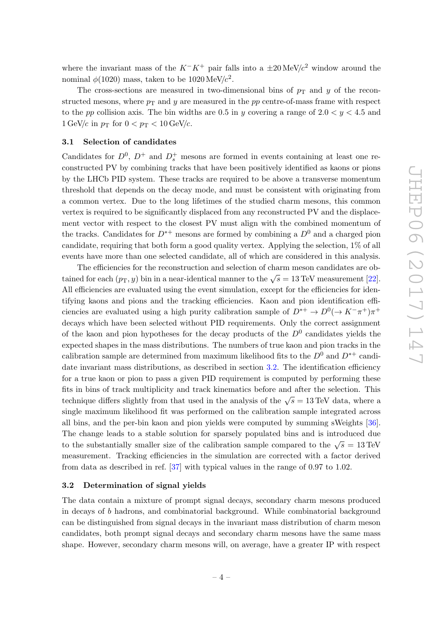where the invariant mass of the  $K^-K^+$  pair falls into a  $\pm 20 \,\text{MeV}/c^2$  window around the nominal  $\phi(1020)$  mass, taken to be  $1020 \,\mathrm{MeV}/c^2$ .

The cross-sections are measured in two-dimensional bins of  $p_T$  and y of the reconstructed mesons, where  $p_T$  and y are measured in the pp centre-of-mass frame with respect to the pp collision axis. The bin widths are 0.5 in y covering a range of  $2.0 < y < 4.5$  and  $1 \text{ GeV}/c$  in  $p_T$  for  $0 < p_T < 10 \text{ GeV}/c$ .

### <span id="page-4-0"></span>3.1 Selection of candidates

Candidates for  $D^0$ ,  $D^+$  and  $D_s^+$  mesons are formed in events containing at least one reconstructed PV by combining tracks that have been positively identified as kaons or pions by the LHCb PID system. These tracks are required to be above a transverse momentum threshold that depends on the decay mode, and must be consistent with originating from a common vertex. Due to the long lifetimes of the studied charm mesons, this common vertex is required to be significantly displaced from any reconstructed PV and the displacement vector with respect to the closest PV must align with the combined momentum of the tracks. Candidates for  $D^{*+}$  mesons are formed by combining a  $D^0$  and a charged pion candidate, requiring that both form a good quality vertex. Applying the selection, 1% of all events have more than one selected candidate, all of which are considered in this analysis.

The efficiencies for the reconstruction and selection of charm meson candidates are obtained for each  $(p_T, y)$  bin in a near-identical manner to the  $\sqrt{s} = 13 \,\text{TeV}$  measurement [\[22\]](#page-34-3). All efficiencies are evaluated using the event simulation, except for the efficiencies for identifying kaons and pions and the tracking efficiencies. Kaon and pion identification efficiencies are evaluated using a high purity calibration sample of  $D^{*+} \to D^0(\to K^- \pi^+) \pi^+$ decays which have been selected without PID requirements. Only the correct assignment of the kaon and pion hypotheses for the decay products of the  $D^0$  candidates yields the expected shapes in the mass distributions. The numbers of true kaon and pion tracks in the calibration sample are determined from maximum likelihood fits to the  $D^0$  and  $D^{*+}$  candi-date invariant mass distributions, as described in section [3.2.](#page-4-1) The identification efficiency for a true kaon or pion to pass a given PID requirement is computed by performing these fits in bins of track multiplicity and track kinematics before and after the selection. This technique differs slightly from that used in the analysis of the  $\sqrt{s} = 13 \text{ TeV}$  data, where a single maximum likelihood fit was performed on the calibration sample integrated across all bins, and the per-bin kaon and pion yields were computed by summing sWeights [\[36\]](#page-34-17). The change leads to a stable solution for sparsely populated bins and is introduced due to the substantially smaller size of the calibration sample compared to the  $\sqrt{s} = 13 \text{ TeV}$ measurement. Tracking efficiencies in the simulation are corrected with a factor derived from data as described in ref. [\[37\]](#page-35-0) with typical values in the range of 0.97 to 1.02.

### <span id="page-4-1"></span>3.2 Determination of signal yields

The data contain a mixture of prompt signal decays, secondary charm mesons produced in decays of b hadrons, and combinatorial background. While combinatorial background can be distinguished from signal decays in the invariant mass distribution of charm meson candidates, both prompt signal decays and secondary charm mesons have the same mass shape. However, secondary charm mesons will, on average, have a greater IP with respect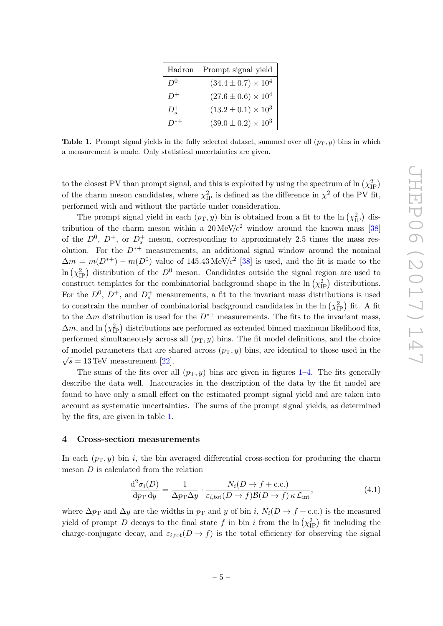| Hadron        | Prompt signal yield          |
|---------------|------------------------------|
| $D^0$         | $(34.4 \pm 0.7) \times 10^4$ |
|               | $(27.6 \pm 0.6) \times 10^4$ |
| $D_{\circ}^+$ | $(13.2 \pm 0.1) \times 10^3$ |
|               | $(39.0 \pm 0.2) \times 10^3$ |

<span id="page-5-1"></span>Table 1. Prompt signal yields in the fully selected dataset, summed over all  $(p_T, y)$  bins in which a measurement is made. Only statistical uncertainties are given.

to the closest PV than prompt signal, and this is exploited by using the spectrum of  $\ln(\chi_{\rm IP}^2)$ of the charm meson candidates, where  $\chi_{\text{IP}}^2$  is defined as the difference in  $\chi^2$  of the PV fit, performed with and without the particle under consideration.

The prompt signal yield in each  $(p_T, y)$  bin is obtained from a fit to the  $\ln(\chi_{IP}^2)$  distribution of the charm meson within a  $20 \text{ MeV}/c^2$  window around the known mass [\[38\]](#page-35-1) of the  $D^0$ ,  $D^+$ , or  $D_s^+$  meson, corresponding to approximately 2.5 times the mass resolution. For the  $D^{*+}$  measurements, an additional signal window around the nominal  $\Delta m = m(D^{*+}) - m(D^0)$  value of 145.43 MeV/c<sup>2</sup> [\[38\]](#page-35-1) is used, and the fit is made to the ln  $(\chi_{\text{IP}}^2)$  distribution of the  $D^0$  meson. Candidates outside the signal region are used to construct templates for the combinatorial background shape in the  $\ln(\chi_{\rm IP}^2)$  distributions. For the  $D^0$ ,  $D^+$ , and  $D_s^+$  measurements, a fit to the invariant mass distributions is used to constrain the number of combinatorial background candidates in the  $\ln(\chi_{\mathrm{IP}}^2)$  fit. A fit to the  $\Delta m$  distribution is used for the  $D^{*+}$  measurements. The fits to the invariant mass,  $\Delta m$ , and ln  $(\chi_{\mathrm{IP}}^2)$  distributions are performed as extended binned maximum likelihood fits, performed simultaneously across all  $(p_T, y)$  bins. The fit model definitions, and the choice of model parameters that are shared across  $(p_T, y)$  bins, are identical to those used in the  $\sqrt{s} = 13 \text{ TeV}$  measurement [\[22\]](#page-34-3).

The sums of the fits over all  $(p_T, y)$  bins are given in figures [1–](#page-6-0)[4.](#page-7-0) The fits generally describe the data well. Inaccuracies in the description of the data by the fit model are found to have only a small effect on the estimated prompt signal yield and are taken into account as systematic uncertainties. The sums of the prompt signal yields, as determined by the fits, are given in table [1.](#page-5-1)

### <span id="page-5-0"></span>4 Cross-section measurements

In each  $(p_T, y)$  bin i, the bin averaged differential cross-section for producing the charm meson  $D$  is calculated from the relation

$$
\frac{\mathrm{d}^2 \sigma_i(D)}{\mathrm{d}p_{\mathrm{T}} \,\mathrm{d}y} = \frac{1}{\Delta p_{\mathrm{T}} \Delta y} \cdot \frac{N_i(D \to f + \mathrm{c.c.})}{\varepsilon_{i,\mathrm{tot}}(D \to f)\mathcal{B}(D \to f)\,\kappa \,\mathcal{L}_{\mathrm{int}}},\tag{4.1}
$$

where  $\Delta p_T$  and  $\Delta y$  are the widths in  $p_T$  and y of bin i,  $N_i(D \to f + \text{c.c.})$  is the measured yield of prompt D decays to the final state f in bin i from the  $\ln(\chi_{\text{IP}}^2)$  fit including the charge-conjugate decay, and  $\varepsilon_{i,tot}(D \to f)$  is the total efficiency for observing the signal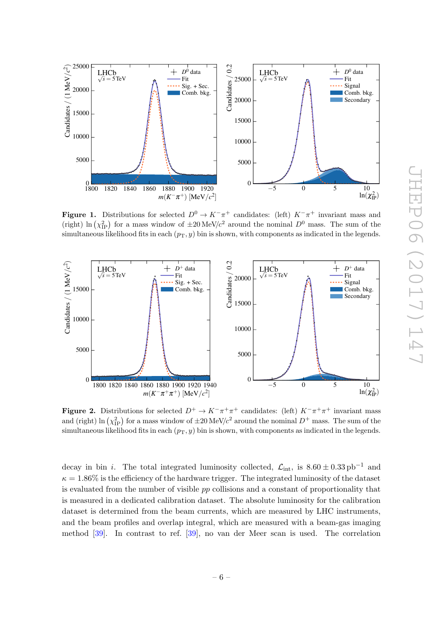<span id="page-6-0"></span>

**Figure 1.** Distributions for selected  $D^0 \to K^-\pi^+$  candidates: (left)  $K^-\pi^+$  invariant mass and (right) ln  $(\chi^2_{\text{IP}})$  for a mass window of  $\pm 20 \,\text{MeV}/c^2$  around the nominal  $D^0$  mass. The sum of the simultaneous likelihood fits in each  $(p_T, y)$  bin is shown, with components as indicated in the legends.



**Figure 2.** Distributions for selected  $D^+ \to K^-\pi^+\pi^+$  candidates: (left)  $K^-\pi^+\pi^+$  invariant mass and (right) ln  $(\chi_{IP}^2)$  for a mass window of  $\pm 20$  MeV/ $c^2$  around the nominal  $D^+$  mass. The sum of the simultaneous likelihood fits in each  $(p_T, y)$  bin is shown, with components as indicated in the legends.

decay in bin *i*. The total integrated luminosity collected,  $\mathcal{L}_{int}$ , is  $8.60 \pm 0.33$  pb<sup>-1</sup> and  $\kappa = 1.86\%$  is the efficiency of the hardware trigger. The integrated luminosity of the dataset is evaluated from the number of visible pp collisions and a constant of proportionality that is measured in a dedicated calibration dataset. The absolute luminosity for the calibration dataset is determined from the beam currents, which are measured by LHC instruments, and the beam profiles and overlap integral, which are measured with a beam-gas imaging method [\[39\]](#page-35-2). In contrast to ref. [\[39\]](#page-35-2), no van der Meer scan is used. The correlation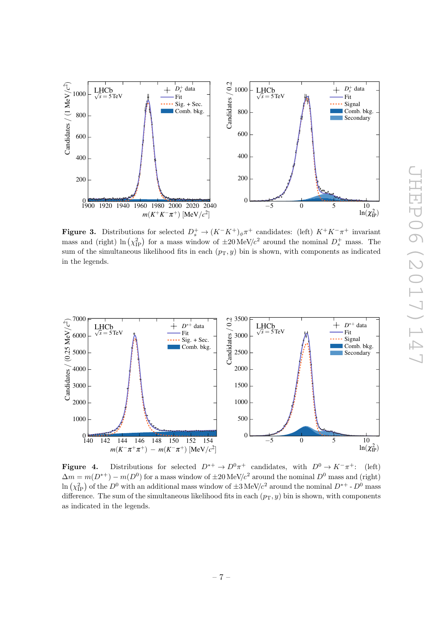

**Figure 3.** Distributions for selected  $D_s^+ \to (K^-K^+)\phi\pi^+$  candidates: (left)  $K^+K^-\pi^+$  invariant mass and (right)  $\ln(\chi_{IP}^2)$  for a mass window of  $\pm 20 \,\text{MeV}/c^2$  around the nominal  $D_s^+$  mass. The sum of the simultaneous likelihood fits in each  $(p_T, y)$  bin is shown, with components as indicated in the legends.

<span id="page-7-0"></span>

**Figure 4.** Distributions for selected  $D^{*+} \to D^0 \pi^+$  candidates, with  $D^0 \to K^- \pi^+$ : (left)  $\Delta m = m(D^{*+}) - m(D^0)$  for a mass window of  $\pm 20 \text{ MeV}/c^2$  around the nominal  $D^0$  mass and (right) ln  $(\chi^2_{\rm IP})$  of the  $D^0$  with an additional mass window of  $\pm 3$  MeV/c<sup>2</sup> around the nominal  $D^{*+}$  -  $D^0$  mass difference. The sum of the simultaneous likelihood fits in each  $(p_T, y)$  bin is shown, with components as indicated in the legends.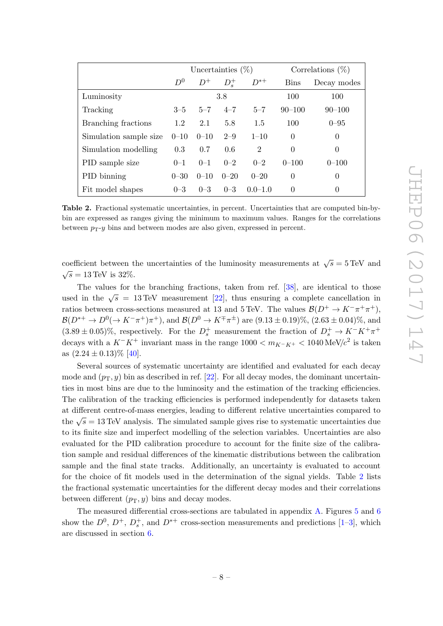<span id="page-8-0"></span>

|                        |          | Uncertainties $(\%)$ |               |                |             | Correlations $(\%)$ |
|------------------------|----------|----------------------|---------------|----------------|-------------|---------------------|
|                        | $D^0$    | $D^+$                | $D_{\rm s}^+$ | $D^{*+}$       | <b>Bins</b> | Decay modes         |
| Luminosity             |          |                      | 3.8           |                | 100         | 100                 |
| Tracking               | $3 - 5$  | $5 - 7$              | $4 - 7$       | $5 - 7$        | $90 - 100$  | $90 - 100$          |
| Branching fractions    | 1.2      | 2.1                  | 5.8           | 1.5            | 100         | $0 - 95$            |
| Simulation sample size | $0 - 10$ | $0 - 10$             | $2 - 9$       | $1 - 10$       | $\theta$    | 0                   |
| Simulation modelling   | 0.3      | 0.7                  | 0.6           | $\overline{2}$ | $\theta$    | $\theta$            |
| PID sample size        | $0 - 1$  | $0 - 1$              | $0 - 2$       | $0 - 2$        | $0 - 100$   | $0 - 100$           |
| PID binning            | $0 - 30$ | $0 - 10$             | $0 - 20$      | $0 - 20$       | $\theta$    | $\theta$            |
| Fit model shapes       | $0 - 3$  | $0 - 3$              | $0 - 3$       | $0.0 - 1.0$    | $\theta$    | 0                   |

Table 2. Fractional systematic uncertainties, in percent. Uncertainties that are computed bin-bybin are expressed as ranges giving the minimum to maximum values. Ranges for the correlations between  $p_T-y$  bins and between modes are also given, expressed in percent.

coefficient between the uncertainties of the luminosity measurements at  $\sqrt{s} = 5 \,\text{TeV}$  and  $\sqrt{s} = 13 \,\text{TeV}$  is 32%.

The values for the branching fractions, taken from ref. [\[38\]](#page-35-1), are identical to those used in the  $\sqrt{s}$  = 13 TeV measurement [\[22\]](#page-34-3), thus ensuring a complete cancellation in ratios between cross-sections measured at 13 and 5 TeV. The values  $\mathcal{B}(D^+ \to K^-\pi^+\pi^+)$ ,  $\mathcal{B}(D^{*+} \to D^0 (\to K^- \pi^+) \pi^+)$ , and  $\mathcal{B}(D^0 \to K^{\mp} \pi^{\pm})$  are  $(9.13 \pm 0.19)\%$ ,  $(2.63 \pm 0.04)\%$ , and  $(3.89 \pm 0.05)\%$ , respectively. For the  $D_s^+$  measurement the fraction of  $D_s^+ \to K^-K^+\pi^+$ decays with a  $K^-K^+$  invariant mass in the range  $1000 < m_{K^-K^+} < 1040 \text{ MeV}/c^2$  is taken as  $(2.24 \pm 0.13)\%$  [\[40\]](#page-35-3).

Several sources of systematic uncertainty are identified and evaluated for each decay mode and  $(p_T, y)$  bin as described in ref. [\[22\]](#page-34-3). For all decay modes, the dominant uncertainties in most bins are due to the luminosity and the estimation of the tracking efficiencies. The calibration of the tracking efficiencies is performed independently for datasets taken at different centre-of-mass energies, leading to different relative uncertainties compared to the  $\sqrt{s} = 13 \text{ TeV}$  analysis. The simulated sample gives rise to systematic uncertainties due to its finite size and imperfect modelling of the selection variables. Uncertainties are also evaluated for the PID calibration procedure to account for the finite size of the calibration sample and residual differences of the kinematic distributions between the calibration sample and the final state tracks. Additionally, an uncertainty is evaluated to account for the choice of fit models used in the determination of the signal yields. Table [2](#page-8-0) lists the fractional systematic uncertainties for the different decay modes and their correlations between different  $(p_T, y)$  bins and decay modes.

The measured differential cross-sections are tabulated in appendix [A.](#page-19-0) Figures [5](#page-9-0) and [6](#page-10-0) show the  $D^0$ ,  $D^+$ ,  $D_s^+$ , and  $D^{*+}$  cross-section measurements and predictions [\[1](#page-33-0)[–3\]](#page-33-2), which are discussed in section [6.](#page-13-0)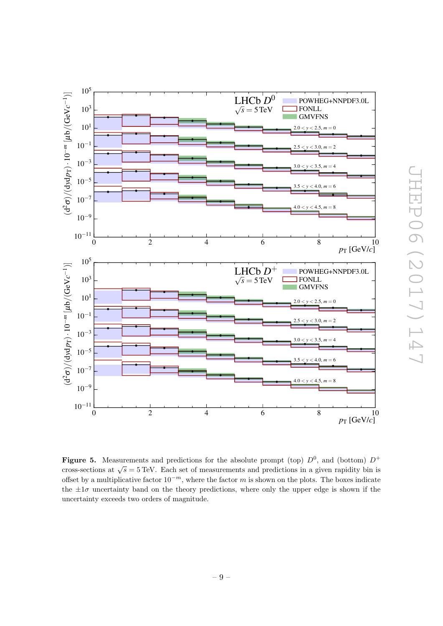<span id="page-9-0"></span>

Figure 5. Measurements and predictions for the absolute prompt (top)  $D^0$ , and (bottom)  $D^+$ cross-sections at  $\sqrt{s} = 5 \text{ TeV}$ . Each set of measurements and predictions in a given rapidity bin is offset by a multiplicative factor  $10^{-m}$ , where the factor m is shown on the plots. The boxes indicate the  $\pm 1\sigma$  uncertainty band on the theory predictions, where only the upper edge is shown if the uncertainty exceeds two orders of magnitude.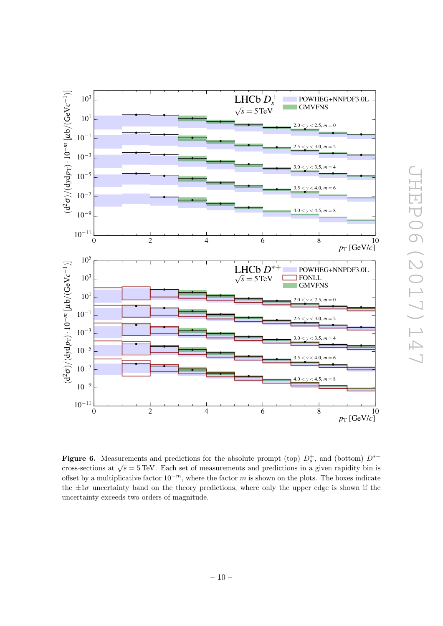<span id="page-10-0"></span>

**Figure 6.** Measurements and predictions for the absolute prompt (top)  $D_s^+$ , and (bottom)  $D^{*+}$ cross-sections at  $\sqrt{s} = 5 \text{ TeV}$ . Each set of measurements and predictions in a given rapidity bin is offset by a multiplicative factor  $10^{-m}$ , where the factor m is shown on the plots. The boxes indicate the  $\pm 1\sigma$  uncertainty band on the theory predictions, where only the upper edge is shown if the uncertainty exceeds two orders of magnitude.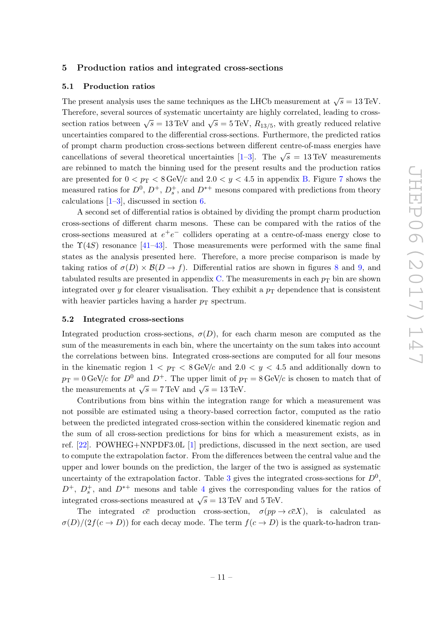### <span id="page-11-0"></span>5 Production ratios and integrated cross-sections

### <span id="page-11-1"></span>5.1 Production ratios

The present analysis uses the same techniques as the LHCb measurement at  $\sqrt{s} = 13 \,\text{TeV}$ . Therefore, several sources of systematic uncertainty are highly correlated, leading to crosssection ratios between  $\sqrt{s} = 13 \,\text{TeV}$  and  $\sqrt{s} = 5 \,\text{TeV}$ ,  $R_{13/5}$ , with greatly reduced relative uncertainties compared to the differential cross-sections. Furthermore, the predicted ratios of prompt charm production cross-sections between different centre-of-mass energies have cancellations of several theoretical uncertainties  $[1-3]$  $[1-3]$ . The  $\sqrt{s} = 13 \text{ TeV}$  measurements are rebinned to match the binning used for the present results and the production ratios are presented for  $0 < p_T < 8 \text{ GeV}/c$  and  $2.0 < y < 4.5$  in appendix [B.](#page-23-0) Figure [7](#page-14-0) shows the measured ratios for  $D^0$ ,  $D^+$ ,  $D_s^+$ , and  $D^{*+}$  mesons compared with predictions from theory calculations [\[1](#page-33-0)[–3\]](#page-33-2), discussed in section [6.](#page-13-0)

A second set of differential ratios is obtained by dividing the prompt charm production cross-sections of different charm mesons. These can be compared with the ratios of the cross-sections measured at  $e^+e^-$  colliders operating at a centre-of-mass energy close to the  $\Upsilon(4S)$  resonance [\[41](#page-35-4)[–43\]](#page-35-5). Those measurements were performed with the same final states as the analysis presented here. Therefore, a more precise comparison is made by taking ratios of  $\sigma(D) \times \mathcal{B}(D \to f)$ . Differential ratios are shown in figures [8](#page-15-0) and [9,](#page-16-0) and tabulated results are presented in appendix [C.](#page-27-0) The measurements in each  $p<sub>T</sub>$  bin are shown integrated over y for clearer visualisation. They exhibit a  $p<sub>T</sub>$  dependence that is consistent with heavier particles having a harder  $p<sub>T</sub>$  spectrum.

### <span id="page-11-2"></span>5.2 Integrated cross-sections

Integrated production cross-sections,  $\sigma(D)$ , for each charm meson are computed as the sum of the measurements in each bin, where the uncertainty on the sum takes into account the correlations between bins. Integrated cross-sections are computed for all four mesons in the kinematic region  $1 < p_T < 8 \,\text{GeV}/c$  and  $2.0 < y < 4.5$  and additionally down to  $p_T = 0$  GeV/c for  $D^0$  and  $D^+$ . The upper limit of  $p_T = 8$  GeV/c is chosen to match that of the measurements at  $\sqrt{s} = 7 \,\text{TeV}$  and  $\sqrt{s} = 13 \,\text{TeV}$ .

Contributions from bins within the integration range for which a measurement was not possible are estimated using a theory-based correction factor, computed as the ratio between the predicted integrated cross-section within the considered kinematic region and the sum of all cross-section predictions for bins for which a measurement exists, as in ref. [\[22\]](#page-34-3). POWHEG+NNPDF3.0L [\[1\]](#page-33-0) predictions, discussed in the next section, are used to compute the extrapolation factor. From the differences between the central value and the upper and lower bounds on the prediction, the larger of the two is assigned as systematic uncertainty of the extrapolation factor. Table [3](#page-12-0) gives the integrated cross-sections for  $D^0$ ,  $D^+$ ,  $D_s^+$ , and  $D^{*+}$  mesons and table [4](#page-13-1) gives the corresponding values for the ratios of integrated cross-sections measured at  $\sqrt{s} = 13 \,\text{TeV}$  and 5 TeV.

The integrated  $c\bar{c}$  production cross-section,  $\sigma(pp \to c\bar{c}X)$ , is calculated as  $\sigma(D)/(2f(c \to D))$  for each decay mode. The term  $f(c \to D)$  is the quark-to-hadron tran-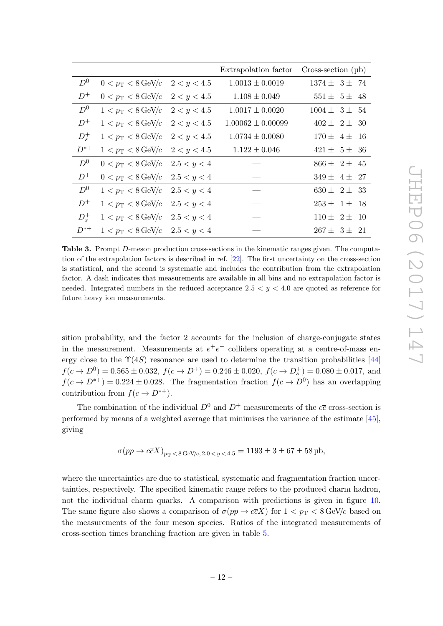<span id="page-12-0"></span>

|               |                                                  |             | Extrapolation factor  | $Cross-section (\mu b)$ |
|---------------|--------------------------------------------------|-------------|-----------------------|-------------------------|
| $D^0$         | $0 < p_{\rm T} < 8 \,\text{GeV}/c$               | 2 < y < 4.5 | $1.0013 \pm 0.0019$   | $1374 \pm 3 \pm 74$     |
| $D^+$         | $0 < p_{\rm T} < 8 \,\text{GeV}/c$               | 2 < y < 4.5 | $1.108 \pm 0.049$     | $551 \pm 5 \pm 48$      |
| $D^0$         | $1 < p_{\rm T} < 8 \,\text{GeV}/c$               | 2 < y < 4.5 | $1.0017 \pm 0.0020$   | $1004 \pm 3 \pm 54$     |
| $D^+$         | $1 < p_{\rm T} < 8 \,\text{GeV}/c$               | 2 < y < 4.5 | $1.00062 \pm 0.00099$ | $402 \pm 2 \pm 30$      |
| $D_{\rm s}^+$ | $1 < p_{\rm T} < 8 \,\text{GeV}/c$               | 2 < y < 4.5 | $1.0734 \pm 0.0080$   | $170 \pm 4 \pm 16$      |
| $D^{*+}$      | $1 < p_{\rm T} < 8 \,\text{GeV}/c$               | 2 < y < 4.5 | $1.122 \pm 0.046$     | $421 \pm 5 \pm 36$      |
| $D^0$         | $0 < p_{\rm T} < 8 \,\text{GeV}/c$               | 2.5 < y < 4 |                       | $866 \pm 2 \pm 45$      |
| $D^+$         | $0 < p_{\rm T} < 8 \,\text{GeV}/c$               | 2.5 < y < 4 |                       | $349 \pm 4 \pm 27$      |
| $D^0$         | $1 < p_T < 8$ GeV/c                              | 2.5 < y < 4 |                       | $630 \pm 2 \pm 33$      |
| $D^+$         | $1 < p_{\rm T} < 8 \,\text{GeV}/c$               | 2.5 < y < 4 |                       | $253 \pm 1 \pm 18$      |
| $D_{\rm s}^+$ | $1 < p_{\rm T} < 8 \,\text{GeV}/c$               | 2.5 < y < 4 |                       | $110 \pm 2 \pm 10$      |
| $D^{*+}$      | $1 < p_{\rm T} < 8 \,\text{GeV}/c$ $2.5 < y < 4$ |             |                       | $267 \pm 3 \pm 21$      |

Table 3. Prompt D-meson production cross-sections in the kinematic ranges given. The computation of the extrapolation factors is described in ref. [\[22\]](#page-34-3). The first uncertainty on the cross-section is statistical, and the second is systematic and includes the contribution from the extrapolation factor. A dash indicates that measurements are available in all bins and no extrapolation factor is needed. Integrated numbers in the reduced acceptance  $2.5 < y < 4.0$  are quoted as reference for future heavy ion measurements.

sition probability, and the factor 2 accounts for the inclusion of charge-conjugate states in the measurement. Measurements at  $e^+e^-$  colliders operating at a centre-of-mass energy close to the  $\Upsilon(4S)$  resonance are used to determine the transition probabilities [\[44\]](#page-35-6)  $f(c \to D^0) = 0.565 \pm 0.032$ ,  $f(c \to D^+) = 0.246 \pm 0.020$ ,  $f(c \to D_s^+) = 0.080 \pm 0.017$ , and  $f(c \to D^{*+}) = 0.224 \pm 0.028$ . The fragmentation fraction  $f(c \to D^0)$  has an overlapping contribution from  $f(c \to D^{*+})$ .

The combination of the individual  $D^0$  and  $D^+$  measurements of the  $c\bar{c}$  cross-section is performed by means of a weighted average that minimises the variance of the estimate [\[45\]](#page-35-7), giving

$$
\sigma(pp \to c\bar{c}X)_{p_T < 8 \,\text{GeV}/c, 2.0 \,
$$

where the uncertainties are due to statistical, systematic and fragmentation fraction uncertainties, respectively. The specified kinematic range refers to the produced charm hadron, not the individual charm quarks. A comparison with predictions is given in figure [10.](#page-17-0) The same figure also shows a comparison of  $\sigma(pp \to c\bar{c}X)$  for  $1 < p_T < 8 \text{ GeV}/c$  based on the measurements of the four meson species. Ratios of the integrated measurements of cross-section times branching fraction are given in table [5.](#page-13-2)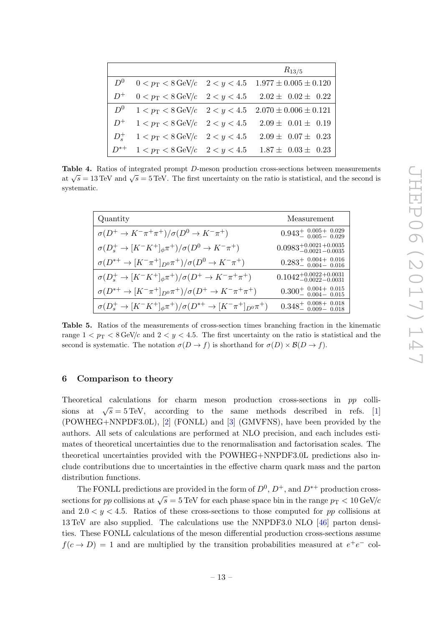<span id="page-13-1"></span>

|                 |                                                  | $R_{13/5}$                                                                |
|-----------------|--------------------------------------------------|---------------------------------------------------------------------------|
| $D^0$           |                                                  | $0 < p_T < 8 \,\text{GeV}/c$ $2 < y < 4.5$ $1.977 \pm 0.005 \pm 0.120$    |
| $D^+$           |                                                  | $0 < p_{\rm T} < 8 \,\text{GeV}/c$ $2 < y < 4.5$ $2.02 \pm 0.02 \pm 0.22$ |
|                 |                                                  | $D^0$ $1 < p_T < 8$ GeV/c $2 < y < 4.5$ $2.070 \pm 0.006 \pm 0.121$       |
|                 |                                                  | $D^+$ 1 < $p_T < 8 \text{ GeV}/c$ 2 < $y < 4.5$ 2.09 ± 0.01 ± 0.19        |
| $D_{\circ}^{+}$ | $1 < p_{\rm T} < 8 \,\text{GeV}/c$ $2 < y < 4.5$ | $2.09 \pm 0.07 \pm 0.23$                                                  |
| $D^{*+}$        | $1 < p_{\rm T} < 8 \,\text{GeV}/c$ $2 < y < 4.5$ | $1.87 \pm 0.03 \pm 0.23$                                                  |

Table 4. Ratios of integrated prompt D-meson production cross-sections between measurements at  $\sqrt{s} = 13 \text{ TeV}$  and  $\sqrt{s} = 5 \text{ TeV}$ . The first uncertainty on the ratio is statistical, and the second is systematic.

<span id="page-13-2"></span>

| Quantity                                                                               | Measurement                                |
|----------------------------------------------------------------------------------------|--------------------------------------------|
| $\sigma(D^+\to K^-\pi^+\pi^+)/\sigma(D^0\to K^-\pi^+)$                                 | $0.943^{+0.005+0.029}_{-0.005-0.029}$      |
| $\sigma(D_s^+ \to [K^-K^+]_\phi \pi^+)/\sigma(D^0 \to K^-\pi^+)$                       | $0.0983_{-0.0021}^{+0.0021}$ +0.0035       |
| $\sigma(D^{*+}\rightarrow [K^-\pi^+]_{D^0}\pi^+)/\sigma(D^0\rightarrow K^-\pi^+)$      | $0.283^{+0.004+0.016}_{-0.004-0.016}$      |
| $\sigma(D_s^+\to [K^-K^+]_{\phi}\pi^+)/\sigma(D^+\to K^-\pi^+\pi^+)$                   | $0.1042^{+0.0022+0.0031}_{-0.0022-0.0031}$ |
| $\sigma(D^{*+}\rightarrow [K^-\pi^+]_{D^0}\pi^+)/\sigma(D^+\rightarrow K^-\pi^+\pi^+)$ | $0.300^{+0.004+0.015}_{-0.004-0.015}$      |
| $\sigma(D_s^+ \to [K^-K^+]_{\phi} \pi^+)/\sigma(D^{*+} \to [K^-\pi^+]_{D^0} \pi^+)$    | $0.348^{+0.008+0.018}_{-0.009-0.018}$      |

Table 5. Ratios of the measurements of cross-section times branching fraction in the kinematic range  $1 < p_T < 8 \text{ GeV}/c$  and  $2 < y < 4.5$ . The first uncertainty on the ratio is statistical and the second is systematic. The notation  $\sigma(D \to f)$  is shorthand for  $\sigma(D) \times \mathcal{B}(D \to f)$ .

### <span id="page-13-0"></span>6 Comparison to theory

Theoretical calculations for charm meson production cross-sections in pp collisions at  $\sqrt{s} = 5 \,\text{TeV}$ , according to the same methods described in refs. [\[1\]](#page-33-0) (POWHEG+NNPDF3.0L), [\[2\]](#page-33-5) (FONLL) and [\[3\]](#page-33-2) (GMVFNS), have been provided by the authors. All sets of calculations are performed at NLO precision, and each includes estimates of theoretical uncertainties due to the renormalisation and factorisation scales. The theoretical uncertainties provided with the POWHEG+NNPDF3.0L predictions also include contributions due to uncertainties in the effective charm quark mass and the parton distribution functions.

The FONLL predictions are provided in the form of  $D^0$ ,  $D^+$ , and  $D^{*+}$  production crosssections for pp collisions at  $\sqrt{s} = 5 \text{ TeV}$  for each phase space bin in the range  $p_T < 10 \text{ GeV}/c$ and  $2.0 < y < 4.5$ . Ratios of these cross-sections to those computed for pp collisions at 13 TeV are also supplied. The calculations use the NNPDF3.0 NLO [\[46\]](#page-35-8) parton densities. These FONLL calculations of the meson differential production cross-sections assume  $f(c \to D) = 1$  and are multiplied by the transition probabilities measured at  $e^+e^-$  col-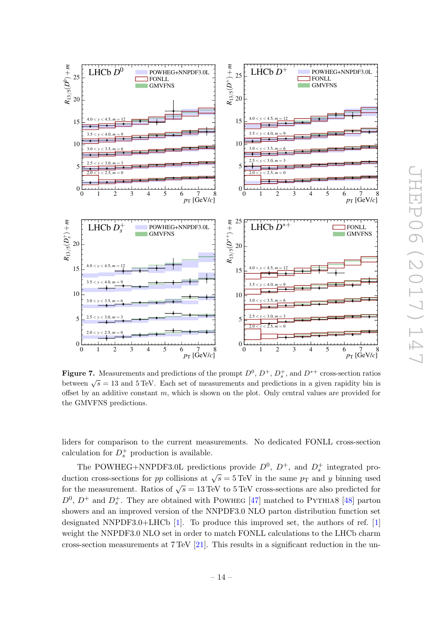<span id="page-14-0"></span>

**Figure 7.** Measurements and predictions of the prompt  $D^0$ ,  $D^+$ ,  $D_s^+$ , and  $D^{*+}$  cross-section ratios between  $\sqrt{s} = 13$  and 5 TeV. Each set of measurements and predictions in a given rapidity bin is offset by an additive constant  $m$ , which is shown on the plot. Only central values are provided for the GMVFNS predictions.

liders for comparison to the current measurements. No dedicated FONLL cross-section calculation for  $D_s^+$  production is available.

The POWHEG+NNPDF3.0L predictions provide  $D^0$ ,  $D^+$ , and  $D_s^+$  integrated production cross-sections for pp collisions at  $\sqrt{s} = 5 \,\text{TeV}$  in the same  $p_T$  and y binning used for the measurement. Ratios of  $\sqrt{s} = 13 \text{ TeV}$  to 5 TeV cross-sections are also predicted for  $D^0$ ,  $D^+$  and  $D_s^+$ . They are obtained with POWHEG [\[47\]](#page-35-9) matched to PYTHIA8 [\[48\]](#page-35-10) parton showers and an improved version of the NNPDF3.0 NLO parton distribution function set designated NNPDF3.0+LHCb [\[1\]](#page-33-0). To produce this improved set, the authors of ref. [\[1\]](#page-33-0) weight the NNPDF3.0 NLO set in order to match FONLL calculations to the LHCb charm cross-section measurements at 7 TeV [\[21\]](#page-34-2). This results in a significant reduction in the un-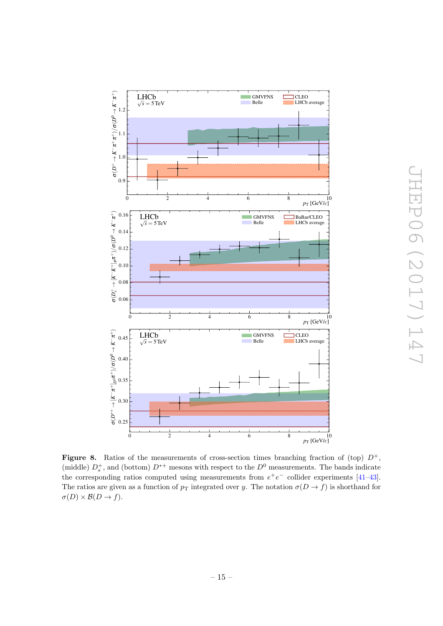<span id="page-15-0"></span>

**Figure 8.** Ratios of the measurements of cross-section times branching fraction of (top)  $D^+$ , (middle)  $D_s^+$ , and (bottom)  $D^{*+}$  mesons with respect to the  $D^0$  measurements. The bands indicate the corresponding ratios computed using measurements from  $e^+e^-$  collider experiments [\[41](#page-35-4)[–43\]](#page-35-5). The ratios are given as a function of  $p_T$  integrated over y. The notation  $\sigma(D \to f)$  is shorthand for  $\sigma(D) \times \mathcal{B}(D \to f).$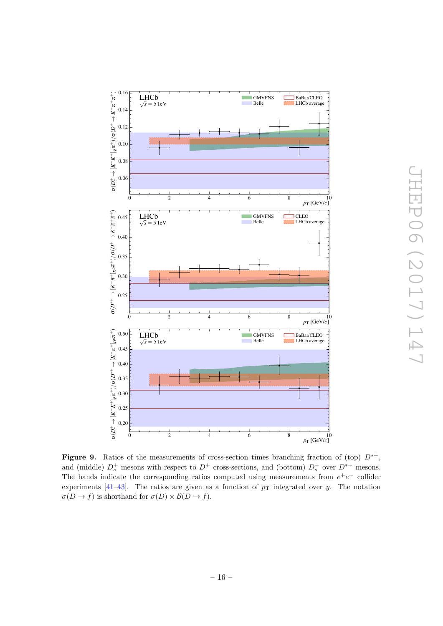<span id="page-16-0"></span>

Figure 9. Ratios of the measurements of cross-section times branching fraction of (top)  $D^{*+}$ , and (middle)  $D_s^+$  mesons with respect to  $D^+$  cross-sections, and (bottom)  $D_s^+$  over  $D^{*+}$  mesons. The bands indicate the corresponding ratios computed using measurements from  $e^+e^-$  collider experiments  $[41-43]$  $[41-43]$ . The ratios are given as a function of  $p<sub>T</sub>$  integrated over y. The notation  $\sigma(D \to f)$  is shorthand for  $\sigma(D) \times \mathcal{B}(D \to f)$ .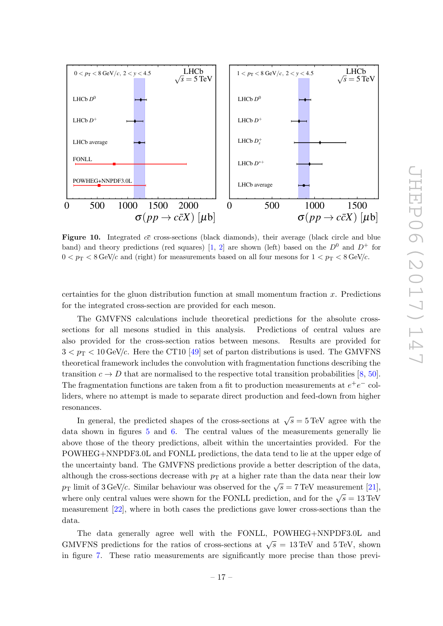<span id="page-17-0"></span>

**Figure 10.** Integrated  $c\bar{c}$  cross-sections (black diamonds), their average (black circle and blue band) and theory predictions (red squares) [\[1,](#page-33-0) [2\]](#page-33-5) are shown (left) based on the  $D^0$  and  $D^+$  for  $0 < p_T < 8$  GeV/c and (right) for measurements based on all four mesons for  $1 < p_T < 8$  GeV/c.

certainties for the gluon distribution function at small momentum fraction x. Predictions for the integrated cross-section are provided for each meson.

The GMVFNS calculations include theoretical predictions for the absolute crosssections for all mesons studied in this analysis. Predictions of central values are also provided for the cross-section ratios between mesons. Results are provided for  $3 < p<sub>T</sub> < 10$  GeV/c. Here the CT10 [\[49\]](#page-35-11) set of parton distributions is used. The GMVFNS theoretical framework includes the convolution with fragmentation functions describing the transition  $c \to D$  that are normalised to the respective total transition probabilities [\[8,](#page-33-11) [50\]](#page-35-12). The fragmentation functions are taken from a fit to production measurements at  $e^+e^-$  colliders, where no attempt is made to separate direct production and feed-down from higher resonances.

In general, the predicted shapes of the cross-sections at  $\sqrt{s} = 5 \text{ TeV}$  agree with the data shown in figures [5](#page-9-0) and [6.](#page-10-0) The central values of the measurements generally lie above those of the theory predictions, albeit within the uncertainties provided. For the POWHEG+NNPDF3.0L and FONLL predictions, the data tend to lie at the upper edge of the uncertainty band. The GMVFNS predictions provide a better description of the data, although the cross-sections decrease with  $p<sub>T</sub>$  at a higher rate than the data near their low  $p_{\text{T}}$  limit of 3 GeV/c. Similar behaviour was observed for the  $\sqrt{s} = 7 \,\text{TeV}$  measurement [\[21\]](#page-34-2), where only central values were shown for the FONLL prediction, and for the  $\sqrt{s} = 13 \text{ TeV}$ measurement [\[22\]](#page-34-3), where in both cases the predictions gave lower cross-sections than the data.

The data generally agree well with the FONLL, POWHEG+NNPDF3.0L and GMVFNS predictions for the ratios of cross-sections at  $\sqrt{s} = 13 \,\text{TeV}$  and 5 TeV, shown in figure [7.](#page-14-0) These ratio measurements are significantly more precise than those previ-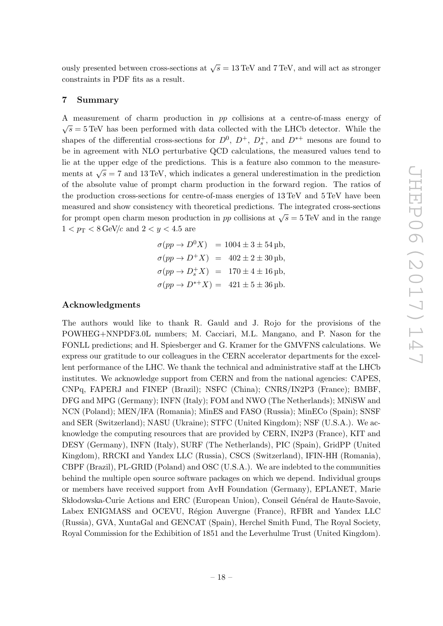ously presented between cross-sections at  $\sqrt{s} = 13 \,\text{TeV}$  and 7 TeV, and will act as stronger constraints in PDF fits as a result.

### <span id="page-18-0"></span>7 Summary

A measurement of charm production in pp collisions at a centre-of-mass energy of  $\sqrt{s} = 5$  TeV has been performed with data collected with the LHCb detector. While the shapes of the differential cross-sections for  $D^0$ ,  $D^+$ ,  $D_s^+$ , and  $D^{*+}$  mesons are found to be in agreement with NLO perturbative QCD calculations, the measured values tend to lie at the upper edge of the predictions. This is a feature also common to the measurements at  $\sqrt{s} = 7$  and 13 TeV, which indicates a general underestimation in the prediction of the absolute value of prompt charm production in the forward region. The ratios of the production cross-sections for centre-of-mass energies of 13 TeV and 5 TeV have been measured and show consistency with theoretical predictions. The integrated cross-sections for prompt open charm meson production in pp collisions at  $\sqrt{s} = 5 \text{ TeV}$  and in the range  $1 < p_{\rm T} < 8 \,\text{GeV}/c$  and  $2 < y < 4.5$  are

$$
\sigma(pp \to D^{0} X) = 1004 \pm 3 \pm 54 \,\text{pb}, \n\sigma(pp \to D^{+} X) = 402 \pm 2 \pm 30 \,\text{pb}, \n\sigma(pp \to D_{s}^{+} X) = 170 \pm 4 \pm 16 \,\text{pb}, \n\sigma(pp \to D^{*+} X) = 421 \pm 5 \pm 36 \,\text{pb}.
$$

### Acknowledgments

The authors would like to thank R. Gauld and J. Rojo for the provisions of the POWHEG+NNPDF3.0L numbers; M. Cacciari, M.L. Mangano, and P. Nason for the FONLL predictions; and H. Spiesberger and G. Kramer for the GMVFNS calculations. We express our gratitude to our colleagues in the CERN accelerator departments for the excellent performance of the LHC. We thank the technical and administrative staff at the LHCb institutes. We acknowledge support from CERN and from the national agencies: CAPES, CNPq, FAPERJ and FINEP (Brazil); NSFC (China); CNRS/IN2P3 (France); BMBF, DFG and MPG (Germany); INFN (Italy); FOM and NWO (The Netherlands); MNiSW and NCN (Poland); MEN/IFA (Romania); MinES and FASO (Russia); MinECo (Spain); SNSF and SER (Switzerland); NASU (Ukraine); STFC (United Kingdom); NSF (U.S.A.). We acknowledge the computing resources that are provided by CERN, IN2P3 (France), KIT and DESY (Germany), INFN (Italy), SURF (The Netherlands), PIC (Spain), GridPP (United Kingdom), RRCKI and Yandex LLC (Russia), CSCS (Switzerland), IFIN-HH (Romania), CBPF (Brazil), PL-GRID (Poland) and OSC (U.S.A.). We are indebted to the communities behind the multiple open source software packages on which we depend. Individual groups or members have received support from AvH Foundation (Germany), EPLANET, Marie Skłodowska-Curie Actions and ERC (European Union), Conseil Général de Haute-Savoie, Labex ENIGMASS and OCEVU, Région Auvergne (France), RFBR and Yandex LLC (Russia), GVA, XuntaGal and GENCAT (Spain), Herchel Smith Fund, The Royal Society, Royal Commission for the Exhibition of 1851 and the Leverhulme Trust (United Kingdom).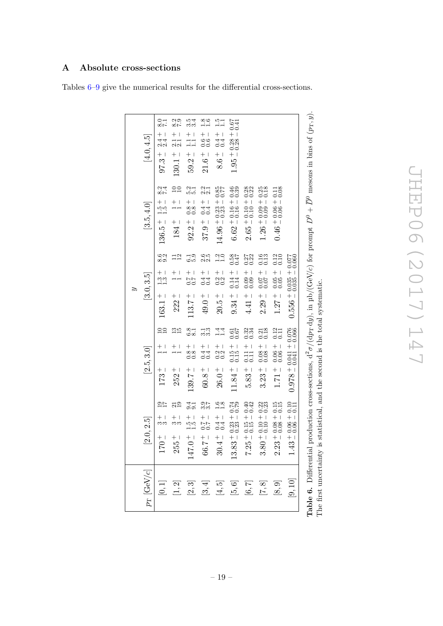## <span id="page-19-1"></span><span id="page-19-0"></span>A Absolute cross-sections

Tables [6–](#page-19-1)[9](#page-22-0) give the numerical results for the differential cross-sections.

|                      |                                                               |                                                                                      | ಎ                                                                                                                                       |                                                     |                                                                             |
|----------------------|---------------------------------------------------------------|--------------------------------------------------------------------------------------|-----------------------------------------------------------------------------------------------------------------------------------------|-----------------------------------------------------|-----------------------------------------------------------------------------|
| $p_{\rm T}$ [GeV/c]  | $\left[ 2.0, 2.5 \right]$                                     | [2.5, 3.0]                                                                           | [3.0, 3.5]                                                                                                                              | [3.5, 4.0]                                          | [4.0, 4.5]                                                                  |
| $\left[0,1\right]$   | $+$  <br>ကက<br>$170 +$                                        | $+1$<br>$173 +$                                                                      | 8.0<br>8.0<br>$+1$<br>$-1$<br>$-1$<br>$163.1 +$                                                                                         | 874<br>87<br>$136.5 + 1.5 +$                        | $\frac{5}{28}$<br>$+$ 1<br>$+$ 4<br>$-$ 2<br>$-$ 2<br>$-$ 2<br><br>$97.3 +$ |
| $\left[1,2\right]$   | $\frac{21}{19}$<br>$+$ $\vert$<br>ကက<br>$255 +$               | $\frac{35}{10}$<br>$+1$<br>$252 +$                                                   | $\frac{1}{2}$<br>$+1$<br>$222 +$                                                                                                        | $^{20}_{-10}$<br>$+1$<br>$184 +$                    | $\frac{8.3}{7.9}$<br>$\frac{+}{21}$<br>$130.1 +$                            |
| $\left[2,3\right]$   | $\frac{4}{0.0}$<br>$\frac{1}{10}$<br>$147.0 +$                | $\frac{8}{8.1}$<br>$\frac{1}{8}$ + 1<br>$139.7^+$                                    | 0.0<br>مات<br>$-1.7$<br>$-7.0$<br>$113.7 +$                                                                                             | 5.1<br>5.1<br>$+1$<br>$\frac{8}{0}$<br>$92.2 +$     | 334<br>334<br>$\frac{+}{11}$<br>$59.2 +$                                    |
| $\left[ 3,4\right]$  | 25<br>25<br>$66.7 +$                                          | ⊥<br>ကိက<br>$+1$<br>$-4$<br>$-1$<br>$60.8 +$                                         | ion<br>22<br>$+1$<br>$-4$<br>$-6$<br>$49.0 +$                                                                                           | $\frac{21}{21}$<br>$+1$<br>$-4$<br>$-6$<br>$37.9 +$ | $\frac{80}{10}$<br>$+100$<br>$21.6$ $^+$                                    |
| $\left[4,5\right]$   | $\frac{68}{10}$<br>$30.4 + 0.4 +$                             | $\frac{4}{11}$<br>$+1$<br>$-32$<br>$26.0 +$                                          | $\frac{2}{10}$<br>$+1$<br>$-32$<br>$-32$<br>$20.5 +$                                                                                    | $14.96 + 0.23 + 0.85$<br>$77$                       | $+1$<br>$-4$<br>$-4$<br>$8.6 +$                                             |
| $[5,6]$              | $13.83 + 0.23 + 0.74$<br>$0.74 - 0.23 - 0.79$                 | $\frac{19.0}{19.0}$<br>$\frac{+15}{0.15}$<br>$11.84 +$                               | $0.58$<br>0.47<br>$\frac{+14}{0.14}$<br>$9.34 +$                                                                                        | $6.62 + 0.16 + 0.46$<br>$0.39$                      | $0.67$<br>$0.41$<br>$1.95 + 0.28 +$                                         |
| $[6, 7]$             | $7.25 \pm 0.15 \pm 0.40$                                      | $\begin{array}{c} 0.34 \\ 0.34 \end{array}$<br>$+1$<br>$\frac{11}{0.11}$<br>$5.83 +$ | $0.27$<br>$0.22$<br>$+1$<br>$000$<br>$000$<br>$4.41$ $^+$                                                                               | $2.65 + 0.10 + 0.28$<br>$-0.10 - 0.22$              |                                                                             |
| $[7,8]$              | $3.80 + 0.10 + 0.22$<br>$- 0.10 - 0.23$                       | $\frac{0.21}{0.18}$<br>$+1$<br>0.08<br>$3.23 +$                                      | $\begin{array}{c} 0.13 \\ 0.13 \end{array}$<br>$-1.000$<br>$2.29 +$                                                                     | $1.26 + 0.09 + 0.25$<br>$0.18$                      |                                                                             |
| $\left[ 8,9\right]$  | $2.23 + 0.08 + 0.15$<br>$- 0.08 - 0.15$                       | $\frac{0.12}{0.11}$<br>$+1$<br>$\frac{0.06}{0.06}$<br>$1.71^+$                       | $\begin{array}{c} 0.12 \\ 0.10 \end{array}$<br>$+1000 + 1000$<br>$1.27 +$                                                               | $0.46 + 0.06 + 0.11$<br>$0.04 + 0.06 + 0.11$        |                                                                             |
| $\left[9,10\right]$  | $13 + 0.06 + 0.10$<br>$-1.10 + 0.06 + 0.11$<br>$\frac{4}{11}$ | $0.978 + 0.041 + 0.076$<br>0.076 - 140.041                                           | $0.556 + 0.035 + 0.077$<br>0.556 - 0.035 - 0.060                                                                                        |                                                     |                                                                             |
| tble 6. Differential |                                                               |                                                                                      | production cross-sections, $d^2\sigma/(dp_T\,dy)$ , in $\mu b/(GeV/c)$ for prompt $D^0 + \overline{D}^0$ mesons in bins of $(p_T, y)$ . |                                                     |                                                                             |

 $\overline{D}^0$  mesons in bins of ( $p$ ςΠ  $\exists$ 3 Ĕ J <u>ገ</u> b/(GeV/c) for prompt The first uncertainty is statistical, and the second is the total systematic.  $\mathbf{H}$ d $y)$ , in  $2\sigma/(\mathrm{d}p_\mathrm{T}$ Table 6. Differential production cross-sections, d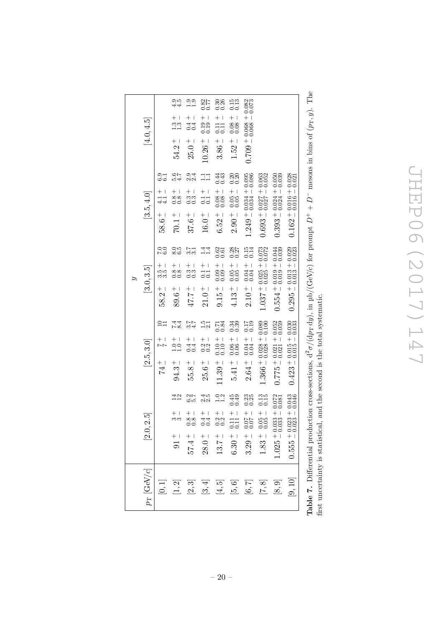| $p_{\rm T}$ [GeV/c]                                                                                                                                                                                                                                                                  | 2.5<br>[2.0,                                                            | [2.5, 3.0]                                                                                                                                                    | $\left[3.0, 3.5\right]$                                       | [3.5, 4.0]                                                           | [4.0, 4.5]                                                                                                                                                                                                                                                                                                  |
|--------------------------------------------------------------------------------------------------------------------------------------------------------------------------------------------------------------------------------------------------------------------------------------|-------------------------------------------------------------------------|---------------------------------------------------------------------------------------------------------------------------------------------------------------|---------------------------------------------------------------|----------------------------------------------------------------------|-------------------------------------------------------------------------------------------------------------------------------------------------------------------------------------------------------------------------------------------------------------------------------------------------------------|
| $\left[0,1\right]$                                                                                                                                                                                                                                                                   |                                                                         | $\frac{1}{2}$<br>$+1$                                                                                                                                         | 00<br>07<br>$^+$<br>roro<br>co<br>$58.2 +$                    | 6.1<br>60<br>$^{+}$<br>$\frac{1}{41}$<br>$58.6^+$                    |                                                                                                                                                                                                                                                                                                             |
| $\left[1,2\right]$                                                                                                                                                                                                                                                                   | 142<br>ကက<br>$91 +$                                                     | 7<br>24<br>24<br>$\frac{+}{1.0}$<br>$94.3 +$                                                                                                                  | $\frac{6}{6}$<br>$+$ 1<br>$\frac{8}{0.8}$<br>$89.6\,{}^+$     | 547<br>54<br>$^+$<br>$\frac{88}{0.8}$<br>$70.1\,{}^+_{-}$            | $\frac{1}{4}$<br>$+1$<br>$33$<br>$-1$<br>$54.2 +$                                                                                                                                                                                                                                                           |
| $\left[2,3\right]$                                                                                                                                                                                                                                                                   | 3.7<br>9.9<br>$\begin{array}{c} + \\ - \\ 0.8 \end{array}$<br>$57.4 +$  | 274<br>24<br>$+1$<br>$-4$<br>$-1$<br>$-1$<br>$+$ $\vert$<br>55.8                                                                                              | $\frac{5}{3}$<br>$+$ $+$<br>33<br>00<br>$-2.71$               | ಾ ನ<br>ಅ<br>$^+$<br>$\overline{\phantom{a}}$<br>33<br>00<br>$37.6 +$ | $\frac{0.9}{0.1}$<br>$\,+\,$ $\,$<br>$\frac{44}{10}$<br>$25.0$ $^+$                                                                                                                                                                                                                                         |
| $\left[ 3,4\right]$                                                                                                                                                                                                                                                                  | 2.5<br>2.9<br>$28.0^{\, +}_{\, -}$                                      | $\frac{5}{22}$<br>$+1$<br>$-32$<br>$-0.2$<br>$+$ $\overline{1}$<br>25.6                                                                                       | $\frac{4}{11}$<br>$+$ $+$<br>$\overline{5}$<br>$21.0$ $^+$    | $\Xi$ $\Xi$<br>$+1$<br>$-1$<br>$-1$<br>$16.0\,{}^{+}_{-}$            | $\frac{82}{56}$<br>$+1$<br>$\frac{0.19}{0.19}$<br>$10.26 +$                                                                                                                                                                                                                                                 |
| $[4,5]$                                                                                                                                                                                                                                                                              | $\frac{5}{11}$<br>$+$ 1<br>0.2<br>0.3<br>$13.7 +$                       | 0.84<br>$+101$<br>$-101$<br>$-101$<br>$11.39 +$                                                                                                               | 0.62<br>$+$ $\overline{1}$<br>$\frac{0.09}{0.09}$<br>$9.15 +$ | 0.43<br>$-1.08 + 0.08 - 0.08$<br>$6.52 +$                            | 0.36<br>$\,+\,$ l<br>$\frac{11}{0.11}$<br>$3.86 +$                                                                                                                                                                                                                                                          |
| $[5,6]$                                                                                                                                                                                                                                                                              | 0.45<br>$\begin{array}{c} +1.1 \\ -1.1 \\ -1.1 \end{array}$<br>$6.30 +$ | 0.34<br>$+$ 1<br>$-$ 0.06<br>0.00<br>$5.41 +$                                                                                                                 | 0.287<br>$+$ 1<br>0.05<br>$4.13 +$                            | 0.20<br>$-1.05 + 0.05$<br>$2.90 +$                                   | $\begin{array}{c} 0.15 \\ 0.13 \end{array}$<br>$+$ 1<br>$\begin{array}{c} 0.08 \\ 0.08 \end{array}$<br>$1.52 +$                                                                                                                                                                                             |
| $[6,7]$                                                                                                                                                                                                                                                                              | 0.25<br>$-20.0$<br>+ 70.0<br>$3.29 +$                                   | $\begin{array}{c} 0.17 \\ -1.9 \end{array}$<br>$-10.04 + 0.00$<br>$2.64 +$                                                                                    | $0.15$<br>$0.14$<br>$+$ 1<br>0.04<br>$2.10^{\, +}$            | $1.249 + 0.034 + 0.095$<br>$0.034 - 0.086$                           | $0.709 + 0.068 + 0.082$<br>0.073                                                                                                                                                                                                                                                                            |
| $[7,8]$                                                                                                                                                                                                                                                                              | $\frac{13}{0.15}$<br>$0.05 + 0.005$<br>$1.83 +$                         | $1.366 + 0.028 + 0.089$<br>$0.100$                                                                                                                            | $1.037 + 0.025 + 0.073$<br>$0.035 - 0.072$                    | $0.693 + 0.027 + 0.063$<br>0.052                                     |                                                                                                                                                                                                                                                                                                             |
| $\left[ 8,9\right]$                                                                                                                                                                                                                                                                  | $1.025 + 0.033 + 0.072$<br>$0.033 - 0.081$                              | $0.775 + 0.021 + 0.052$<br>$0.059$                                                                                                                            | $0.554 + 0.019 + 0.044$<br>44.0.0 + 0.00 + 5545               | $0.393 + 0.024 + 0.050$<br>$0.393 - 0.034 - 0.039$                   |                                                                                                                                                                                                                                                                                                             |
| $\left[ 9,10\right]$                                                                                                                                                                                                                                                                 | $0.555 + 0.023 + 0.043$<br>$0.046$                                      | $0.423 + 0.015 + 0.030$<br>$0.033$                                                                                                                            | $0.295 + 0.013 + 0.029$<br>$0.023 - 0.023$                    | $0.162 + 0.016 + 0.028$<br>$0.016 - 0.021$                           |                                                                                                                                                                                                                                                                                                             |
| $P_1, P_2, P_3, P_4, P_5, P_6, P_7, P_8, P_9, P_1, P_1, P_2, P_1, P_1, P_2, P_1, P_2, P_1, P_2, P_1, P_2, P_1, P_2, P_1, P_2, P_1, P_2, P_1, P_2, P_1, P_2, P_1, P_2, P_2, P_1, P_2, P_2, P_1, P_2, P_2, P_1, P_2, P_2, P_1, P_2, P_2, P_1, P_2, P_2, P_1, P_2, P_2, P_2, P_1, P_2,$ |                                                                         | $\frac{1}{2}$ and $\frac{1}{2}$ and $\frac{1}{2}$ and $\frac{1}{2}$ and $\frac{1}{2}$ and $\frac{1}{2}$ and $\frac{1}{2}$ and $\frac{1}{2}$ and $\frac{1}{2}$ |                                                               |                                                                      | $\mathbf{r}$ , $\mathbf{r}$ , $\mathbf{r}$ , $\mathbf{r}$ , $\mathbf{r}$ , $\mathbf{r}$ , $\mathbf{r}$ , $\mathbf{r}$ , $\mathbf{r}$ , $\mathbf{r}$ , $\mathbf{r}$ , $\mathbf{r}$ , $\mathbf{r}$ , $\mathbf{r}$ , $\mathbf{r}$ , $\mathbf{r}$ , $\mathbf{r}$ , $\mathbf{r}$ , $\mathbf{r}$ , $\mathbf{r}$ , |

**Table 7.** Differential production cross-sections,  $d^2\sigma/(dp_T \, dy)$ , in  $\mu b/(GeV/c)$  for prompt  $D^+ + D^-$  mesons in bins of  $(p_T, y)$ . The first uncertainty is statistical, and the second is the total systematic. **Table 7.** Differential production cross-sections,  $d^2\sigma/(dp_T dy)$ , in  $\mu b/(GeV/c)$  for prompt  $D^+ + D^-$  mesons in bins of  $(p_T, y)$ . The first uncertainty is statistical, and the second is the total systematic.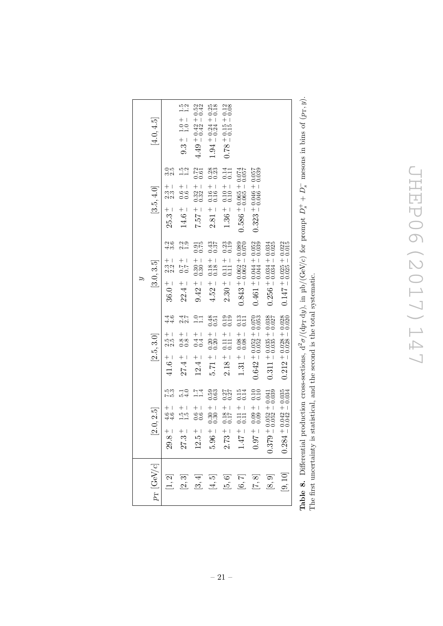JHEP06(2017)147 JHEP06(2017)147

|                     |                                                                                 |                                                                                                                                                              | ಎ                                                              |                                                                                                   |                                              |
|---------------------|---------------------------------------------------------------------------------|--------------------------------------------------------------------------------------------------------------------------------------------------------------|----------------------------------------------------------------|---------------------------------------------------------------------------------------------------|----------------------------------------------|
| $p_{\rm T}$ [GeV/c] | [2.0, 2.5]                                                                      | [2.5, 3.0]                                                                                                                                                   | [3.0, 3.5]                                                     | [3.5, 4.0]                                                                                        | [4.0, 4.5]                                   |
| [1, 2]              | ria<br>Pro<br>$4.6 -$<br>$4.6 -$<br>$29.8 +$                                    | य<br>संस्<br>$\frac{1}{2}$<br>$41.6^{\, +}$                                                                                                                  | 2.6<br>4.ಲ<br>$\frac{1}{2}$<br>$\frac{3}{2}$<br>$36.0^{\, +}$  | cri<br>co<br>$\frac{1}{2}$<br>$\frac{3}{2}$<br>$25.3 +$                                           |                                              |
| [2,3]               | $\frac{15}{10}$<br>$27.3 +$                                                     | 2.7<br>22<br>$\frac{+}{0.8}$<br>$27.4 +$                                                                                                                     | $\frac{20}{21}$<br>$-1.7$<br>$-7.0$<br>$22.4 +$                | $\frac{15}{1.2}$<br>$+1$<br>$-0.0$<br>$14.6 +$                                                    | $\frac{15}{12}$<br>$9.3 \div 1.0 \div 1.0$   |
| [3, 4]              | $\frac{1.7}{1.4}$<br>$+1$<br>$-6$<br>$-6$<br>$12.5 +$                           | $\frac{5}{11}$<br>$+1$<br>$-4 + 1$<br>$-6$<br>$12.4 +$                                                                                                       | $\frac{375}{0.75}$<br>$+1$<br>$30$<br>$-0$<br>$-0$<br>$9.42 +$ | $\frac{0.72}{0.61}$<br>$\frac{1}{32}$<br>$-25.7$                                                  | $4.49 + 0.42 + 0.52$<br>$4.49 - 0.42 = 0.42$ |
| $[4, 5]$            | $\begin{array}{c} 0.53 \\ 0.63 \end{array}$<br>$+1$<br>$30$<br>$-0$<br>$5.96 +$ | 0.51<br>$\frac{1}{28}$<br>$\frac{1}{2}$ 17.5                                                                                                                 | 0.43<br>$\frac{+18}{0.18}$<br>$4.52^{+}$                       | $\begin{smallmatrix} 0.28 \\[-4pt] 0.23 \end{smallmatrix}$<br>$+16$<br>$-16$<br>$-16$<br>$2.81 +$ | $1.94 + 0.24 + 0.25$<br>$0.24 - 0.18$        |
| [5, 6]              | 0.27<br>$-181$<br>$2.73 +$                                                      | $\begin{matrix} 0.19 \\ 0.19 \end{matrix}$<br>$+11$<br>$-11$<br>$-11$<br>$2.18 +$                                                                            | 0.23<br>$+11$<br>$-111$<br>$-111$<br>$2.30 +$                  | $\frac{14}{0.11}$<br>$+1010$<br>$1.36 +$                                                          | $0.78 + 0.15 + 0.12$<br>$0.08$               |
| $[6, 7]$            | $0.15$<br>$0.14$<br>$+1$<br>$-11$<br>$-11$<br>$1.47 +$                          | $\begin{array}{c} 0.13 \\ 0.11 \end{array}$<br>$-180.0$<br>$1.31 +$                                                                                          | $0.843 + 0.062 + 0.089$<br>0.843 - 0.062 - 0.070               | $0.586 + 0.065 + 0.074$<br>$0.0574$                                                               |                                              |
| $[7,8]$             | 0.10<br>$+$ 1<br>880<br>000<br>$-1.600$                                         | $0.642 + 0.052 + 0.070$<br>$0.652 - 0.053$                                                                                                                   | $0.461 + 0.044 + 0.052$<br>$0.044 - 0.052$                     | $0.323 + 0.046 + 0.057$<br>$0.046 - 0.057$                                                        |                                              |
| $\left[ 8,9\right]$ | $0.052 + 0.041$<br>$0.052 - 0.039$<br>$(1.379 + 0.379)$                         | $0.311 + 0.035 + 0.038$<br>$0.035 - 0.027$                                                                                                                   | $0.256 + 0.034 + 0.034$<br>$0.034 - 0.025$                     |                                                                                                   |                                              |
| $\left[9,10\right]$ | $0.042 + 0.035$<br>$0.042 - 0.034$<br>$0.284 -$                                 | $0.212 + 0.028 + 0.028$<br>$0.028 - 0.020$                                                                                                                   | $0.147 + 0.025 + 0.022$<br>$0.025 - 0.015$                     |                                                                                                   |                                              |
|                     |                                                                                 | <b>Table 8.</b> Differential production cross-sections, $d^2\sigma/(dp_T dy)$ , in $\mu b/(GeV/c)$ for prompt $D_s^+ + D_s^-$ mesons in bins of $(p_T, y)$ . |                                                                |                                                                                                   |                                              |

| means in hing of (mm, a)<br>upt $D_s^+ + D_s^-$ mesons in bins $\alpha^r$ .            |                                                                          |
|----------------------------------------------------------------------------------------|--------------------------------------------------------------------------|
| アンディング                                                                                 |                                                                          |
| $\therefore$ (c/I/c) (c)<br>・・・・・・・・・・・・・・・・ ハト・・・・ ハト・・・<br>$12 - 17$<br>Š<br>くく<br>l | .<br>ו<br>;<br>;<br>¢<br>֖֖֖֖֪ׅ֪֪ׅ֪֪ׅ֪֪ׅ֖֪ׅ֪֪ׅ֪֪֪ׅ֚֚֚֚֚֚֚֚֚֚֚֚֬֝֝֝֝֓֓֬֝֬ |
| I                                                                                      |                                                                          |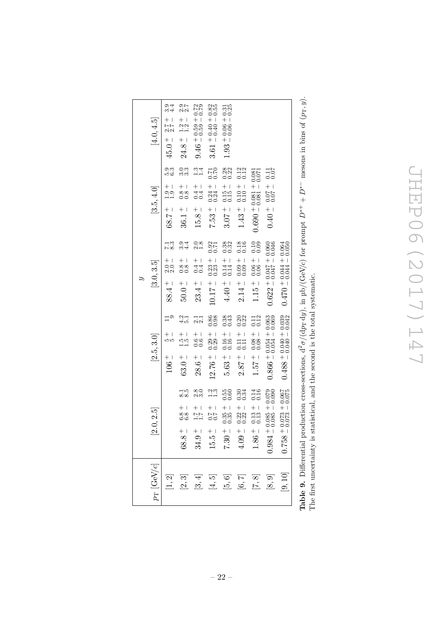JHEP06(2017)147 JHEP06(2017)147

<span id="page-22-0"></span>

| $p_{\rm T}$ [GeV/c] | 0, 2.5<br>$\frac{1}{2}$                                                                                         | $\left[2.5, 3.0\right]$                                                | [3.0, 3.5]                                                             | [3.5, 4.0]                                               | $\left[4.0, 4.5\right]$                                  |
|---------------------|-----------------------------------------------------------------------------------------------------------------|------------------------------------------------------------------------|------------------------------------------------------------------------|----------------------------------------------------------|----------------------------------------------------------|
| $\left[1,2\right]$  |                                                                                                                 | $\Xi$ <sup>o</sup><br>$+1$<br>ЮЮ<br>$106 +$                            | $\frac{13}{2}$<br>$100$<br>$20$<br>$88.4 +$                            | 36<br>1961<br>$+1$<br>$-1.9$<br>$-1.7$<br>$-2.83$        | 9.4<br>24<br>$+$<br>2.7<br>2.2<br>$45.0 +$               |
| $[2,3]$             | $\frac{1}{8.5}$<br>$\frac{1}{68}$<br>$68.8 +$                                                                   | 2<br>4.มี<br>$\frac{1}{10}$<br>$63.0 +$                                | ರ.<br>ಬ್ರ<br>$\frac{1}{8}$<br>$50.0 +$                                 | ය.<br>පස<br>$\frac{1}{8}$ + 1<br>$36.1 +$                | ia<br>22<br>$\frac{1}{1}$ .<br>$\frac{1}{2}$<br>$24.8 +$ |
| [3, 4]              | 00<br>ನನ<br>$^{+}$<br>$34.9 +$                                                                                  | $\frac{1}{21}$<br>$+1$<br>$00$<br>$00$<br>$28.6 +$                     | $\frac{0.8}{0.3}$<br>$+1$<br>$-4 + 1$<br>$23.4 +$                      | $\frac{3}{11}$<br>$+1$<br>$-4 +$<br>$-6$<br>$15.8 +$     | $9.46 + 0.59 + 0.72$<br>$0.72 + 0.59 + 0.72$             |
| $[4,5]$             | $\frac{2}{1}$ .3<br>$+$<br>$+$<br>$-$<br>$-$<br>$-$<br>$-$<br>$-$<br><br>$-$<br><br>$-$<br><br><br><br>$15.5 +$ | 0.86<br>$+1$<br>$-29$<br>$-0.29$<br>$12.76 +$                          | 0.71<br>$+1$<br>$-33$<br>$-33$<br>$10.17 +$                            | $\frac{0.71}{17.0}$<br>$+1$<br>$-34$<br>$-1$<br>$7.53 +$ | $3.61 + 0.40 + 0.82$<br>$0.40 - 0.55$                    |
| $[5,6]$             | $0.55$<br>$0.60$<br>$-35 + 1$<br>$7.30 \, {}^{+}\!\!\!~$                                                        | $0.38$<br>$0.43$<br>$+16$<br>$-16$<br>$-16$<br>$5.63 +$                | 0.32<br>$0.14 - 0.14$<br>$4.40 +$                                      | 0.28<br>$0.15 + 0.0$<br>$3.07 +$                         | $1.93 + 0.06 + 0.31$<br>$0.06 - 0.25$                    |
| $[6, 7]$            | 0.34<br>0.3<br>$+1$<br>$0.22$<br>$4.09 +$                                                                       | 0.22<br>$+$ 1<br>$\begin{array}{c} 11 \\ 0.11 \end{array}$<br>$2.87 +$ | $\begin{array}{c} 0.18 \\ 0.16 \end{array}$<br>$^{+}_{00}$<br>$2.14 +$ | 0.12<br>$+101.0$<br>$1.43 +$                             |                                                          |
| $[7,8]$             | $0.14$<br>$0.16$<br>$1.86 +$                                                                                    | 0.11<br>$+$ 1<br>80.00<br>$1.57^{+}$                                   | $0.10$<br>$0.09$<br>$1.15 +$                                           | $0.690 + 0.081 + 0.081$                                  |                                                          |
| [8, 9]              | $0.085 + 0.079$<br>0.085 - 0.090<br>$0.984 +$                                                                   | $0.866 + 0.054 + 0.063$<br>0.866 - 0.054 - 0.069                       | $0.622 + 0.047 + 0.060$<br>0.045 - 0.046                               | $0.40 + 0.07 + 0.07$<br>11.0 + 70.0 + 0.07               |                                                          |
| $\left[9,10\right]$ | $0.073 + 0.067$<br>0.073 - 0.075<br>$\frac{1}{3}$ + 82.0                                                        | $0.488 + 0.040 + 0.039$<br>0.040 - 0.040                               | $0.470 + 0.044 + 0.064$<br>$0.0500 + 0.044 = 0.050$                    |                                                          |                                                          |

| mocone in bine of (m, u<br>$\Delta^* D^{*+} + D^{*-} \Delta$                                                          |                                                                                                                                       |
|-----------------------------------------------------------------------------------------------------------------------|---------------------------------------------------------------------------------------------------------------------------------------|
| $\frac{1}{2}$<br>こくしょく<br>$\frac{1}{2}$<br>$14 - 1$<br>i<br>Cross Carl<br>)<br>)<br>)<br>$\sim$<br>$\frac{1}{2}$<br>l | $\frac{1}{2}$<br>$\frac{1}{2}$<br>֧֧֧ׅׅ֧֧ׅ֧ׅ֧ׅ֧֧ׅ֧֛֛֧֛֚֚֚֚֚֚֚֚֚֚֚֚֚֚֚֚֚֚֚֚֚֚֚֚֚֚֚֚֡֕֓֡֓֡֝֓֝֬֜֓֡֓֡֟֓֡֟֓֡֝֬֜֓֜֜֓֬֜֓<br>.<br>.<br>.<br>j |
|                                                                                                                       |                                                                                                                                       |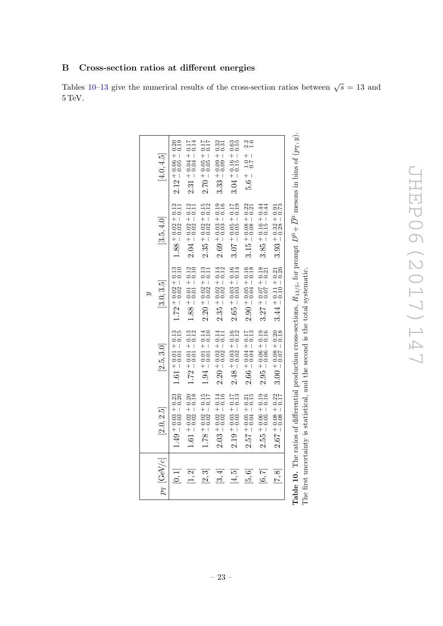# <span id="page-23-1"></span><span id="page-23-0"></span>B Cross-section ratios at different energies

Tables [10–](#page-23-1)[13](#page-26-0) give the numerical results of the cross-section ratios between  $\sqrt{s} = 13$  and  $5\,\mathrm{TeV}.$ 

| $p_{\rm T}$ [GeV/c] | [2.0, 2.5]                             | [2.5, 3.0]                                      | [3.0, 3.5]                                   | [3.5, 4.0]                                   | [4.0, 4.5]                                   |
|---------------------|----------------------------------------|-------------------------------------------------|----------------------------------------------|----------------------------------------------|----------------------------------------------|
| [0,1]               | $1.49 + 0.03 + 0.23$<br>$0.200 + 0.20$ | $1.61 + 0.01 + 0.13$<br>$0.01 - 0.15$           | $1.72 + 0.02 + 0.13$<br>$0.02 - 0.10$        | $1.88 + 0.02 + 0.12$<br>$0.02 - 0.11$        | $2.12 + 0.06 + 0.20$<br>$-0.19$              |
| [1, 2]              | $1.61 + 0.02 + 0.20$<br>$0.18$         | $+0.01 + 0.13$<br>$-0.01 - 0.12$<br>1.72        | $1.88 + 0.01 + 0.12$<br>$0.01 - 0.10$        | $2.04 + 0.02 + 0.12$<br>$0.11$               | $2.31 + 0.04 + 0.17$<br>$-0.04 - 0.14$       |
| [2,3]               | $1.78 + 0.02 + 0.15$<br>$-0.02 - 0.17$ | $1.94 + 0.01 + 0.14$<br>$-0.01 - 0.10$          | $2.20 + 0.02 + 0.13$<br>$0.02 - 0.11$        | $2.35 + 0.02 + 0.15$<br>$2.35 - 0.02 = 0.12$ | $2.70 + 0.05 + 0.17$<br>$71.0 + 0.05 = 0.17$ |
| [3, 4]              | $2.03 + 0.02 + 0.14$<br>$0.02 - 0.16$  | $2.20 + 0.02 + 0.14$<br>$0.14$<br>$0.02 - 0.11$ | $2.35 + 0.02 + 0.14$<br>$2.35 - 0.02 - 0.12$ | $2.69 + 0.03 + 0.19$<br>$0.16$               | $3.33 + 0.09 + 0.32$<br>$- 0.09 - 0.31$      |
| [4,5]               | $2.19 + 0.03 + 0.17$<br>$-0.03 - 0.13$ | $2.48 + 0.03 + 0.16$<br>$-0.02 - 0.12$          | $2.65 + 0.03 + 0.16$<br>$-0.03 - 0.14$       | $3.07 + 0.05 + 0.17$<br>$5.0 + 0.17$         | $3.04 + 0.16 + 0.63$<br>$-0.55$              |
| [5,6]               | $2.57 + 0.05 + 0.21$<br>$0.5 + 0.21$   | $+0.04 + 0.17$ $-0.04 - 0.13$<br>2.66           | $2.90 + 0.05 + 0.16$<br>$-0.04 - 0.18$       | $3.15 + 0.08 + 0.22$<br>$0.08 - 0.21$        | $5.6 \pm 1.0 + 2.2$<br>$0.7 \pm 2.3$         |
| [6, 7]              | $2.55 + 0.06 + 0.19$<br>$0.5 - 0.16$   | $+0.06 + 0.19$ $-0.06 - 0.16$<br>$2.95^{\circ}$ | $3.27 + 0.07 + 0.18$<br>$0.27 - 0.07 - 0.21$ | $3.85 + 0.16 + 0.44$<br>$-1.5 - 0.44$        |                                              |
| $\boxed{8}$         | $2.67 + 0.08 + 0.22$<br>$-0.17$        | $3.00 + 0.08 + 0.20$<br>3.00 + 0.07 - 0.18      | $3.44 + 0.11 + 0.21$<br>$0.26$               | $3.93 + 0.32 + 0.91$<br>$0.28 - 0.73$        |                                              |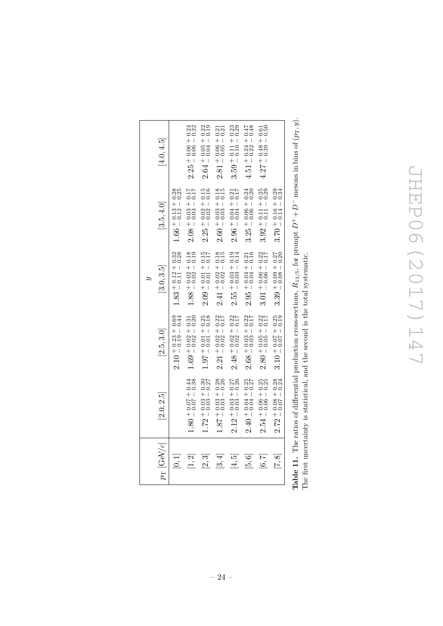| $p_{\rm T}$ [GeV/c] | [2.0, 2.5]                                   | [2.5, 3.0]                                                                                                                                | [3.0, 3.5]                              | [3.5, 4.0]                                   | [4.0, 4.5]                                   |
|---------------------|----------------------------------------------|-------------------------------------------------------------------------------------------------------------------------------------------|-----------------------------------------|----------------------------------------------|----------------------------------------------|
| [0,1]               |                                              | $2.10 + 0.23 + 0.69$<br>$- 0.19 - 0.44$                                                                                                   | $1.83 + 0.12 + 0.32$<br>$-0.11 - 0.28$  | $1.66 + 0.13 + 0.28$<br>$0.12 - 0.25$        |                                              |
| [1, 2]              | $1.80 + 0.07 + 0.44$<br>$-0.38$              | $1.69 + 0.02 + 0.31$<br>$0.2 - 0.20$                                                                                                      | $1.88 + 0.02 + 0.18$<br>$-0.02 - 0.19$  | $2.08 + 0.03 + 0.17$<br>$-0.03 - 0.17$       | $2.25 + 0.06 + 0.24$<br>$- 0.06 - 0.22$      |
| [2,3]               | $1.72 + 0.03 + 0.30$<br>$-0.37$              | $1.97 + 0.01 + 0.25$<br>0.1.8                                                                                                             | $2.09 + 0.01 + 0.15$<br>$- 0.01 - 0.17$ | $2.25 + 0.02 + 0.15$<br>$2.25 - 0.02 = 0.16$ | $2.64 + 0.05 + 0.22$<br>$0.04 - 0.19$        |
| [3, 4]              | $1.87 + 0.03 + 0.28$<br>$0.26$               | $2.21 + 0.02 + 0.22$<br>$- 0.17$                                                                                                          | $2.41 + 0.02 + 0.18$<br>$2.015$         | $2.60 + 0.03 + 0.18$<br>$-0.03 - 0.15$       | $2.81 + 0.06 + 0.21$<br>$0.05 - 0.21$        |
| [4,5]               | $2.12 + 0.03 + 0.27$<br>$-0.03 - 0.26$       | $2.48 + 0.02 + 0.22$<br>$-0.02 - 0.17$                                                                                                    | $2.55 + 0.03 + 0.19$<br>$- 0.03 - 0.14$ | $2.96 + 0.04 + 0.21$<br>$0.17$               | $3.59 + 0.11 + 0.23$<br>$0.29 - 0.10 - 0.29$ |
| [5,6]               | $2.40 + 0.04 + 0.25$<br>$2.40 - 0.04 = 0.27$ | $2.68 + 0.03 + 0.22$<br>$0.17$                                                                                                            | $2.95 + 0.04 + 0.21$<br>$0.04 - 0.16$   | $3.25 + 0.06 + 0.24$<br>$0.24 - 0.06 - 0.20$ | $4.51 + 0.24 + 0.47$<br>$4.51 + 0.22 = 0.48$ |
| [6, 7]              | $2.54 + 0.06 + 0.25$<br>$2.54 + 0.06 - 0.25$ | $2.80 + 0.05 + 0.22$<br>$0.17$                                                                                                            | $3.01 + 0.06 + 0.22$<br>$0.17$          | $3.92 + 0.11 + 0.25$<br>$0.25 - 0.11 - 0.29$ | $4.27 + 0.48 + 0.61$<br>$10.61 + 0.50$       |
| [7,8]               | $2.72 + 0.08 + 0.28$<br>$0.24 = 0.07 - 0.24$ | $3.10 + 0.07 + 0.25$<br>$0.19$                                                                                                            | $3.39 + 0.09 + 0.27$<br>$-0.08 - 0.20$  | $3.70 + 0.16 + 0.29$<br>$-0.14 - 0.34$       |                                              |
|                     |                                              | <b>Table 11.</b> The ratios of differential production cross-sections, $R_{13/5}$ , for prompt $D^+ + D^-$ mesons in bins of $(p_T, y)$ . |                                         |                                              |                                              |

**Table 11.** The ratios of differential production cross-sections,  $R_{13/5}$ , for prompt  $D^+ + D^-$  mesons in bins of  $(p_T, y)$ .  $\frac{1}{4}$ Table 11. The ratios of differential production cross-sections,  $R_{13/5}$ , for priche first uncertainty is statistical, and the second is the total systematic. The first uncertainty is statistical, and the second is the total systematic.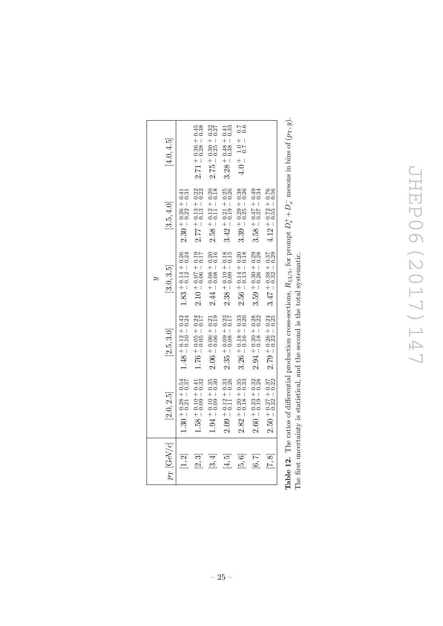# **JHEP06(2017)147** JHEP06(2017)147

| $p_{\rm T}$ [GeV/c] | [2.0, 2.5]                              | $[2.5, 3.0]$                                 | [3.0, 3.5]                              | [3.5, 4.0]                              | [4.0, 4.5]                             |
|---------------------|-----------------------------------------|----------------------------------------------|-----------------------------------------|-----------------------------------------|----------------------------------------|
| [1, 2]              | $1.30 + 0.28 + 0.54$<br>$- 0.21 - 0.37$ | $1.48 + 0.12 + 0.42$<br>$0.10 - 0.24$        | $1.83 + 0.14 + 0.26$<br>$- 0.12 = 0.24$ | $2.30 + 0.26 + 0.41$<br>$- 0.22 - 0.31$ |                                        |
| [2,3]               | $1.58 + 0.10 + 0.41$<br>$0.32$          | $1.76 + 0.05 + 0.24$<br>$50.0 + 0.05 = 0.17$ | $2.10 + 0.07 + 0.19$<br>$-0.06 - 0.17$  | $2.77 + 0.13 + 0.22$<br>$0.22 + 0.22$   | $2.71 + 0.36 + 0.45$<br>$-0.38 - 0.38$ |
| [3, 4]              | $1.94 + 0.10 + 0.35$<br>$0.35 + 0.30$   | $2.06 + 0.06 + 0.21$<br>$0.06 - 0.19$        | $2.44 + 0.08 + 0.20$<br>$0.16$          | $2.58 + 0.12 + 0.20$<br>$0.11 - 0.18$   | $2.75 + 0.30 + 0.32$<br>$0.37$         |
| [4, 5]              | $2.09 + 0.12 + 0.33$<br>$0.26$          | $2.35 + 0.09 + 0.23$<br>$-0.08 - 0.17$       | $2.38 + 0.10 + 0.18$<br>$-0.09 - 0.15$  | $3.42 + 0.21 + 0.25$<br>$0.19 - 0.26$   | $3.28 + 0.48 + 0.41$<br>$0.38 - 0.33$  |
| [5, 6]              | $2.82 + 0.20 + 0.35$<br>$-0.18 - 0.33$  | $3.26 + 0.18 + 0.33$<br>$0.20$               | $2.56 + 0.14 + 0.20$<br>$0.13 - 0.18$   | $3.39 + 0.29 + 0.38$<br>$-0.25 - 0.26$  | $4.0 + 1.0 + 0.7$<br>0.6               |
| [6, 7]              | $2.60 + 0.23 + 0.32$<br>$0.19 - 0.28$   | $2.94 + 0.20 + 0.28$<br>0.18 - 0.22          | $3.59 + 0.30 + 0.29$<br>$-0.26 - 0.28$  | $3.58 + 0.47 + 0.49$<br>$3.37 - 0.34$   |                                        |
| $\overline{7,8}$    | $2.50 + 0.27 + 0.37$<br>$- 0.22 - 0.22$ | $2.79 + 0.26 + 0.24$<br>$- 0.22 - 0.25$      | $3.47 + 0.38 + 0.37$<br>$-0.32 - 0.29$  | $4.12 + 0.72 + 0.76$<br>$0.55 - 0.56$   |                                        |

**Table 12.** The ratios of differential production cross-sections,  $R_{13/5}$ , for prompt  $D_s^+ + D_s^-$  mesons in bins of  $(p_T, y)$ . **Table 12.** The ratios of differential production cross-sections,  $R_{13/5}$ , for prompt  $D_s^+ + D_s^-$  mesons in bins of  $(p_T, y)$ . The first uncertainty is statistical, and the second is the total systematic. The first uncertainty is statistical, and the second is the total systematic.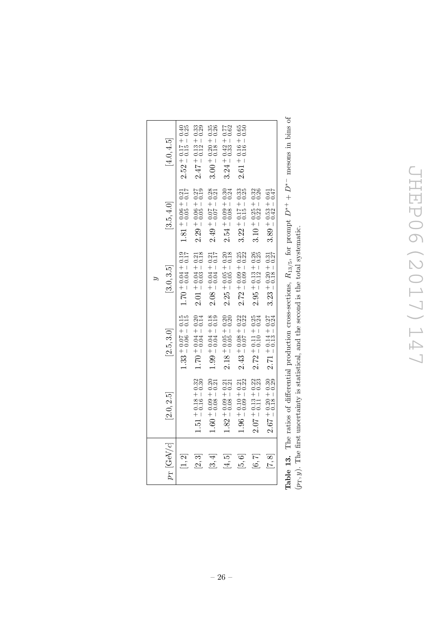# **JHEP06(2017)147** JHEP06(2017)147

|                      |                                            |                                              | Ś,                                      |                                              |                                              |
|----------------------|--------------------------------------------|----------------------------------------------|-----------------------------------------|----------------------------------------------|----------------------------------------------|
| $p_{\rm T}$ [GeV/c]  | [2.0, 2.5]                                 | [2.5, 3.0]                                   | [3.0, 3.5]                              | [3.5, 4.0]                                   | [4.0, 4.5]                                   |
| $[1, 2]$             |                                            | $1.33 + 0.07 + 0.15$<br>$0.33 + 0.06 = 0.15$ | $1.70 + 0.0 + 0.04 = 0.15$              | $1.81 + 0.06 + 0.21$<br>$0.5 - 0.17$         | $2.52 + 0.17 + 0.40$<br>$0.5 - 0.15 = 0.25$  |
| [2,3]                | $1.51 + 0.18 + 0.32$<br>$0.30 + 0.30$      | $1.70 + 0.04 + 0.20$<br>$0.14$               | $2.01 + 0.04 + 0.21$<br>$- 0.03 - 0.18$ | $2.29 + 0.06 + 0.27$<br>$-0.05 - 0.19$       | $2.47 + 0.13 + 0.33$<br>$0.29$               |
| [3, 4]               | $1.60 + 0.09 + 0.20$<br>$-0.08 - 0.21$     | $1.99 + 0.04 + 0.18$<br>$0.19 + 0.04 = 0.19$ | $2.08 + 0.04 + 0.21$<br>$- 0.04 - 0.17$ | $2.49 + 0.07 + 0.28$<br>$2.49 + 0.07 - 0.21$ | $3.00 + 0.20 + 0.35$<br>$0.18 - 0.26$        |
| īΩ<br>$\overline{4}$ | $1.82 + 0.09 + 0.21$<br>$0.31 + 0.21$      | $2.18 + 0.05 + 0.20$<br>$0.20 + 0.20$        | $2.25 + 0.05 + 0.20$<br>$-0.05 - 0.18$  | $2.54 + 0.09 + 0.30$<br>$- 0.08 - 0.24$      | $3.24 + 0.42 + 0.77$<br>$3.24 - 0.33 - 0.62$ |
| [5,6]                | $1.96 + 0.10 + 0.21$<br>$0.21 + 0.22$      | $2.43 + 0.08 + 0.22$<br>0.7 - 0.22           | $2.72 + 0.09 + 0.25$<br>$- 0.09 - 0.22$ | $3.22 + 0.17 + 0.33$<br>$0.15 - 0.25$        | $2.61 + 0.16 + 0.65$<br>$0.50$               |
| [6, 7]               | $2.07 + 0.13 + 0.22$<br>0.11 - 0.23        | $2.72 + 0.11 + 0.25$<br>$0.25 - 0.10 = 0.24$ | $2.95 + 0.13 + 0.26$<br>$-0.12 - 0.25$  | $3.10 + 0.25 + 0.32$<br>$0.22 - 0.26$        |                                              |
| [7, 8]               | $2.67 + 0.20 + 0.30$<br>$-0.30$<br>$-0.30$ | $2.71 + 0.14 + 0.27$<br>$- 0.13 - 0.24$      | $3.23 + 0.20 + 0.31$ $0.18 - 0.27$      | $3.89 + 0.53 + 0.61$<br>$-0.42 - 0.47$       |                                              |
|                      |                                            |                                              |                                         |                                              |                                              |

<span id="page-26-0"></span>mesons in bins of **Table 13.** The ratios of differential production cross-sections,  $R_{13/5}$ , for prompt  $D^{*+} + D^{*-}$  mesons in bins of  $\sum_{+}^{*}$ **Table 13.** The ratios of differential production cross-sections,  $R_{13/5}$ , for prompt  $D^*$  $(p_T, y)$ . The first uncertainty is statistical, and the second is the total systematic.  $(p_T, y)$ . The first uncertainty is statistical, and the second is the total systematic.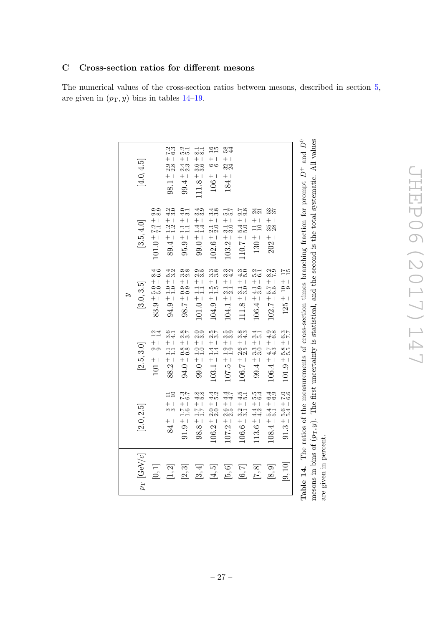## <span id="page-27-1"></span><span id="page-27-0"></span>C Cross-section ratios for different mesons

The numerical values of the cross-section ratios between mesons, described in section [5,](#page-11-0) are given in  $(p_T, y)$  bins in tables [14](#page-27-1)[–19.](#page-32-0)

| $111.8 + 3.6 +$<br>$+1$<br>[4.0, 4.5]<br>$99.4 + 2.4$<br>00<br>24<br>$+1$<br>$+1$<br>98.1<br>184<br>106<br>ဝဝ<br>ဝ၀<br>$\frac{2}{3}$ .0<br>$rac{0}{3}$ .1<br>40.<br>33<br>.<br>ಇ.<br>ಇ.<br>15.17<br>15.17<br>$\frac{8.8}{0.0}$<br>$\frac{4}{21}$<br>537<br>$\frac{1}{1.4}$ + 1<br>$102.6 + 2.1 + 1.02 + 0.01$<br>$+1$<br>$+1$<br>$+1$<br>$+$  <br>$101.0 + 7.2 +$<br>$+1$<br>$+$ $+$<br>[3.5, 4.0]<br>$110.7 + 5.4$<br>$89.4 \pm 1.2 \\ 1.2$<br>$\Xi$<br>$103.2 \pm 3.1$<br>$\overline{10}$<br>328<br>$99.0\pm$ !<br>$95.9 + 1$<br>$202 +$<br>$130 +$<br>$3.1 + 4.3$<br>$3.0 - 5.0$<br>8.66<br>53.<br>53.<br>0,00<br>نسن<br>က္တ<br>ကက်<br>ು<br>ಬಗ್<br>5.2<br>5.3<br>$\frac{25}{25}$<br>$\frac{7}{15}$<br>n d<br>00<br>$101.0 \pm \frac{1.1}{1.1} =$<br>$104.9\pm1.5\pm$<br>$\frac{2.1 + 1}{2.1 - 1}$<br>$\frac{1}{2}$ $\frac{1}{2}$ $\frac{1}{2}$<br>$83.9 + 5.0 + $<br>$+1$<br>$-0.0$<br>$106.4 + 4.1 +$<br>$94.9 \div 1.0 \div 1.0$<br>[3.0, 3.5]<br>$-1/8.7$<br>$111.8 +$<br>$104.1 +$<br>$102.7 +$<br>$\frac{8}{3}$<br>೦೦<br>೧.೧<br>257<br>25<br>5<br>33<br>33<br>3.33<br>3.4<br>$\frac{4}{3}$<br>9.8<br>4.6<br>$\frac{3}{7}$<br>$\frac{24}{14}$<br>6<br>ග් <del>ල්</del><br>$-8.58 +$<br>- 8.58 +<br>$88.2 \div 1.1 \div 1.1$<br>$99.0 + 1.0 +$<br>$103.1 + 1.4 +$<br>$+1$<br>$-1$<br>$-1$<br>$+1$<br>$99.4 + 3.3 +$<br>$106.4 + 4.7 +$<br>$+1$<br>$94.0 + 0.8 +$<br>$106.7 + 2.6 +$<br>[2.5, 3.0]<br>ာတ<br>$+1$<br>107.5<br>101<br>$\Xi$<br>257<br>27<br>$rac{8}{10}$<br>$\frac{4.3}{5.2}$<br>$4.7$<br>$4.7$<br>$\frac{15}{45}$<br>5<br>54<br>54<br>$108.4 + 5.4 + 6.4$<br>$5.1 - 6.9$<br>$5.3 + 7.0$<br>5.4 - 6.6<br>$\Xi$ <sup>2</sup><br>$+1$<br>$\frac{1.7}{1.7}$<br>$+1$<br>$106.2 + 2.0 + 1.00 + 1.00 + 1.00 + 1.00 + 1.00 + 1.00 + 1.00 + 1.00 + 1.00 + 1.00 + 1.00 + 1.00 + 1.00 + 1.00 + 1.00 + 1.00 + 1.00 + 1.00 + 1.00 + 1.00 + 1.00 + 1.00 + 1.00 + 1.00 + 1.00 + 1.00 + 1.00 + 1.00 + 1.00 + 1.00 + 1.00 + 1.00 + 1.00 + 1.00 + 1.00$<br>$+1$<br>$+1$<br>$+1$<br>[2.0, 2.5]<br>$\frac{1}{2}$<br>က္က<br>$\frac{1}{1.6}$<br>$106.6\pm\substack{3.2\\ 5.1}$<br>$\frac{4}{3}$<br>$91.9 +$<br>$113.6 +$<br>$98.8 +$<br>$+1$<br>$rac{+}{84}$<br>$107.2 +$<br>$91.3^{-}$<br>$p_{\rm T}$ [GeV/c]<br>[9, 10]<br>[0,1]<br>$[1, 2]$<br>[2,3]<br>$[5, 6]$<br>[7, 8]<br>[8, 9]<br>[3, 4]<br>[4, 5]<br>$[6, 7]$ |  | S,           |                          |
|-----------------------------------------------------------------------------------------------------------------------------------------------------------------------------------------------------------------------------------------------------------------------------------------------------------------------------------------------------------------------------------------------------------------------------------------------------------------------------------------------------------------------------------------------------------------------------------------------------------------------------------------------------------------------------------------------------------------------------------------------------------------------------------------------------------------------------------------------------------------------------------------------------------------------------------------------------------------------------------------------------------------------------------------------------------------------------------------------------------------------------------------------------------------------------------------------------------------------------------------------------------------------------------------------------------------------------------------------------------------------------------------------------------------------------------------------------------------------------------------------------------------------------------------------------------------------------------------------------------------------------------------------------------------------------------------------------------------------------------------------------------------------------------------------------------------------------------------------------------------------------------------------------------------------------------------------------------------------------------------------------------------------------------------------------------------------------------------------------------------------------------------------------------------------------------------------------------------------------------------------------------------------------------------------------------------------|--|--------------|--------------------------|
|                                                                                                                                                                                                                                                                                                                                                                                                                                                                                                                                                                                                                                                                                                                                                                                                                                                                                                                                                                                                                                                                                                                                                                                                                                                                                                                                                                                                                                                                                                                                                                                                                                                                                                                                                                                                                                                                                                                                                                                                                                                                                                                                                                                                                                                                                                                       |  |              |                          |
|                                                                                                                                                                                                                                                                                                                                                                                                                                                                                                                                                                                                                                                                                                                                                                                                                                                                                                                                                                                                                                                                                                                                                                                                                                                                                                                                                                                                                                                                                                                                                                                                                                                                                                                                                                                                                                                                                                                                                                                                                                                                                                                                                                                                                                                                                                                       |  |              |                          |
|                                                                                                                                                                                                                                                                                                                                                                                                                                                                                                                                                                                                                                                                                                                                                                                                                                                                                                                                                                                                                                                                                                                                                                                                                                                                                                                                                                                                                                                                                                                                                                                                                                                                                                                                                                                                                                                                                                                                                                                                                                                                                                                                                                                                                                                                                                                       |  |              | 7.3<br>$+2.9 +$          |
|                                                                                                                                                                                                                                                                                                                                                                                                                                                                                                                                                                                                                                                                                                                                                                                                                                                                                                                                                                                                                                                                                                                                                                                                                                                                                                                                                                                                                                                                                                                                                                                                                                                                                                                                                                                                                                                                                                                                                                                                                                                                                                                                                                                                                                                                                                                       |  |              | $\frac{2}{5}$ .1<br>$+1$ |
|                                                                                                                                                                                                                                                                                                                                                                                                                                                                                                                                                                                                                                                                                                                                                                                                                                                                                                                                                                                                                                                                                                                                                                                                                                                                                                                                                                                                                                                                                                                                                                                                                                                                                                                                                                                                                                                                                                                                                                                                                                                                                                                                                                                                                                                                                                                       |  |              | $\frac{1}{8}$            |
|                                                                                                                                                                                                                                                                                                                                                                                                                                                                                                                                                                                                                                                                                                                                                                                                                                                                                                                                                                                                                                                                                                                                                                                                                                                                                                                                                                                                                                                                                                                                                                                                                                                                                                                                                                                                                                                                                                                                                                                                                                                                                                                                                                                                                                                                                                                       |  |              | $\frac{65}{10}$          |
|                                                                                                                                                                                                                                                                                                                                                                                                                                                                                                                                                                                                                                                                                                                                                                                                                                                                                                                                                                                                                                                                                                                                                                                                                                                                                                                                                                                                                                                                                                                                                                                                                                                                                                                                                                                                                                                                                                                                                                                                                                                                                                                                                                                                                                                                                                                       |  |              | 584<br>$+1$              |
|                                                                                                                                                                                                                                                                                                                                                                                                                                                                                                                                                                                                                                                                                                                                                                                                                                                                                                                                                                                                                                                                                                                                                                                                                                                                                                                                                                                                                                                                                                                                                                                                                                                                                                                                                                                                                                                                                                                                                                                                                                                                                                                                                                                                                                                                                                                       |  |              |                          |
|                                                                                                                                                                                                                                                                                                                                                                                                                                                                                                                                                                                                                                                                                                                                                                                                                                                                                                                                                                                                                                                                                                                                                                                                                                                                                                                                                                                                                                                                                                                                                                                                                                                                                                                                                                                                                                                                                                                                                                                                                                                                                                                                                                                                                                                                                                                       |  |              |                          |
|                                                                                                                                                                                                                                                                                                                                                                                                                                                                                                                                                                                                                                                                                                                                                                                                                                                                                                                                                                                                                                                                                                                                                                                                                                                                                                                                                                                                                                                                                                                                                                                                                                                                                                                                                                                                                                                                                                                                                                                                                                                                                                                                                                                                                                                                                                                       |  |              |                          |
|                                                                                                                                                                                                                                                                                                                                                                                                                                                                                                                                                                                                                                                                                                                                                                                                                                                                                                                                                                                                                                                                                                                                                                                                                                                                                                                                                                                                                                                                                                                                                                                                                                                                                                                                                                                                                                                                                                                                                                                                                                                                                                                                                                                                                                                                                                                       |  | $125 + 10 +$ |                          |

mesons in bins of  $\mu$ 

are given in percent.

 $\sigma$ 

T, y). The first uncertainty is statistical, and the second is the total systematic. All values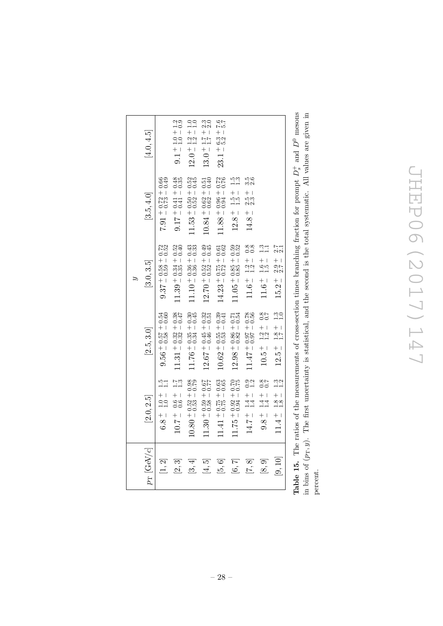| $10.80 + 0.52 + 0.98$<br>$0.79$<br>$-100$<br>$\frac{+}{1.0}$<br>[2.0, 2.5]<br>$6.8 +$<br>$10.7 +$<br>$p_{\rm T}$ [GeV/c]<br>[3, 4]<br>$\left[1,2\right]$<br>[2,3] | $11.31 + 0.32 + 0.38$<br>$0.47$<br>$9.56 + 0.57 + 0.54$<br>$0.60 + 0.58 = 0.60$<br>[2.5, 3.0]<br>$\frac{7}{11}$ | [3.0, 3.5]                                                   | [3.5, 4.0]                                    |                                     |
|-------------------------------------------------------------------------------------------------------------------------------------------------------------------|-----------------------------------------------------------------------------------------------------------------|--------------------------------------------------------------|-----------------------------------------------|-------------------------------------|
|                                                                                                                                                                   |                                                                                                                 |                                                              |                                               | $[4.0, 4.5]$                        |
|                                                                                                                                                                   |                                                                                                                 | $9.37 + 0.58 + 0.72$<br>$0.59 - 0.52$                        | 88.00<br>$7.91 + 0.72 +$                      |                                     |
|                                                                                                                                                                   |                                                                                                                 | $11.39 + 0.34 + 0.52$<br>$11.39 - 0.35 - 0.40$               | 0.35<br>$0.17 + 0.41 + 0.41 + 0.6$            | $9.1\pm1.0\pm1.2\\1.0\pm0.9$        |
|                                                                                                                                                                   | $11.76 + 0.35 + 0.30$<br>$0.34 - 0.45$                                                                          | $11.10 + 0.36 + 0.43$<br>$11.10 - 0.36 - 0.33$               | $11.53 + 0.50 + 0.52$ $-0.52 - 0.45$          | $12.0 + 1.2 + 1.0$<br>$1.2 - 1.0$   |
| $11.30 + 0.59 + 0.67$<br>$-0.58 - 0.77$<br><u>ನ</u><br>$\vec{4}$                                                                                                  | $12.67 + 0.45 + 0.32$<br>$0.46 - 0.51$                                                                          | $12.70 + 0.52 + 0.49$<br>$1 - 0.52 = 0.45$                   | $10.84 + 0.62 + 0.51$<br>$0.62 - 0.61$        | $13.0 \pm 1.7 + 2.3$<br>$1.7 - 2.0$ |
| $11.41 + 0.75 + 0.63$<br>$0.75 - 0.65$<br>[5, 6]                                                                                                                  | $10.62 + 0.55 + 0.39$<br>$0.41$                                                                                 | $14.23 + 0.75 + 0.61$<br>$0.72 - 0.62$                       | $11.88 + 0.96 + 0.72$<br>$0.72 + 0.94 = 0.76$ | $23.1 + 6.3 + 7.6$                  |
| $11.75 + 0.92 + 0.70$<br>$0.75$<br>[6, 7]                                                                                                                         | $12.98 + 0.86 + 0.71$<br>$0.32 - 0.54$                                                                          | $11.05 + 0.85 + 0.59$<br>$0.52$                              | i<br>Tin<br>Tin<br>$12.8 + 1.5 +$             |                                     |
| $\frac{1}{1}$ .4 -<br>$14.7 +$<br>[7, 8]                                                                                                                          | $11.47 + 0.0 + 76.0 + 11.14$<br>$\frac{0.2}{1.2}$                                                               | $\frac{88}{0.8}$<br>$\frac{1}{1}$ .2<br>1.2<br>$11.6^{\, +}$ | దిం<br>mai<br>$^{+}$<br>no<br>23<br>$14.8 +$  |                                     |
| $+1$<br>$+4$<br>$+4$<br>$9.8 +$<br>[8, 9]                                                                                                                         | $\frac{28}{20}$<br>$\frac{1}{1.2}$<br>$10.5 +$<br>$\frac{8}{6}$                                                 | $\frac{3}{11}$<br>$\frac{1}{1}$ .5<br>1.5<br>$11.6^{\, +}$   |                                               |                                     |
| $\frac{1.8}{1.8}$<br>$11.4 +$<br>[9, 10]                                                                                                                          | $\frac{30}{11}$<br>$\frac{1.8}{1.7}$<br>$12.5 +$<br>$\frac{3}{11}$                                              | $\frac{7}{21}$<br>$+1$<br>2.7<br>2.2<br>$+1$<br>15.2         |                                               |                                     |

**Table 15.** The ratios of the measurements of cross-section times branching fraction for prompt  $D_s^+$  and  $D^0$  mesons in bins of  $(p_T, y)$ . The first uncertainty is statistical, and the second is the total systematic. All values are given in **Table 15.** The ratios of the measurements of cross-section times branching fraction for prompt  $D_s^+$  and  $D^0$  mesons in bins of  $(p_T, y)$ . The first uncertainty is statistical, and the second is the total systematic. All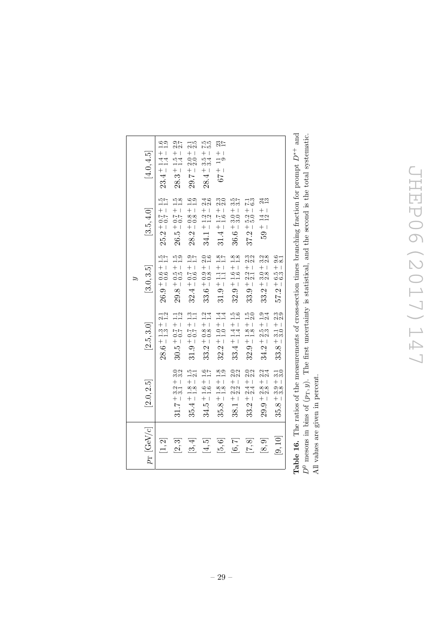|                            |                                                          |                                                                                | É,                                                                               |                                                                      |                                                                               |
|----------------------------|----------------------------------------------------------|--------------------------------------------------------------------------------|----------------------------------------------------------------------------------|----------------------------------------------------------------------|-------------------------------------------------------------------------------|
| $p_{\rm T}$ [GeV/c]        | [2.0, 2.5]                                               | [2.5, 3.0]                                                                     | [3.0, 3.5]                                                                       | [3.5, 4.0]                                                           | [4.0, 4.5]                                                                    |
| [1,2]                      |                                                          | $\frac{21}{1.2}$<br>$+1.3 + 1.3$<br>$28.6 \pm 1$                               | $\frac{5}{11}$<br>$+1$<br>$26.9 + 0.6 - 0.6$                                     | $\frac{1}{1}$ .7<br>$+$ 1<br>$-7.0$<br>$25.2^{+1}$                   | $\frac{60}{11}$<br>$^{+}$<br>$\mathbf{I}$<br>$\frac{4}{11}$<br>$+$ $+$<br>್ಲ. |
| ಸ<br>$\tilde{\mathcal{L}}$ | ೦.<br>೧.೧<br>$+1$<br>.<br>ಇ.ಗ<br>ಇ.<br>$+1$<br>31.7      | $\frac{1}{1}$ .<br>$30.5 + 0.7 +$                                              | $\frac{5}{10}$<br>$29.8 + 0.5 + 0.5$                                             | $\frac{1}{1}$ .8<br>$+1$<br>$\frac{75}{20}$<br>$+1$<br>$26.5^{-}$    | 01<br>212<br>$^{+}$<br>$\mathbb T$<br>$28.3 + 1.5$<br>$1.4$                   |
| ₩<br>$\sim$                | $\frac{5}{21}$<br>$+1$<br>$rac{800}{1}$<br>35.4          | $31.9 + 0.7 + 1.3$<br>$1.1$                                                    | $\frac{3}{1}$ .<br>$32.4 + 0.7 + 0.6$                                            | $\frac{6}{1.9}$<br>$+1$<br>$\frac{88}{0.8}$<br>$28.2 +$              | $\frac{1}{2}5$<br>$+$ 1<br>$\frac{0}{20}$<br>$+1$<br>29.7                     |
| 5<br>$\vec{A}$             | $\frac{6}{1.7}$<br>$+1.6 +$<br>34.5                      | $33.2 + 0.8 + 1.2$<br>$-0.8 - 1.4$                                             | $\frac{0.0}{1.0}$<br>$+1$<br>$-0.8$<br>$+1$<br>$33.6^{-}$                        | 23<br>23<br>$\frac{1}{1}$ . 2 $\frac{1}{1}$<br>$34.1 +$              | 7.10<br>2<br>$+1$<br><br>ಬೆಸ<br>$+1$<br>28.4                                  |
| $[5,6]$                    | $\frac{8}{1.9}$<br>$+1$<br>$rac{300}{11}$<br>35.8        | $32.2 + 1.0 + 1.4$<br>$1.0 - 1.4$                                              | $\frac{3.7}{1.7}$<br>$\begin{array}{c} + \\ - \\ - \\ - \end{array}$<br>$31.9 +$ | <br>೧೧<br>$+$  <br>$\frac{10}{10}$<br>$31.4 +$                       | $\frac{23}{17}$<br>$+$ 1<br>$\overline{a}$<br>$+$ 1<br>79                     |
| [6, 7]                     | $\frac{0}{2}$<br>$+1$<br>2.3<br>2.3<br>$+$ 1<br>38.1     | $1.4 + 1.5$<br>$1.4 - 1.6$<br>$33.4 +$                                         | $\frac{8}{1.8}$<br>$32.9 + 1.6 +$                                                | 3.5<br>3.9<br>$+$ 1<br>ಂ.<br>ನನ<br>$+1$<br>$36.6^-$                  |                                                                               |
| [7,8]                      | 0.2<br>2.3<br>$+1$<br>44<br>23<br>$+$ 1<br>33.2          | $1.8\div1.5$ $1.8\div2.0$<br>$32.9 +$                                          | 2.3<br>$+1$<br>$\frac{21}{21}$<br>$33.9 + 3$                                     | $\frac{13}{2}$<br>$+1$<br>5.0<br>5.0<br>$+$ 1<br>37.2                |                                                                               |
| [8, 9]                     | 24<br>S<br>$+1$<br>$\frac{8}{22}$<br>$+1$<br>29.9        | $\frac{3.4}{2.4}$<br>$+1$<br>.<br>೧೧<br>೧೧<br>$+1$<br>34.2                     | .<br>೧.೮<br>೧<br>$+$ 1<br>ಂ.<br>೧.೮<br>$+1$<br>33.2                              | $\frac{43}{13}$<br>$+$  <br>142<br>$+1$<br>59                        |                                                                               |
| [9, 10]                    | $\frac{1}{3}$<br>$+1$<br>ာ<br>တက်<br>တက်<br>$+1$<br>35.8 | $\frac{3}{2}.\overline{9}$<br>$\frac{1}{3}$ - 1 - 1<br>$+1$<br>$\infty$<br>33. | $\frac{6}{30}$<br>$^{+}$<br>$\overline{\phantom{a}}$<br>5.<br>၁၀<br>$+1$<br>57.2 |                                                                      |                                                                               |
| ĺ                          | $\frac{1}{2}$                                            |                                                                                |                                                                                  | $\ddot{\phantom{0}}$<br>$\ddot{\phantom{0}}$<br>$\ddot{\phantom{0}}$ | $\frac{1}{2}$                                                                 |

**Table 16.** The ratios of the measurements of cross-section times branching fraction for prompt  $D^{*+}$  and  $D^0$  mesons in bins of  $(p_T, y)$ . The first uncertainty is statistical, and the second is the total systematic.<br>All values are given in percent. **Table 16.** The ratios of the measurements of cross-section times branching fraction for prompt  $D^{*+}$  and  $D^0$  mesons in bins of  $(p_T, y)$ . The first uncertainty is statistical, and the second is the total systematic. All values are given in percent.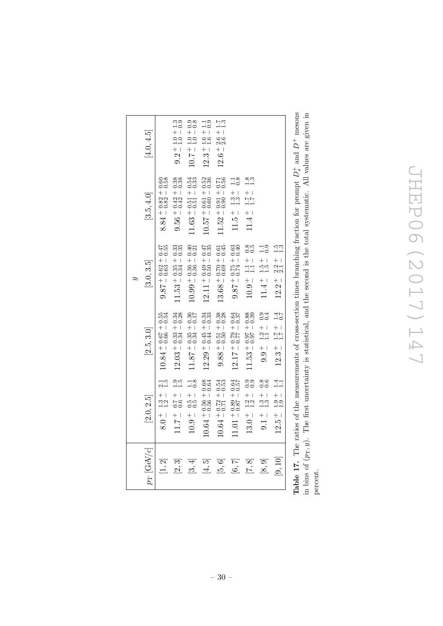| $6.0 +$<br>$p_{\rm T}$ [GeV/c]<br>$[1, 2]$ |                                                       |                                                    |                                                 |                                               |                                        |
|--------------------------------------------|-------------------------------------------------------|----------------------------------------------------|-------------------------------------------------|-----------------------------------------------|----------------------------------------|
|                                            | [2.0, 2.5]                                            | [2.5, 3.0]                                         | [3.0, 3.5]                                      | [3.5, 4.0]                                    | [4.0, 4.5]                             |
|                                            | $\frac{1}{1}$ .3 -                                    | $10.84 + 0.67 + 0.55$<br>$0.54 + 0.66 = 0.54$      | $9.87 + 0.62 + 0.47$<br>$0.55 - 0.55$           | $8.84 + 0.82 + 0.60$<br>$-0.58$               |                                        |
| $11.7 +$<br>[2,3]                          | $\frac{3}{11}$<br>$-1 + 7$<br>$-5$<br>$-5$            | $12.03 + 0.33 + 0.34$<br>$- 0.34 - 0.28$           | $11.53 + 0.35 + 0.33$<br>$0.34 - 0.35$          | $9.56 + 0.42 + 0.38$<br>$9.56 + 0.42 = 0.38$  | $9.2 \pm 1.0 + 1.3$<br>$1.0 - 0.9$     |
| $10.9 +$<br>[3, 4]                         | $\frac{1}{0.8}$<br>$\frac{1}{0.5}$                    | $11.87 \pm 0.35 \pm 0.36$<br>$+ 0.34 \pm 0.17$     | $10.99 + 0.36 + 0.40$<br>$0.40 + 0.36 + 0.40$   | $11.63 + 0.51 + 0.54$ $-0.51 - 0.33$          | $10.7 + 1.0 + 0.8$<br>10.7 + 1.0 + 0.8 |
| īΟ.<br>$\overline{4}$                      | $10.64 + 0.56 + 0.68$<br>$0.64 + 0.56 = 0.64$         | $12.29 + 0.45 + 0.34$<br>$0.44 - 0.33$             | $12.11 + 0.49 + 0.47$<br>$1 - 0.50 - 0.35$      | $10.57 + 0.61 + 0.52$<br>$0.57 - 0.60 - 0.36$ | $12.3 \pm 1.6 \pm 1.1$<br>$1.6 - 0.9$  |
| [5, 6]                                     | $10.64 \pm 0.72 + 0.54$<br>$-1.72 \pm 0.53$           | $9.88 + 0.51 + 0.38$<br>$0.38 - 0.50 = 0.28$       | $13.68 \pm 0.70 + 0.61$ $0.69 - 0.45$           | $11.52 + 0.91 + 0.71$ $0.56$                  | $12.6 + 2.6 + 1.7$<br>$1.3$            |
| [6, 7]                                     | $11.01 + 0.89 + 0.64$<br>$+ 0.87 - 0.57$              | $12.17 + 0.79 + 0.84$<br>$+ 0.37$                  | $9.87 + 0.75 + 0.63$<br>$0.40 + 0.40$           | $\frac{1}{0}$ .<br>$11.5 \pm 1.3 \pm 1.3$     |                                        |
| $13.0 +$<br>[7, 8]                         | ၈၈<br>၁၁<br>$\frac{1.2}{1.2}$                         | $11.53 + 0.97 + 0.88$<br>$0.37 - 0.39$             | $\frac{8}{30}$<br>$10.9 + 1.1 +$                | $\frac{8}{10}$<br>$11.4 \pm 1.7 +$            |                                        |
| $0.1 +$<br>[8, 9]                          | $\frac{8}{0}$<br>$\frac{1}{1}$ .3<br>$\frac{1}{1}$ .1 | 0.4<br>0.0<br>$\frac{1}{1.1}$<br>$-1.6 \div 0$     | $\frac{1}{10}$<br>$\frac{1.5}{1.5}$<br>$11.4 +$ |                                               |                                        |
| $12.5 +$<br>[9, 10]                        | 1.1<br>$\frac{+1.9}{-1.9}$                            | $\frac{1.7}{0.7}$<br>$\frac{1.7}{1.7}$<br>$12.3 +$ | 1.3<br>$\frac{1}{2}$ .<br>2.1<br>$12.2 +$       |                                               |                                        |

**Table 17.** The ratios of the measurements of cross-section times branching fraction for prompt  $D_s^+$  and  $D^+$  mesons in bins of  $(p_T, y)$ . The first uncertainty is statistical, and the second is the total systematic. All values are given in **Table 17.** The ratios of the measurements of cross-section times branching fraction for prompt  $D_s^+$  and  $D^+$  mesons in bins of  $(p_T, y)$ . The first uncertainty is statistical, and the second is the total systematic. All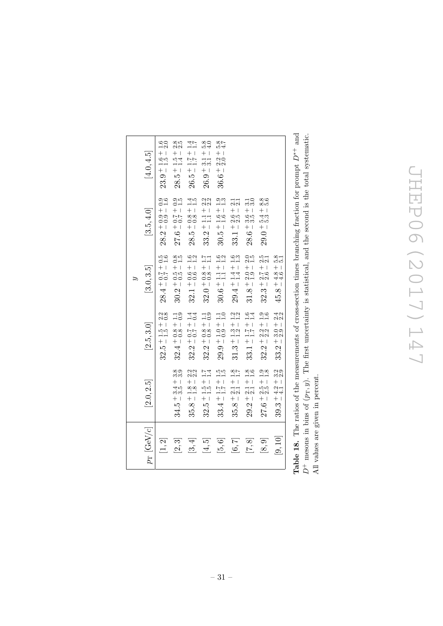|                                                                                                                                                                                                                                                                                                                     |                                                                            |                                                               | É,                                                          |                                                                                                                                                                                                                                                                                                                                                                                                                |                                                                                         |
|---------------------------------------------------------------------------------------------------------------------------------------------------------------------------------------------------------------------------------------------------------------------------------------------------------------------|----------------------------------------------------------------------------|---------------------------------------------------------------|-------------------------------------------------------------|----------------------------------------------------------------------------------------------------------------------------------------------------------------------------------------------------------------------------------------------------------------------------------------------------------------------------------------------------------------------------------------------------------------|-----------------------------------------------------------------------------------------|
| $p_{\rm T}$ [GeV/c]                                                                                                                                                                                                                                                                                                 | [2.0, 2.5]                                                                 | [2.5, 3.0]                                                    | [3.0, 3.5]                                                  | [3.5, 4.0]                                                                                                                                                                                                                                                                                                                                                                                                     | [4.0, 4.5]                                                                              |
| [1, 2]                                                                                                                                                                                                                                                                                                              |                                                                            | $\frac{2.2}{0.8}$<br>$32.5 + 1.5 +$                           | $\frac{5}{0.6}$<br>$+$ $\overline{1}$<br>$-7.0$<br>$28.4 -$ | $\frac{0.0}{0.0}$<br>$+1$<br>$28.2 + 0.9$                                                                                                                                                                                                                                                                                                                                                                      | $\frac{1.6}{2.0}$<br>$^{+}$<br>$\bar{\phantom{a}}$<br>$\frac{6}{10}$<br>$-9 + 1$<br>23. |
| 3<br>$\overline{\alpha}$                                                                                                                                                                                                                                                                                            | 8.99<br>8.99<br>$^{+}$<br>$\bar{\phantom{a}}$<br>3.5<br>25<br>$+1$<br>34.5 | $\frac{1}{0}$ .<br>$32.4 + 0.8 + 0.8$                         | $\frac{8}{1.5}$<br>$+$ 1<br>$-100$<br>30.2                  | $\frac{310}{10}$<br>$\frac{1}{1} + \frac{7}{10} + \frac{1}{10} + \frac{1}{10} + \frac{1}{10} + \frac{1}{10} + \frac{1}{10} + \frac{1}{10} + \frac{1}{10} + \frac{1}{10} + \frac{1}{10} + \frac{1}{10} + \frac{1}{10} + \frac{1}{10} + \frac{1}{10} + \frac{1}{10} + \frac{1}{10} + \frac{1}{10} + \frac{1}{10} + \frac{1}{10} + \frac{1}{10} + \frac{1}{10} + \frac{1}{10} + \frac{1}{10} + \frac{1}{$<br>27.6 | 2.5<br>$^{+}$<br>$\mathbb T$<br>$\frac{5}{1.4}$<br>$+1$<br>ΙQ.<br>28.                   |
| 4<br>$\hat{\mathcal{E}}$                                                                                                                                                                                                                                                                                            | ŃΜ<br>00<br>$^{+}$<br>$\mathsf I$<br>$rac{8}{1}$<br>+ 1<br>35.8            | $\frac{4}{10}$<br>$32.2 + 0.7 +$                              | $\frac{1}{1}$ .<br>$+1$<br>$+6$<br>$+1$<br>32.1             | $\frac{115}{10}$<br>$+1$<br>$\frac{8}{00}$<br>$28.5 +$                                                                                                                                                                                                                                                                                                                                                         | 1.7<br>$+1$<br>$\frac{7}{1.7}$<br>$+1$<br>ŗÖ<br>26.                                     |
| Ğ<br>$\vec{f}$                                                                                                                                                                                                                                                                                                      | 1.4<br>$+1.5 -$<br>32.5                                                    | $\frac{1}{0}$ .9<br>$32.2 + 0.8 +$                            | $\frac{17}{11}$<br>$+1$<br>$32.0 + 0.8$                     | ŃΜ<br>9.<br>$33.2 \div 1.1 \div 1.1$                                                                                                                                                                                                                                                                                                                                                                           | 5.8<br>$+1$<br>$\frac{1}{2}$<br>$+1$<br>$\ddot{\circ}$<br>SS.                           |
| $[5,6]$                                                                                                                                                                                                                                                                                                             | $\frac{5}{110}$<br>$+1$<br>$\frac{7}{1.7}$<br>$+1$<br>4<br>33.             | $-1.0 + 1.1$<br>$-1.0 - 1.0$<br>$29.9 +$                      | $\frac{6}{11}$<br>$+11$<br>+ 11<br>+ 1<br>$30.6^{-}$        | $\frac{3}{11}$<br>$+1$<br>$\frac{60}{11}$<br>$+1$<br>$30.5^{-}$                                                                                                                                                                                                                                                                                                                                                | 5.4<br>4.7<br>$+1$<br>ು<br>೧.೦<br>$+$ 1<br>ڢَ<br>36.                                    |
| $[6, 7]$                                                                                                                                                                                                                                                                                                            | $\frac{3.8}{1.7}$<br>$^{+}$<br>$\,$ $\,$<br>$\frac{1}{21}$<br>$+1$<br>35.8 | $\frac{2}{1}$ .<br>$31.3 \,{}^{+\, 1.3}_{-\, 1.2} \,{}^{\,+}$ | $\frac{6}{11}$<br>$+1$<br>$-1$<br>$-1$<br>$29.4 +$          | $\frac{1}{21}$<br>$+1$<br>0.5<br>2.9<br>$+1$<br>33.1                                                                                                                                                                                                                                                                                                                                                           |                                                                                         |
| $[7,8]$                                                                                                                                                                                                                                                                                                             | $\frac{8}{1.6}$<br>$\frac{+1}{2 \cdot 1}$<br>$+1$<br>29.2                  | $33.1 + 1.7 + 1.6$<br>$1.7 - 1.4$                             | $\frac{2.5}{1.5}$<br>$+$ 1<br>$-2.9$<br>+ 1.9<br>31.8       | $\frac{1}{2}$<br>$+1$<br>ပြော<br>တက်<br>$+$ 1<br>28.6                                                                                                                                                                                                                                                                                                                                                          |                                                                                         |
| [8, 9]                                                                                                                                                                                                                                                                                                              | $\frac{3.8}{1.8}$<br>$\frac{15}{25}$<br>$+1$<br>27.6                       | $\frac{0.9}{1.6}$<br>$+1$<br>32.2                             | $\frac{5}{21}$<br>$+$ 1<br>$\frac{7}{20}$<br>$+$ 1<br>32.3  | 8.9<br>8.9<br>$+1$<br>55<br>155<br>$+1$<br>29.0                                                                                                                                                                                                                                                                                                                                                                |                                                                                         |
| [9, 10]                                                                                                                                                                                                                                                                                                             | 3.9<br>3.9<br>$+4.2 +$<br>39.3                                             | $-3.0 + 2.4$<br>$-2.9 - 2.2$<br>$33.2 +$                      | $\frac{8}{5.1}$<br>$+$ 1<br>$-4.6$<br>+ 1<br>45.8           |                                                                                                                                                                                                                                                                                                                                                                                                                |                                                                                         |
| $\frac{1}{2}$ $\frac{1}{2}$ $\frac{1}{2}$ $\frac{1}{2}$ $\frac{1}{2}$ $\frac{1}{2}$ $\frac{1}{2}$ $\frac{1}{2}$ $\frac{1}{2}$ $\frac{1}{2}$ $\frac{1}{2}$ $\frac{1}{2}$ $\frac{1}{2}$ $\frac{1}{2}$ $\frac{1}{2}$ $\frac{1}{2}$ $\frac{1}{2}$ $\frac{1}{2}$ $\frac{1}{2}$ $\frac{1}{2}$ $\frac{1}{2}$ $\frac{1}{2}$ |                                                                            |                                                               |                                                             | ヒー・コーヒー・サービー サー・コー・コー                                                                                                                                                                                                                                                                                                                                                                                          | $\overline{1}$                                                                          |

**Table 18.** The ratios of the measurements of cross-section times branching fraction for prompt  $D^{*+}$  and  $D^+$  mesons in bins of  $(p_T, y)$ . The first uncertainty is statistical, and the second is the total systematic.<br>All values are given in percent. **Table 18.** The ratios of the measurements of cross-section times branching fraction for prompt  $D^{*+}$  and  $D^+$  mesons in bins of  $(p_T, y)$ . The first uncertainty is statistical, and the second is the total systematic. All values are given in percent.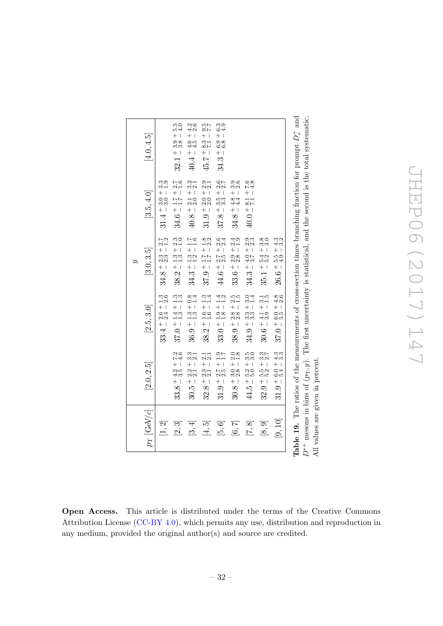<span id="page-32-0"></span>

|                     |                                                                 |                                         | Ľ,                                               |                                                       |                                   |
|---------------------|-----------------------------------------------------------------|-----------------------------------------|--------------------------------------------------|-------------------------------------------------------|-----------------------------------|
| $p_{\rm T}$ [GeV/c] | [2.0, 2.5]                                                      | [2.5, 3.0]                              | [3.0, 3.5]                                       | [3.5, 4.0]                                            | [4.0, 4.5]                        |
| [1, 2]              |                                                                 | $33.4 \pm 2.6 + 1.3$<br>$2.4 \pm 2.6$   | $2.7$<br>$1.2$<br>$34.8 + 2.3 +$                 | ್ಲ<br>ಬೆ—<br>$31.4 + 3.0 +$                           |                                   |
| [2,3]               | $+ 7.3$<br>+ 4.6<br>$\frac{1}{4}$<br>$33.8 + 4$                 | i<br>11<br>11<br>$37.0 + 1.4 +$         | $\frac{30}{21}$<br>$38.2 + 1.3 +$                | $\frac{7}{1.6}$<br>$\frac{1}{1}$ .7 - 1<br>$34.6 + 1$ | 5.0<br>5.4<br>$32.1 + 3.8 -$      |
| [3, 4]              | $3, -2$<br>$-2$<br>$+1$<br>.<br>211<br>212<br>$+1$<br>30.5      | $36.9 + 1.3 + 0.8$<br>$1.3 - 1.4$       | $\frac{3.1}{1.6}$<br>$34.3 + 1.3 +$              | $40.8 + 2.1 + 3.2$<br>$40.8 + 2.1 + 3.2$              | $40.4 + 4.6 + 4.2$<br>$4.5 - 2.6$ |
| [4, 5]              | $\frac{1}{22}$<br>$+1$<br>$32.8 + 2.3$                          | $38.2 \div 1.6 + 1.3$<br>$1.6 - 1.4$    | $37.9 + 1.7 + 1.8$<br>$1.7 - 2.2$                | ್ಲ<br>ನನ<br>$31.9 + 2.0 +$                            | 2.5<br>2.6<br>$45.7 - 8.3 +$      |
| [5,6]               | $\frac{1}{6}$<br>$\frac{1}{6}$<br>$\frac{1}{6}$<br>$31.9 + 2.7$ | $\frac{4}{1}$ .<br>$33.0 + 1.9 + 1.8 -$ | $44.6 + 2.7 + 2.6$<br>4.6 - 2.5 - 2.4            | <u>୦୮</u><br>ମଧ୍<br>$37.8 + 3.5 +$                    | e<br>e4<br>$34.3 + 6.9 +$         |
| [6, 7]              | $\frac{0.8}{1.8}$<br>$30.8 + 3.0$                               | $38.9 + 2.8 + 2.5$<br>$- 2.8 - 1.5$     | 2.9<br>$33.6 + 2.9 + $                           | ್ರ<br>೧೧<br>$34.8 + 4.8 +$                            |                                   |
| [7,8]               | $3,00$<br>+ 1<br>$\frac{1}{2}$<br>$+1$<br>44.5                  | $34.9 + 3.3 + 3.0$<br>$3.3 - 1.4$       | ಾಣ<br>ನನ<br>$34.3 + 4.0 +$                       | $40.0 + 8.1 + 7.6$<br>4.0 - 7.1 - 4.8                 |                                   |
| [6, 9]              | $+1$<br>+ 1<br>່<br>ທ່ານ<br>ທ່ານ<br>$+1$<br>32.9                | $30.6 + 4.1 + 3.1$<br>$1.5$             | <u>တို့ကို</u><br>$+54$<br>$+32$<br>$+1$<br>35.1 |                                                       |                                   |
| [9, 10]             | $31.9 + 6.0 + 4.3$<br>$5.4 - 3.3$                               | $37.0 + 6.0 + 4.8$<br>$5.5 - 2.6$       | 23<br>43<br>$26.6 + 5.5 +$                       |                                                       |                                   |

Open Access. This article is distributed under the terms of the Creative Commons Attribution License [\(CC-BY 4.0\)](https://creativecommons.org/licenses/by/4.0/), which permits any use, distribution and reproduction in any medium, provided the original author(s) and source are credited.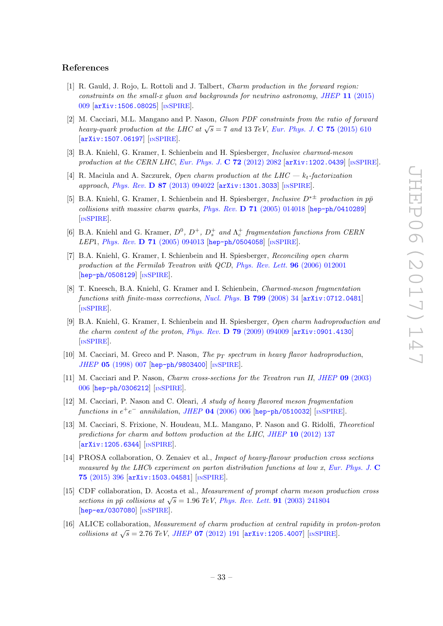### References

- <span id="page-33-0"></span>[1] R. Gauld, J. Rojo, L. Rottoli and J. Talbert, *Charm production in the forward region:* constraints on the small-x gluon and backgrounds for neutrino astronomy, JHEP  $11$  [\(2015\)](https://doi.org/10.1007/JHEP11(2015)009) [009](https://doi.org/10.1007/JHEP11(2015)009) [[arXiv:1506.08025](https://arxiv.org/abs/1506.08025)] [IN[SPIRE](https://inspirehep.net/search?p=find+EPRINT+arXiv:1506.08025)].
- <span id="page-33-5"></span>[2] M. Cacciari, M.L. Mangano and P. Nason, Gluon PDF constraints from the ratio of forward heavy-quark production at the LHC at  $\sqrt{s} = 7$  and 13 TeV, [Eur. Phys. J.](https://doi.org/10.1140/epjc/s10052-015-3814-x) C 75 (2015) 610 [[arXiv:1507.06197](https://arxiv.org/abs/1507.06197)] [IN[SPIRE](https://inspirehep.net/search?p=find+EPRINT+arXiv:1507.06197)].
- <span id="page-33-2"></span>[3] B.A. Kniehl, G. Kramer, I. Schienbein and H. Spiesberger, Inclusive charmed-meson production at the CERN LHC, [Eur. Phys. J.](https://doi.org/10.1140/epjc/s10052-012-2082-2) C  $72$  (2012) 2082  $\left[$ [arXiv:1202.0439](https://arxiv.org/abs/1202.0439) $\right]$  [IN[SPIRE](https://inspirehep.net/search?p=find+EPRINT+arXiv:1202.0439)].
- <span id="page-33-1"></span>[4] R. Maciula and A. Szczurek, Open charm production at the LHC —  $k_t$ -factorization approach, Phys. Rev. D 87 [\(2013\) 094022](https://doi.org/10.1103/PhysRevD.87.094022) [[arXiv:1301.3033](https://arxiv.org/abs/1301.3033)] [IN[SPIRE](https://inspirehep.net/search?p=find+EPRINT+arXiv:1301.3033)].
- <span id="page-33-3"></span>[5] B.A. Kniehl, G. Kramer, I. Schienbein and H. Spiesberger, *Inclusive*  $D^{* \pm}$  production in pp $\bar{p}$ collisions with massive charm quarks, Phys. Rev.  $D$  71 [\(2005\) 014018](https://doi.org/10.1103/PhysRevD.71.014018) [[hep-ph/0410289](https://arxiv.org/abs/hep-ph/0410289)] [IN[SPIRE](https://inspirehep.net/search?p=find+EPRINT+hep-ph/0410289)].
- [6] B.A. Kniehl and G. Kramer,  $D^0$ ,  $D^+$ ,  $D_s^+$  and  $\Lambda_c^+$  fragmentation functions from CERN LEP1, Phys. Rev. D 71 [\(2005\) 094013](https://doi.org/10.1103/PhysRevD.71.094013) [[hep-ph/0504058](https://arxiv.org/abs/hep-ph/0504058)] [IN[SPIRE](https://inspirehep.net/search?p=find+EPRINT+hep-ph/0504058)].
- [7] B.A. Kniehl, G. Kramer, I. Schienbein and H. Spiesberger, Reconciling open charm production at the Fermilab Tevatron with QCD, [Phys. Rev. Lett.](https://doi.org/10.1103/PhysRevLett.96.012001) 96 (2006) 012001 [[hep-ph/0508129](https://arxiv.org/abs/hep-ph/0508129)] [IN[SPIRE](https://inspirehep.net/search?p=find+EPRINT+hep-ph/0508129)].
- <span id="page-33-11"></span>[8] T. Kneesch, B.A. Kniehl, G. Kramer and I. Schienbein, Charmed-meson fragmentation functions with finite-mass corrections, [Nucl. Phys.](https://doi.org/10.1016/j.nuclphysb.2008.02.015)  $\bf{B}$  799 (2008) 34  $\bf{arXiv:}$  0712.0481 [IN[SPIRE](https://inspirehep.net/search?p=find+EPRINT+arXiv:0712.0481)].
- <span id="page-33-4"></span>[9] B.A. Kniehl, G. Kramer, I. Schienbein and H. Spiesberger, Open charm hadroproduction and the charm content of the proton, Phys. Rev.  $\bf{D}$  79 [\(2009\) 094009](https://doi.org/10.1103/PhysRevD.79.094009) [[arXiv:0901.4130](https://arxiv.org/abs/0901.4130)] [IN[SPIRE](https://inspirehep.net/search?p=find+EPRINT+arXiv:0901.4130)].
- <span id="page-33-6"></span>[10] M. Cacciari, M. Greco and P. Nason, The  $p_T$  spectrum in heavy flavor hadroproduction, JHEP 05 [\(1998\) 007](https://doi.org/10.1088/1126-6708/1998/05/007) [[hep-ph/9803400](https://arxiv.org/abs/hep-ph/9803400)] [IN[SPIRE](https://inspirehep.net/search?p=find+EPRINT+hep-ph/9803400)].
- [11] M. Cacciari and P. Nason, *Charm cross-sections for the Tevatron run II, JHEP* 09 [\(2003\)](https://doi.org/10.1088/1126-6708/2003/09/006) [006](https://doi.org/10.1088/1126-6708/2003/09/006) [[hep-ph/0306212](https://arxiv.org/abs/hep-ph/0306212)] [IN[SPIRE](https://inspirehep.net/search?p=find+EPRINT+hep-ph/0306212)].
- [12] M. Cacciari, P. Nason and C. Oleari, A study of heavy flavored meson fragmentation functions in  $e^+e^-$  annihilation, JHEP 04 [\(2006\) 006](https://doi.org/10.1088/1126-6708/2006/04/006) [[hep-ph/0510032](https://arxiv.org/abs/hep-ph/0510032)] [IN[SPIRE](https://inspirehep.net/search?p=find+EPRINT+hep-ph/0510032)].
- <span id="page-33-7"></span>[13] M. Cacciari, S. Frixione, N. Houdeau, M.L. Mangano, P. Nason and G. Ridolfi, Theoretical predictions for charm and bottom production at the LHC, JHEP 10 [\(2012\) 137](https://doi.org/10.1007/JHEP10(2012)137) [[arXiv:1205.6344](https://arxiv.org/abs/1205.6344)] [IN[SPIRE](https://inspirehep.net/search?p=find+EPRINT+arXiv:1205.6344)].
- <span id="page-33-8"></span>[14] PROSA collaboration, O. Zenaiev et al., Impact of heavy-flavour production cross sections measured by the LHCb experiment on parton distribution functions at low  $x$ , [Eur. Phys. J.](https://doi.org/10.1140/epjc/s10052-015-3618-z)  $\bf{C}$ 75 [\(2015\) 396](https://doi.org/10.1140/epjc/s10052-015-3618-z) [[arXiv:1503.04581](https://arxiv.org/abs/1503.04581)] [IN[SPIRE](https://inspirehep.net/search?p=find+EPRINT+arXiv:1503.04581)].
- <span id="page-33-9"></span>[15] CDF collaboration, D. Acosta et al., Measurement of prompt charm meson production cross sections in  $p\bar{p}$  collisions at  $\sqrt{s} = 1.96$  TeV, [Phys. Rev. Lett.](https://doi.org/10.1103/PhysRevLett.91.241804) 91 (2003) 241804 [[hep-ex/0307080](https://arxiv.org/abs/hep-ex/0307080)] [IN[SPIRE](https://inspirehep.net/search?p=find+EPRINT+hep-ex/0307080)].
- <span id="page-33-10"></span>[16] ALICE collaboration, Measurement of charm production at central rapidity in proton-proton collisions at  $\sqrt{s} = 2.76 \text{ TeV}$ , JHEP 07 [\(2012\) 191](https://doi.org/10.1007/JHEP07(2012)191) [[arXiv:1205.4007](https://arxiv.org/abs/1205.4007)] [IN[SPIRE](https://inspirehep.net/search?p=find+EPRINT+arXiv:1205.4007)].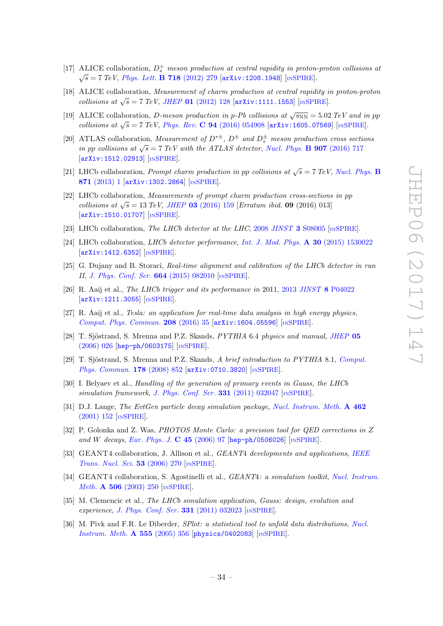- [17] ALICE collaboration,  $D_s^+$  meson production at central rapidity in proton-proton collisions at  $\sqrt{s} = 7 \; TeV$ , *[Phys. Lett.](https://doi.org/10.1016/j.physletb.2012.10.049)* **B 718** (2012) 279 [[arXiv:1208.1948](https://arxiv.org/abs/1208.1948)] [IN[SPIRE](https://inspirehep.net/search?p=find+EPRINT+arXiv:1208.1948)].
- [18] ALICE collaboration, Measurement of charm production at central rapidity in proton-proton collisions at  $\sqrt{s}$  = 7 TeV, JHEP 01 [\(2012\) 128](https://doi.org/10.1007/JHEP01(2012)128) [[arXiv:1111.1553](https://arxiv.org/abs/1111.1553)] [IN[SPIRE](https://inspirehep.net/search?p=find+EPRINT+arXiv:1111.1553)].
- <span id="page-34-0"></span>[19] ALICE collaboration, *D*-meson production in p-Pb collisions at  $\sqrt{s_{NN}} = 5.02 \text{ TeV}$  and in pp collisions at  $\sqrt{s}$  = 7 TeV, Phys. Rev. **C** 94 [\(2016\) 054908](https://doi.org/10.1103/PhysRevC.94.054908) [[arXiv:1605.07569](https://arxiv.org/abs/1605.07569)] [IN[SPIRE](https://inspirehep.net/search?p=find+EPRINT+arXiv:1605.07569)].
- <span id="page-34-1"></span>[20] ATLAS collaboration, *Measurement of*  $D^{*\pm}$ ,  $D^{\pm}$  and  $D_{s}^{\pm}$  meson production cross sections in pp collisions at  $\sqrt{s} = 7 \text{ TeV}$  with the ATLAS detector, [Nucl. Phys.](https://doi.org/10.1016/j.nuclphysb.2016.04.032) **B** 907 (2016) 717 [[arXiv:1512.02913](https://arxiv.org/abs/1512.02913)] [IN[SPIRE](https://inspirehep.net/search?p=find+EPRINT+arXiv:1512.02913)].
- <span id="page-34-2"></span>[21] LHCb collaboration, *Prompt charm production in pp collisions at*  $\sqrt{s} = 7 \text{ TeV}$ , *[Nucl. Phys.](https://doi.org/10.1016/j.nuclphysb.2013.02.010)* **B** 871 [\(2013\) 1](https://doi.org/10.1016/j.nuclphysb.2013.02.010) [[arXiv:1302.2864](https://arxiv.org/abs/1302.2864)] [IN[SPIRE](https://inspirehep.net/search?p=find+EPRINT+arXiv:1302.2864)].
- <span id="page-34-3"></span>[22] LHCb collaboration, Measurements of prompt charm production cross-sections in pp collisions at  $\sqrt{s} = 13 \text{ TeV}$ , JHEP 03 [\(2016\) 159](https://doi.org/10.1007/JHEP03(2016)159) [Erratum ibid. 09 (2016) 013] [[arXiv:1510.01707](https://arxiv.org/abs/1510.01707)] [IN[SPIRE](https://inspirehep.net/search?p=find+EPRINT+arXiv:1510.01707)].
- <span id="page-34-4"></span>[23] LHCb collaboration, The LHCb detector at the LHC, 2008 JINST 3 [S08005](https://doi.org/10.1088/1748-0221/3/08/S08005) [IN[SPIRE](https://inspirehep.net/search?p=find+J+%22JINST,3,S08005%22)].
- <span id="page-34-5"></span>[24] LHCb collaboration, *LHCb detector performance*, *[Int. J. Mod. Phys.](https://doi.org/10.1142/S0217751X15300227)* **A 30** (2015) 1530022 [[arXiv:1412.6352](https://arxiv.org/abs/1412.6352)] [IN[SPIRE](https://inspirehep.net/search?p=find+EPRINT+arXiv:1412.6352)].
- <span id="page-34-6"></span>[25] G. Dujany and B. Storaci, Real-time alignment and calibration of the LHCb detector in run II, [J. Phys. Conf. Ser.](https://doi.org/10.1088/1742-6596/664/8/082010) 664 (2015) 082010 [IN[SPIRE](https://inspirehep.net/search?p=find+J+%22J.Phys.Conf.Ser.,664,082010%22)].
- <span id="page-34-7"></span>[26] R. Aaij et al., The LHCb trigger and its performance in 2011, 2013 JINST 8 [P04022](https://doi.org/10.1088/1748-0221/8/04/P04022) [[arXiv:1211.3055](https://arxiv.org/abs/1211.3055)] [IN[SPIRE](https://inspirehep.net/search?p=find+EPRINT+arXiv:1211.3055)].
- <span id="page-34-8"></span>[27] R. Aaij et al., Tesla: an application for real-time data analysis in high energy physics, [Comput. Phys. Commun.](https://doi.org/10.1016/j.cpc.2016.07.022) 208 (2016) 35 [[arXiv:1604.05596](https://arxiv.org/abs/1604.05596)] [IN[SPIRE](https://inspirehep.net/search?p=find+EPRINT+arXiv:1604.05596)].
- <span id="page-34-9"></span>[28] T. Sjöstrand, S. Mrenna and P.Z. Skands,  $PYTHIA$  6.4 physics and manual, [JHEP](https://doi.org/10.1088/1126-6708/2006/05/026) 05 [\(2006\) 026](https://doi.org/10.1088/1126-6708/2006/05/026) [[hep-ph/0603175](https://arxiv.org/abs/hep-ph/0603175)] [IN[SPIRE](https://inspirehep.net/search?p=find+EPRINT+hep-ph/0603175)].
- <span id="page-34-10"></span>[29] T. Sjöstrand, S. Mrenna and P.Z. Skands, A brief introduction to PYTHIA 8.1, [Comput.](https://doi.org/10.1016/j.cpc.2008.01.036) [Phys. Commun.](https://doi.org/10.1016/j.cpc.2008.01.036) 178 (2008) 852 [arXiv: 0710.3820] [IN[SPIRE](https://inspirehep.net/search?p=find+EPRINT+arXiv:0710.3820)].
- <span id="page-34-11"></span>[30] I. Belyaev et al., Handling of the generation of primary events in Gauss, the LHCb simulation framework, [J. Phys. Conf. Ser.](https://doi.org/10.1088/1742-6596/331/3/032047)  $331$  (2011) 032047 [IN[SPIRE](https://inspirehep.net/search?p=find+J+%22J.Phys.Conf.Ser.,331,032047%22)].
- <span id="page-34-12"></span>[31] D.J. Lange, The EvtGen particle decay simulation package, [Nucl. Instrum. Meth.](https://doi.org/10.1016/S0168-9002(01)00089-4) A 462 [\(2001\) 152](https://doi.org/10.1016/S0168-9002(01)00089-4) [IN[SPIRE](https://inspirehep.net/search?p=find+J+%22Nucl.Instrum.Meth.,A462,152%22)].
- <span id="page-34-13"></span>[32] P. Golonka and Z. Was, PHOTOS Monte Carlo: a precision tool for QED corrections in Z and W decays, [Eur. Phys. J.](https://doi.org/10.1140/epjc/s2005-02396-4) C  $45$  (2006) 97 [[hep-ph/0506026](https://arxiv.org/abs/hep-ph/0506026)] [IN[SPIRE](https://inspirehep.net/search?p=find+EPRINT+hep-ph/0506026)].
- <span id="page-34-14"></span>[33] GEANT4 collaboration, J. Allison et al., *GEANT4 developments and applications*, *[IEEE](https://doi.org/10.1109/TNS.2006.869826)* [Trans. Nucl. Sci.](https://doi.org/10.1109/TNS.2006.869826) 53 (2006) 270 [IN[SPIRE](https://inspirehep.net/search?p=find+J+%22IEEETrans.Nucl.Sci.,53,270%22)].
- <span id="page-34-15"></span>[34] GEANT4 collaboration, S. Agostinelli et al., *GEANT4: a simulation toolkit, [Nucl. Instrum.](https://doi.org/10.1016/S0168-9002(03)01368-8)* Meth. A 506 [\(2003\) 250](https://doi.org/10.1016/S0168-9002(03)01368-8) [IN[SPIRE](https://inspirehep.net/search?p=find+J+%22Nucl.Instrum.Meth.,A506,250%22)].
- <span id="page-34-16"></span>[35] M. Clemencic et al., The LHCb simulation application, Gauss: design, evolution and experience, [J. Phys. Conf. Ser.](https://doi.org/10.1088/1742-6596/331/3/032023)  $331$  (2011) 032023 [IN[SPIRE](https://inspirehep.net/search?p=find+J+%22J.Phys.Conf.Ser.,331,032023%22)].
- <span id="page-34-17"></span>[36] M. Pivk and F.R. Le Diberder, SPlot: a statistical tool to unfold data distributions, [Nucl.](https://doi.org/10.1016/j.nima.2005.08.106) [Instrum. Meth.](https://doi.org/10.1016/j.nima.2005.08.106) A 555 (2005) 356 [[physics/0402083](https://arxiv.org/abs/physics/0402083)] [IN[SPIRE](https://inspirehep.net/search?p=find+EPRINT+physics/0402083)].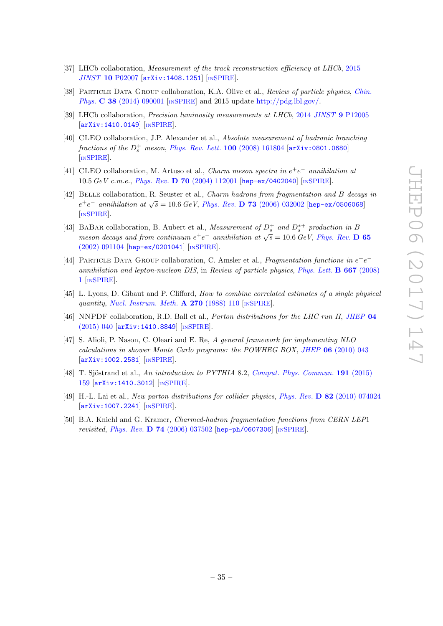- <span id="page-35-0"></span>[37] LHCb collaboration, Measurement of the track reconstruction efficiency at LHCb, [2015](https://doi.org/10.1088/1748-0221/10/02/P02007) JINST 10 [P02007](https://doi.org/10.1088/1748-0221/10/02/P02007) [[arXiv:1408.1251](https://arxiv.org/abs/1408.1251)] [IN[SPIRE](https://inspirehep.net/search?p=find+EPRINT+arXiv:1408.1251)].
- <span id="page-35-1"></span>[38] PARTICLE DATA GROUP collaboration, K.A. Olive et al., Review of particle physics, [Chin.](https://doi.org/10.1088/1674-1137/38/9/090001) Phys. C 38 [\(2014\) 090001](https://doi.org/10.1088/1674-1137/38/9/090001) [IN[SPIRE](https://inspirehep.net/search?p=find+J+%22Chin.Phys.,C38,090001%22)] and 2015 update [http://pdg.lbl.gov/.](http://pdg.lbl.gov/)
- <span id="page-35-2"></span>[39] LHCb collaboration, Precision luminosity measurements at LHCb, 2014 JINST 9 [P12005](https://doi.org/10.1088/1748-0221/9/12/P12005) [[arXiv:1410.0149](https://arxiv.org/abs/1410.0149)] [IN[SPIRE](https://inspirehep.net/search?p=find+EPRINT+arXiv:1410.0149)].
- <span id="page-35-3"></span>[40] CLEO collaboration, J.P. Alexander et al., Absolute measurement of hadronic branching fractions of the  $D_s^+$  meson, [Phys. Rev. Lett.](https://doi.org/10.1103/PhysRevLett.100.161804) **100** (2008) 161804  $[$ [arXiv:0801.0680](https://arxiv.org/abs/0801.0680) [IN[SPIRE](https://inspirehep.net/search?p=find+EPRINT+arXiv:0801.0680)].
- <span id="page-35-4"></span>[41] CLEO collaboration, M. Artuso et al., *Charm meson spectra in*  $e^+e^-$  *annihilation at* 10.5 GeV c.m.e., Phys. Rev. D 70 [\(2004\) 112001](https://doi.org/10.1103/PhysRevD.70.112001) [[hep-ex/0402040](https://arxiv.org/abs/hep-ex/0402040)] [IN[SPIRE](https://inspirehep.net/search?p=find+EPRINT+hep-ex/0402040)].
- [42] BELLE collaboration, R. Seuster et al., *Charm hadrons from fragmentation and B decays in*  $e^+e^-$  annihilation at  $\sqrt{s} = 10.6$  GeV, Phys. Rev. **D 73** [\(2006\) 032002](https://doi.org/10.1103/PhysRevD.73.032002) [[hep-ex/0506068](https://arxiv.org/abs/hep-ex/0506068)] [IN[SPIRE](https://inspirehep.net/search?p=find+EPRINT+hep-ex/0506068)].
- <span id="page-35-5"></span>[43] BABAR collaboration, B. Aubert et al., Measurement of  $D_s^+$  and  $D_s^{*+}$  production in B meson decays and from continuum  $e^+e^-$  annihilation at  $\sqrt{s} = 10.6$  GeV, [Phys. Rev.](https://doi.org/10.1103/PhysRevD.65.091104) D 65 [\(2002\) 091104](https://doi.org/10.1103/PhysRevD.65.091104) [[hep-ex/0201041](https://arxiv.org/abs/hep-ex/0201041)] [IN[SPIRE](https://inspirehep.net/search?p=find+EPRINT+hep-ex/0201041)].
- <span id="page-35-6"></span>[44] PARTICLE DATA GROUP collaboration, C. Amsler et al., Fragmentation functions in  $e^+e^$ annihilation and lepton-nucleon DIS, in Review of particle physics, [Phys. Lett.](https://doi.org/10.1016/j.physletb.2008.07.018) B 667 (2008) [1](https://doi.org/10.1016/j.physletb.2008.07.018) [IN[SPIRE](https://inspirehep.net/search?p=find+J+%22Phys.Lett.,B667,1%22)].
- <span id="page-35-7"></span>[45] L. Lyons, D. Gibaut and P. Clifford, How to combine correlated estimates of a single physical quantity, [Nucl. Instrum. Meth.](https://doi.org/10.1016/0168-9002(88)90018-6)  $\bf{A}$  270 (1988) 110 [IN[SPIRE](https://inspirehep.net/search?p=find+J+%22Nucl.Instrum.Meth.,A270,110%22)].
- <span id="page-35-8"></span>[46] NNPDF collaboration, R.D. Ball et al., Parton distributions for the LHC run II, [JHEP](https://doi.org/10.1007/JHEP04(2015)040) 04 [\(2015\) 040](https://doi.org/10.1007/JHEP04(2015)040) [[arXiv:1410.8849](https://arxiv.org/abs/1410.8849)] [IN[SPIRE](https://inspirehep.net/search?p=find+EPRINT+arXiv:1410.8849)].
- <span id="page-35-9"></span>[47] S. Alioli, P. Nason, C. Oleari and E. Re, A general framework for implementing NLO calculations in shower Monte Carlo programs: the POWHEG BOX, JHEP 06 [\(2010\) 043](https://doi.org/10.1007/JHEP06(2010)043) [[arXiv:1002.2581](https://arxiv.org/abs/1002.2581)] [IN[SPIRE](https://inspirehep.net/search?p=find+EPRINT+arXiv:1002.2581)].
- <span id="page-35-10"></span>[48] T. Sjöstrand et al., An introduction to PYTHIA 8.2, [Comput. Phys. Commun.](https://doi.org/10.1016/j.cpc.2015.01.024) 191 (2015) [159](https://doi.org/10.1016/j.cpc.2015.01.024) [[arXiv:1410.3012](https://arxiv.org/abs/1410.3012)] [IN[SPIRE](https://inspirehep.net/search?p=find+EPRINT+arXiv:1410.3012)].
- <span id="page-35-11"></span>[49] H.-L. Lai et al., New parton distributions for collider physics, Phys. Rev. D 82 [\(2010\) 074024](https://doi.org/10.1103/PhysRevD.82.074024) [[arXiv:1007.2241](https://arxiv.org/abs/1007.2241)] [IN[SPIRE](https://inspirehep.net/search?p=find+EPRINT+arXiv:1007.2241)].
- <span id="page-35-12"></span>[50] B.A. Kniehl and G. Kramer, Charmed-hadron fragmentation functions from CERN LEP1 revisited, Phys. Rev. D 74 [\(2006\) 037502](https://doi.org/10.1103/PhysRevD.74.037502) [[hep-ph/0607306](https://arxiv.org/abs/hep-ph/0607306)] [IN[SPIRE](https://inspirehep.net/search?p=find+EPRINT+hep-ph/0607306)].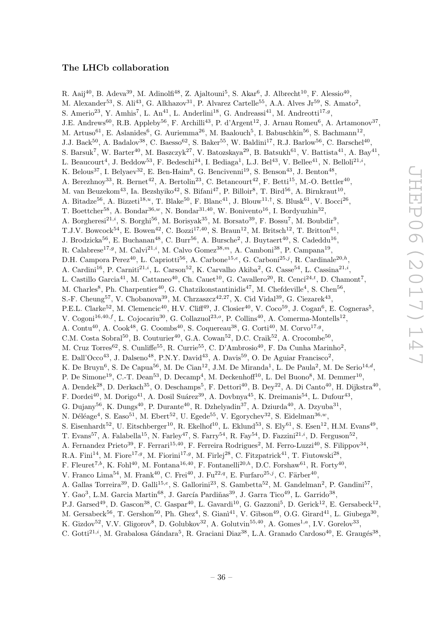### The LHCb collaboration

<span id="page-36-0"></span>R. Aaij $^{40}$ , B. Adeva $^{39}$ , M. Adinolfi $^{48}$ , Z. Ajaltouni $^5$ , S. Akar $^6$ , J. Albrecht $^{10}$ , F. Alessio $^{40}$ , M. Alexander<sup>53</sup>, S. Ali<sup>43</sup>, G. Alkhazov<sup>31</sup>, P. Alvarez Cartelle<sup>55</sup>, A.A. Alves Jr<sup>59</sup>, S. Amato<sup>2</sup>, S. Amerio<sup>23</sup>, Y. Amhis<sup>7</sup>, L. An<sup>41</sup>, L. Anderlini<sup>18</sup>, G. Andreassi<sup>41</sup>, M. Andreotti<sup>17,9</sup>, J.E. Andrews<sup>60</sup>, R.B. Appleby<sup>56</sup>, F. Archilli<sup>43</sup>, P. d'Argent<sup>12</sup>, J. Arnau Romeu<sup>6</sup>, A. Artamonov<sup>37</sup>, M. Artuso<sup>61</sup>, E. Aslanides<sup>6</sup>, G. Auriemma<sup>26</sup>, M. Baalouch<sup>5</sup>, I. Babuschkin<sup>56</sup>, S. Bachmann<sup>12</sup>, J.J. Back<sup>50</sup>, A. Badalov<sup>38</sup>, C. Baesso<sup>62</sup>, S. Baker<sup>55</sup>, W. Baldini<sup>17</sup>, R.J. Barlow<sup>56</sup>, C. Barschel<sup>40</sup>, S. Barsuk<sup>7</sup>, W. Barter<sup>40</sup>, M. Baszczyk<sup>27</sup>, V. Batozskaya<sup>29</sup>, B. Batsukh<sup>61</sup>, V. Battista<sup>41</sup>, A. Bay<sup>41</sup>, L. Beaucourt<sup>4</sup>, J. Beddow<sup>53</sup>, F. Bedeschi<sup>24</sup>, I. Bediaga<sup>1</sup>, L.J. Bel<sup>43</sup>, V. Bellee<sup>41</sup>, N. Belloli<sup>21,*i*</sup>, K. Belous<sup>37</sup>, I. Belyaev<sup>32</sup>, E. Ben-Haim<sup>8</sup>, G. Bencivenni<sup>19</sup>, S. Benson<sup>43</sup>, J. Benton<sup>48</sup>, A. Berezhnoy<sup>33</sup>, R. Bernet<sup>42</sup>, A. Bertolin<sup>23</sup>, C. Betancourt<sup>42</sup>, F. Betti<sup>15</sup>, M.-O. Bettler<sup>40</sup>, M. van Beuzekom<sup>43</sup>, Ia. Bezshyiko<sup>42</sup>, S. Bifani<sup>47</sup>, P. Billoir<sup>8</sup>, T. Bird<sup>56</sup>, A. Birnkraut<sup>10</sup>, A. Bitadze<sup>56</sup>, A. Bizzeti<sup>18,*u*</sup>, T. Blake<sup>50</sup>, F. Blanc<sup>41</sup>, J. Blouw<sup>11,†</sup>, S. Blusk<sup>61</sup>, V. Bocci<sup>26</sup>, T. Boettcher<sup>58</sup>, A. Bondar<sup>36,*w*</sup>, N. Bondar<sup>31,40</sup>, W. Bonivento<sup>16</sup>, I. Bordyuzhin<sup>32</sup>, A. Borgheresi<sup>21,*i*</sup>, S. Borghi<sup>56</sup>, M. Borisyak<sup>35</sup>, M. Borsato<sup>39</sup>, F. Bossu<sup>7</sup>, M. Boubdir<sup>9</sup>, T.J.V. Bowcock<sup>54</sup>, E. Bowen<sup>42</sup>, C. Bozzi<sup>17,40</sup>, S. Braun<sup>12</sup>, M. Britsch<sup>12</sup>, T. Britton<sup>61</sup>, J. Brodzicka<sup>56</sup>, E. Buchanan<sup>48</sup>, C. Burr<sup>56</sup>, A. Bursche<sup>2</sup>, J. Buytaert<sup>40</sup>, S. Cadeddu<sup>16</sup>, R. Calabrese<sup>17,9</sup>, M. Calvi<sup>21,*i*</sup>, M. Calvo Gomez<sup>38,*m*</sup>, A. Camboni<sup>38</sup>, P. Campana<sup>19</sup>, D.H. Campora Perez<sup>40</sup>, L. Capriotti<sup>56</sup>, A. Carbone<sup>15,e</sup>, G. Carboni<sup>25,j</sup>, R. Cardinale<sup>20,h</sup>, A. Cardini<sup>16</sup>, P. Carniti<sup>21,*i*</sup>, L. Carson<sup>52</sup>, K. Carvalho Akiba<sup>2</sup>, G. Casse<sup>54</sup>, L. Cassina<sup>21,*i*</sup>, L. Castillo Garcia<sup>41</sup>, M. Cattaneo<sup>40</sup>, Ch. Cauet<sup>10</sup>, G. Cavallero<sup>20</sup>, R. Cenci<sup>24,t</sup>, D. Chamont<sup>7</sup>, M. Charles<sup>8</sup>, Ph. Charpentier<sup>40</sup>, G. Chatzikonstantinidis<sup>47</sup>, M. Chefdeville<sup>4</sup>, S. Chen<sup>56</sup>, S.-F. Cheung<sup>57</sup>, V. Chobanova<sup>39</sup>, M. Chrzaszcz<sup>42,27</sup>, X. Cid Vidal<sup>39</sup>, G. Ciezarek<sup>43</sup>, P.E.L. Clarke<sup>52</sup>, M. Clemencic<sup>40</sup>, H.V. Cliff<sup>49</sup>, J. Closier<sup>40</sup>, V. Coco<sup>59</sup>, J. Cogan<sup>6</sup>, E. Cogneras<sup>5</sup>, V. Cogoni<sup>16,40,f</sup>, L. Cojocariu<sup>30</sup>, G. Collazuol<sup>23,o</sup>, P. Collins<sup>40</sup>, A. Comerma-Montells<sup>12</sup>, A. Contu<sup>40</sup>, A. Cook<sup>48</sup>, G. Coombs<sup>40</sup>, S. Coquereau<sup>38</sup>, G. Corti<sup>40</sup>, M. Corvo<sup>17,9</sup>, C.M. Costa Sobral<sup>50</sup>, B. Couturier<sup>40</sup>, G.A. Cowan<sup>52</sup>, D.C. Craik<sup>52</sup>, A. Crocombe<sup>50</sup>, M. Cruz Torres<sup>62</sup>, S. Cunliffe<sup>55</sup>, R. Currie<sup>55</sup>, C. D'Ambrosio<sup>40</sup>, F. Da Cunha Marinho<sup>2</sup>, E. Dall'Occo<sup>43</sup>, J. Dalseno<sup>48</sup>, P.N.Y. David<sup>43</sup>, A. Davis<sup>59</sup>, O. De Aguiar Francisco<sup>2</sup>, K. De Bruyn<sup>6</sup>, S. De Capua<sup>56</sup>, M. De Cian<sup>12</sup>, J.M. De Miranda<sup>1</sup>, L. De Paula<sup>2</sup>, M. De Serio<sup>14,d</sup>, P. De Simone<sup>19</sup>, C.-T. Dean<sup>53</sup>, D. Decamp<sup>4</sup>, M. Deckenhoff<sup>10</sup>, L. Del Buono<sup>8</sup>, M. Demmer<sup>10</sup>, A. Dendek<sup>28</sup>, D. Derkach<sup>35</sup>, O. Deschamps<sup>5</sup>, F. Dettori<sup>40</sup>, B. Dey<sup>22</sup>, A. Di Canto<sup>40</sup>, H. Dijkstra<sup>40</sup>, F. Dordei<sup>40</sup>, M. Dorigo<sup>41</sup>, A. Dosil Suárez<sup>39</sup>, A. Dovbnya<sup>45</sup>, K. Dreimanis<sup>54</sup>, L. Dufour<sup>43</sup>, G. Dujany<sup>56</sup>, K. Dungs<sup>40</sup>, P. Durante<sup>40</sup>, R. Dzhelyadin<sup>37</sup>, A. Dziurda<sup>40</sup>, A. Dzyuba<sup>31</sup>, N. Déléage<sup>4</sup>, S. Easo<sup>51</sup>, M. Ebert<sup>52</sup>, U. Egede<sup>55</sup>, V. Egorychev<sup>32</sup>, S. Eidelman<sup>36,*w*</sup>, S. Eisenhardt<sup>52</sup>, U. Eitschberger<sup>10</sup>, R. Ekelhof<sup>10</sup>, L. Eklund<sup>53</sup>, S. Ely<sup>61</sup>, S. Esen<sup>12</sup>, H.M. Evans<sup>49</sup>, T. Evans<sup>57</sup>, A. Falabella<sup>15</sup>, N. Farley<sup>47</sup>, S. Farry<sup>54</sup>, R. Fay<sup>54</sup>, D. Fazzini<sup>21,*i*</sup>, D. Ferguson<sup>52</sup>, A. Fernandez Prieto<sup>39</sup>, F. Ferrari<sup>15,40</sup>, F. Ferreira Rodrigues<sup>2</sup>, M. Ferro-Luzzi<sup>40</sup>, S. Filippov<sup>34</sup>, R.A. Fini<sup>14</sup>, M. Fiore<sup>17,9</sup>, M. Fiorini<sup>17,9</sup>, M. Firlej<sup>28</sup>, C. Fitzpatrick<sup>41</sup>, T. Fiutowski<sup>28</sup>, F. Fleuret<sup>7,b</sup>, K. Fohl<sup>40</sup>, M. Fontana<sup>16,40</sup>, F. Fontanelli<sup>20,h</sup>, D.C. Forshaw<sup>61</sup>, R. Forty<sup>40</sup>, V. Franco Lima<sup>54</sup>, M. Frank<sup>40</sup>, C. Frei<sup>40</sup>, J. Fu<sup>22,q</sup>, E. Furfaro<sup>25,j</sup>, C. Färber<sup>40</sup>, A. Gallas Torreira<sup>39</sup>, D. Galli<sup>15,e</sup>, S. Gallorini<sup>23</sup>, S. Gambetta<sup>52</sup>, M. Gandelman<sup>2</sup>, P. Gandini<sup>57</sup>, Y. Gao<sup>3</sup>, L.M. Garcia Martin<sup>68</sup>, J. García Pardiñas<sup>39</sup>, J. Garra Tico<sup>49</sup>, L. Garrido<sup>38</sup>, P.J. Garsed<sup>49</sup>, D. Gascon<sup>38</sup>, C. Gaspar<sup>40</sup>, L. Gavardi<sup>10</sup>, G. Gazzoni<sup>5</sup>, D. Gerick<sup>12</sup>, E. Gersabeck<sup>12</sup>, M. Gersabeck<sup>56</sup>, T. Gershon<sup>50</sup>, Ph. Ghez<sup>4</sup>, S. Gianì<sup>41</sup>, V. Gibson<sup>49</sup>, O.G. Girard<sup>41</sup>, L. Giubega<sup>30</sup>, K. Gizdov<sup>52</sup>, V.V. Gligorov<sup>8</sup>, D. Golubkov<sup>32</sup>, A. Golutvin<sup>55,40</sup>, A. Gomes<sup>1,a</sup>, I.V. Gorelov<sup>33</sup>,

C. Gotti<sup>21,*i*</sup>, M. Grabalosa Gándara<sup>5</sup>, R. Graciani Diaz<sup>38</sup>, L.A. Granado Cardoso<sup>40</sup>, E. Graugés<sup>38</sup>,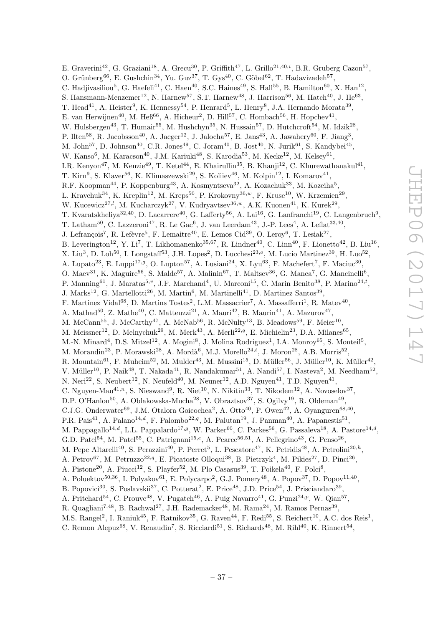E. Graverini<sup>42</sup>, G. Graziani<sup>18</sup>, A. Grecu<sup>30</sup>, P. Griffith<sup>47</sup>, L. Grillo<sup>21,40,*i*</sup>, B.R. Gruberg Cazon<sup>57</sup>, O. Grünberg<sup>66</sup>, E. Gushchin<sup>34</sup>, Yu. Guz<sup>37</sup>, T. Gys<sup>40</sup>, C. Göbel<sup>62</sup>, T. Hadavizadeh<sup>57</sup>, C. Hadjivasiliou<sup>5</sup>, G. Haefeli<sup>41</sup>, C. Haen<sup>40</sup>, S.C. Haines<sup>49</sup>, S. Hall<sup>55</sup>, B. Hamilton<sup>60</sup>, X. Han<sup>12</sup>, S. Hansmann-Menzemer<sup>12</sup>, N. Harnew<sup>57</sup>, S.T. Harnew<sup>48</sup>, J. Harrison<sup>56</sup>, M. Hatch<sup>40</sup>, J. He<sup>63</sup>, T. Head<sup>41</sup>, A. Heister<sup>9</sup>, K. Hennessy<sup>54</sup>, P. Henrard<sup>5</sup>, L. Henry<sup>8</sup>, J.A. Hernando Morata<sup>39</sup>, E. van Herwijnen<sup>40</sup>, M. Heß<sup>66</sup>, A. Hicheur<sup>2</sup>, D. Hill<sup>57</sup>, C. Hombach<sup>56</sup>, H. Hopchev<sup>41</sup>, W. Hulsbergen<sup>43</sup>, T. Humair<sup>55</sup>, M. Hushchyn<sup>35</sup>, N. Hussain<sup>57</sup>, D. Hutchcroft<sup>54</sup>, M. Idzik<sup>28</sup>, P. Ilten<sup>58</sup>, R. Jacobsson<sup>40</sup>, A. Jaeger<sup>12</sup>, J. Jalocha<sup>57</sup>, E. Jans<sup>43</sup>, A. Jawahery<sup>60</sup>, F. Jiang<sup>3</sup>, M. John $^{57}$ , D. Johnson<sup>40</sup>, C.R. Jones<sup>49</sup>, C. Joram<sup>40</sup>, B. Jost<sup>40</sup>, N. Jurik<sup>61</sup>, S. Kandybei<sup>45</sup>, W. Kanso<sup>6</sup>, M. Karacson<sup>40</sup>, J.M. Kariuki<sup>48</sup>, S. Karodia<sup>53</sup>, M. Kecke<sup>12</sup>, M. Kelsey<sup>61</sup>, I.R. Kenyon<sup>47</sup>, M. Kenzie<sup>49</sup>, T. Ketel<sup>44</sup>, E. Khairullin<sup>35</sup>, B. Khanji<sup>12</sup>, C. Khurewathanakul<sup>41</sup>, T. Kirn<sup>9</sup>, S. Klaver<sup>56</sup>, K. Klimaszewski<sup>29</sup>, S. Koliiev<sup>46</sup>, M. Kolpin<sup>12</sup>, I. Komarov<sup>41</sup>, R.F. Koopman<sup>44</sup>, P. Koppenburg<sup>43</sup>, A. Kosmyntseva<sup>32</sup>, A. Kozachuk<sup>33</sup>, M. Kozeiha<sup>5</sup>, L. Kravchuk<sup>34</sup>, K. Kreplin<sup>12</sup>, M. Kreps<sup>50</sup>, P. Krokovny<sup>36,*w*</sup>, F. Kruse<sup>10</sup>, W. Krzemien<sup>29</sup>, W. Kucewicz<sup>27,*l*</sup>, M. Kucharczyk<sup>27</sup>, V. Kudryavtsev<sup>36,*w*</sup>, A.K. Kuonen<sup>41</sup>, K. Kurek<sup>29</sup>, T. Kvaratskheliya $^{32,40}$ , D. Lacarrere<sup>40</sup>, G. Lafferty<sup>56</sup>, A. Lai<sup>16</sup>, G. Lanfranchi<sup>19</sup>, C. Langenbruch<sup>9</sup>, T. Latham<sup>50</sup>, C. Lazzeroni<sup>47</sup>, R. Le Gac<sup>6</sup>, J. van Leerdam<sup>43</sup>, J.-P. Lees<sup>4</sup>, A. Leflat<sup>33,40</sup>, J. Lefrançois<sup>7</sup>, R. Lefèvre<sup>5</sup>, F. Lemaitre<sup>40</sup>, E. Lemos Cid<sup>39</sup>, O. Leroy<sup>6</sup>, T. Lesiak<sup>27</sup>, B. Leverington<sup>12</sup>, Y. Li<sup>7</sup>, T. Likhomanenko<sup>35,67</sup>, R. Lindner<sup>40</sup>, C. Linn<sup>40</sup>, F. Lionetto<sup>42</sup>, B. Liu<sup>16</sup>, X. Liu<sup>3</sup>, D. Loh<sup>50</sup>, I. Longstaff<sup>53</sup>, J.H. Lopes<sup>2</sup>, D. Lucchesi<sup>23,0</sup>, M. Lucio Martinez<sup>39</sup>, H. Luo<sup>52</sup>, A. Lupato<sup>23</sup>, E. Luppi<sup>17,9</sup>, O. Lupton<sup>57</sup>, A. Lusiani<sup>24</sup>, X. Lyu<sup>63</sup>, F. Machefert<sup>7</sup>, F. Maciuc<sup>30</sup>, O. Maev<sup>31</sup>, K. Maguire<sup>56</sup>, S. Malde<sup>57</sup>, A. Malinin<sup>67</sup>, T. Maltsev<sup>36</sup>, G. Manca<sup>7</sup>, G. Mancinelli<sup>6</sup>, P. Manning<sup>61</sup>, J. Maratas<sup>5,v</sup>, J.F. Marchand<sup>4</sup>, U. Marconi<sup>15</sup>, C. Marin Benito<sup>38</sup>, P. Marino<sup>24,t</sup>,  $J.$  Marks<sup>12</sup>, G. Martellotti<sup>26</sup>, M. Martin<sup>6</sup>, M. Martinelli<sup>41</sup>, D. Martinez Santos<sup>39</sup>, F. Martinez Vidal<sup>68</sup>, D. Martins Tostes<sup>2</sup>, L.M. Massacrier<sup>7</sup>, A. Massafferri<sup>1</sup>, R. Matev<sup>40</sup>, A. Mathad<sup>50</sup>, Z. Mathe<sup>40</sup>, C. Matteuzzi<sup>21</sup>, A. Mauri<sup>42</sup>, B. Maurin<sup>41</sup>, A. Mazurov<sup>47</sup>, M. McCann<sup>55</sup>, J. McCarthy<sup>47</sup>, A. McNab<sup>56</sup>, R. McNulty<sup>13</sup>, B. Meadows<sup>59</sup>, F. Meier<sup>10</sup>, M. Meissner<sup>12</sup>, D. Melnychuk<sup>29</sup>, M. Merk<sup>43</sup>, A. Merli<sup>22,q</sup>, E. Michielin<sup>23</sup>, D.A. Milanes<sup>65</sup>, M.-N. Minard<sup>4</sup>, D.S. Mitzel<sup>12</sup>, A. Mogini<sup>8</sup>, J. Molina Rodriguez<sup>1</sup>, I.A. Monroy<sup>65</sup>, S. Monteil<sup>5</sup>, M. Morandin<sup>23</sup>, P. Morawski<sup>28</sup>, A. Mordà<sup>6</sup>, M.J. Morello<sup>24,*t*</sup>, J. Moron<sup>28</sup>, A.B. Morris<sup>52</sup>, R. Mountain<sup>61</sup>, F. Muheim<sup>52</sup>, M. Mulder<sup>43</sup>, M. Mussini<sup>15</sup>, D. Müller<sup>56</sup>, J. Müller<sup>10</sup>, K. Müller<sup>42</sup>, V. Müller<sup>10</sup>, P. Naik<sup>48</sup>, T. Nakada<sup>41</sup>, R. Nandakumar<sup>51</sup>, A. Nandi<sup>57</sup>, I. Nasteva<sup>2</sup>, M. Needham<sup>52</sup>, N. Neri<sup>22</sup>, S. Neubert<sup>12</sup>, N. Neufeld<sup>40</sup>, M. Neuner<sup>12</sup>, A.D. Nguyen<sup>41</sup>, T.D. Nguyen<sup>41</sup>, C. Nguyen-Mau<sup>41,n</sup>, S. Nieswand<sup>9</sup>, R. Niet<sup>10</sup>, N. Nikitin<sup>33</sup>, T. Nikodem<sup>12</sup>, A. Novoselov<sup>37</sup>, D.P. O'Hanlon<sup>50</sup>, A. Oblakowska-Mucha<sup>28</sup>, V. Obraztsov<sup>37</sup>, S. Ogilvy<sup>19</sup>, R. Oldeman<sup>49</sup>, C.J.G. Onderwater<sup>69</sup>, J.M. Otalora Goicochea<sup>2</sup>, A. Otto<sup>40</sup>, P. Owen<sup>42</sup>, A. Oyanguren<sup>68,40</sup>, P.R. Pais<sup>41</sup>, A. Palano<sup>14,d</sup>, F. Palombo<sup>22,q</sup>, M. Palutan<sup>19</sup>, J. Panman<sup>40</sup>, A. Papanestis<sup>51</sup>, M. Pappagallo<sup>14,d</sup>, L.L. Pappalardo<sup>17,g</sup>, W. Parker<sup>60</sup>, C. Parkes<sup>56</sup>, G. Passaleva<sup>18</sup>, A. Pastore<sup>14,d</sup>, G.D. Patel<sup>54</sup>, M. Patel<sup>55</sup>, C. Patrignani<sup>15,e</sup>, A. Pearce<sup>56,51</sup>, A. Pellegrino<sup>43</sup>, G. Penso<sup>26</sup>, M. Pepe Altarelli<sup>40</sup>, S. Perazzini<sup>40</sup>, P. Perret<sup>5</sup>, L. Pescatore<sup>47</sup>, K. Petridis<sup>48</sup>, A. Petrolini<sup>20,h</sup>, A. Petrov<sup>67</sup>, M. Petruzzo<sup>22,q</sup>, E. Picatoste Olloqui<sup>38</sup>, B. Pietrzyk<sup>4</sup>, M. Pikies<sup>27</sup>, D. Pinci<sup>26</sup>, A. Pistone<sup>20</sup>, A. Piucci<sup>12</sup>, S. Playfer<sup>52</sup>, M. Plo Casasus<sup>39</sup>, T. Poikela<sup>40</sup>, F. Polci<sup>8</sup>, A. Poluektov<sup>50,36</sup>, I. Polyakov<sup>61</sup>, E. Polycarpo<sup>2</sup>, G.J. Pomery<sup>48</sup>, A. Popov<sup>37</sup>, D. Popov<sup>11,40</sup>, B. Popovici<sup>30</sup>, S. Poslavskii<sup>37</sup>, C. Potterat<sup>2</sup>, E. Price<sup>48</sup>, J.D. Price<sup>54</sup>, J. Prisciandaro<sup>39</sup>, A. Pritchard<sup>54</sup>, C. Prouve<sup>48</sup>, V. Pugatch<sup>46</sup>, A. Puig Navarro<sup>41</sup>, G. Punzi<sup>24,p</sup>, W. Qian<sup>57</sup>,

R. Quagliani<sup>7,48</sup>, B. Rachwal<sup>27</sup>, J.H. Rademacker<sup>48</sup>, M. Rama<sup>24</sup>, M. Ramos Pernas<sup>39</sup>,

M.S. Rangel<sup>2</sup>, I. Raniuk<sup>45</sup>, F. Ratnikov<sup>35</sup>, G. Raven<sup>44</sup>, F. Redi<sup>55</sup>, S. Reichert<sup>10</sup>, A.C. dos Reis<sup>1</sup>,

C. Remon Alepuz<sup>68</sup>, V. Renaudin<sup>7</sup>, S. Ricciardi<sup>51</sup>, S. Richards<sup>48</sup>, M. Rihl<sup>40</sup>, K. Rinnert<sup>54</sup>,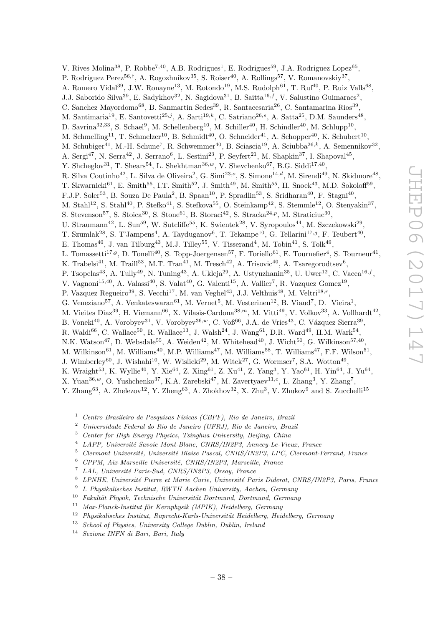V. Rives Molina<sup>38</sup>, P. Robbe<sup>7,40</sup>, A.B. Rodrigues<sup>1</sup>, E. Rodrigues<sup>59</sup>, J.A. Rodriguez Lopez<sup>65</sup>, P. Rodriguez Perez<sup>56,†</sup>, A. Rogozhnikov<sup>35</sup>, S. Roiser<sup>40</sup>, A. Rollings<sup>57</sup>, V. Romanovskiy<sup>37</sup>, A. Romero Vidal<sup>39</sup>, J.W. Ronayne<sup>13</sup>, M. Rotondo<sup>19</sup>, M.S. Rudolph<sup>61</sup>, T. Ruf<sup>40</sup>, P. Ruiz Valls<sup>68</sup>, J.J. Saborido Silva<sup>39</sup>, E. Sadykhov<sup>32</sup>, N. Sagidova<sup>31</sup>, B. Saitta<sup>16,f</sup>, V. Salustino Guimaraes<sup>2</sup>, C. Sanchez Mayordomo<sup>68</sup>, B. Sanmartin Sedes<sup>39</sup>, R. Santacesaria<sup>26</sup>, C. Santamarina Rios<sup>39</sup>, M. Santimaria<sup>19</sup>, E. Santovetti<sup>25,j</sup>, A. Sarti<sup>19,k</sup>, C. Satriano<sup>26,s</sup>, A. Satta<sup>25</sup>, D.M. Saunders<sup>48</sup>, D. Savrina<sup>32,33</sup>, S. Schael<sup>9</sup>, M. Schellenberg<sup>10</sup>, M. Schiller<sup>40</sup>, H. Schindler<sup>40</sup>, M. Schlupp<sup>10</sup>, M. Schmelling<sup>11</sup>, T. Schmelzer<sup>10</sup>, B. Schmidt<sup>40</sup>, O. Schneider<sup>41</sup>, A. Schopper<sup>40</sup>, K. Schubert<sup>10</sup>, M. Schubiger<sup>41</sup>, M.-H. Schune<sup>7</sup>, R. Schwemmer<sup>40</sup>, B. Sciascia<sup>19</sup>, A. Sciubba<sup>26,k</sup>, A. Semennikov<sup>32</sup>, A. Sergi<sup>47</sup>, N. Serra<sup>42</sup>, J. Serrano<sup>6</sup>, L. Sestini<sup>23</sup>, P. Seyfert<sup>21</sup>, M. Shapkin<sup>37</sup>, I. Shapoval<sup>45</sup>, Y. Shcheglov<sup>31</sup>, T. Shears<sup>54</sup>, L. Shekhtman<sup>36,*w*</sup>, V. Shevchenko<sup>67</sup>, B.G. Siddi<sup>17,40</sup>, R. Silva Coutinho<sup>42</sup>, L. Silva de Oliveira<sup>2</sup>, G. Simi<sup>23,0</sup>, S. Simone<sup>14,d</sup>, M. Sirendi<sup>49</sup>, N. Skidmore<sup>48</sup>, T. Skwarnicki<sup>61</sup>, E. Smith<sup>55</sup>, I.T. Smith<sup>52</sup>, J. Smith<sup>49</sup>, M. Smith<sup>55</sup>, H. Snoek<sup>43</sup>, M.D. Sokoloff<sup>59</sup>, F.J.P. Soler<sup>53</sup>, B. Souza De Paula<sup>2</sup>, B. Spaan<sup>10</sup>, P. Spradlin<sup>53</sup>, S. Sridharan<sup>40</sup>, F. Stagni<sup>40</sup>, M. Stahl<sup>12</sup>, S. Stahl<sup>40</sup>, P. Stefko<sup>41</sup>, S. Stefkova<sup>55</sup>, O. Steinkamp<sup>42</sup>, S. Stemmle<sup>12</sup>, O. Stenyakin<sup>37</sup>, S. Stevenson<sup>57</sup>, S. Stoica<sup>30</sup>, S. Stone<sup>61</sup>, B. Storaci<sup>42</sup>, S. Stracka<sup>24,p</sup>, M. Straticiuc<sup>30</sup>, U. Straumann<sup>42</sup>, L. Sun<sup>59</sup>, W. Sutcliffe<sup>55</sup>, K. Swientek<sup>28</sup>, V. Syropoulos<sup>44</sup>, M. Szczekowski<sup>29</sup>, T. Szumlak<sup>28</sup>, S. T'Jampens<sup>4</sup>, A. Tayduganov<sup>6</sup>, T. Tekampe<sup>10</sup>, G. Tellarini<sup>17,9</sup>, F. Teubert<sup>40</sup>, E. Thomas<sup>40</sup>, J. van Tilburg<sup>43</sup>, M.J. Tilley<sup>55</sup>, V. Tisserand<sup>4</sup>, M. Tobin<sup>41</sup>, S. Tolk<sup>49</sup>, L. Tomassetti<sup>17,g</sup>, D. Tonelli<sup>40</sup>, S. Topp-Joergensen<sup>57</sup>, F. Toriello<sup>61</sup>, E. Tournefier<sup>4</sup>, S. Tourneur<sup>41</sup>, K. Trabelsi<sup>41</sup>, M. Traill<sup>53</sup>, M.T. Tran<sup>41</sup>, M. Tresch<sup>42</sup>, A. Trisovic<sup>40</sup>, A. Tsaregorodtsev<sup>6</sup>, P. Tsopelas<sup>43</sup>, A. Tully<sup>49</sup>, N. Tuning<sup>43</sup>, A. Ukleja<sup>29</sup>, A. Ustyuzhanin<sup>35</sup>, U. Uwer<sup>12</sup>, C. Vacca<sup>16, f</sup>, V. Vagnoni<sup>15,40</sup>, A. Valassi<sup>40</sup>, S. Valat<sup>40</sup>, G. Valenti<sup>15</sup>, A. Vallier<sup>7</sup>, R. Vazquez Gomez<sup>19</sup>, P. Vazquez Regueiro<sup>39</sup>, S. Vecchi<sup>17</sup>, M. van Veghel<sup>43</sup>, J.J. Velthuis<sup>48</sup>, M. Veltri<sup>18,r</sup>, G. Veneziano<sup>57</sup>, A. Venkateswaran<sup>61</sup>, M. Vernet<sup>5</sup>, M. Vesterinen<sup>12</sup>, B. Viaud<sup>7</sup>, D. Vieira<sup>1</sup>, M. Vieites Diaz<sup>39</sup>, H. Viemann<sup>66</sup>, X. Vilasis-Cardona<sup>38,*m*</sup>, M. Vitti<sup>49</sup>, V. Volkov<sup>33</sup>, A. Vollhardt<sup>42</sup>, B. Voneki<sup>40</sup>, A. Vorobyev<sup>31</sup>, V. Vorobyev<sup>36,*w*</sup>, C. Voß<sup>66</sup>, J.A. de Vries<sup>43</sup>, C. Vázquez Sierra<sup>39</sup>, R. Waldi<sup>66</sup>, C. Wallace<sup>50</sup>, R. Wallace<sup>13</sup>, J. Walsh<sup>24</sup>, J. Wang<sup>61</sup>, D.R. Ward<sup>49</sup>, H.M. Wark<sup>54</sup>, N.K. Watson<sup>47</sup>, D. Websdale<sup>55</sup>, A. Weiden<sup>42</sup>, M. Whitehead<sup>40</sup>, J. Wicht<sup>50</sup>, G. Wilkinson<sup>57,40</sup>, M. Wilkinson<sup>61</sup>, M. Williams<sup>40</sup>, M.P. Williams<sup>47</sup>, M. Williams<sup>58</sup>, T. Williams<sup>47</sup>, F.F. Wilson<sup>51</sup>, J. Wimberley<sup>60</sup>, J. Wishahi<sup>10</sup>, W. Wislicki<sup>29</sup>, M. Witek<sup>27</sup>, G. Wormser<sup>7</sup>, S.A. Wotton<sup>49</sup>, K. Wraight<sup>53</sup>, K. Wyllie<sup>40</sup>, Y. Xie<sup>64</sup>, Z. Xing<sup>61</sup>, Z. Xu<sup>41</sup>, Z. Yang<sup>3</sup>, Y. Yao<sup>61</sup>, H. Yin<sup>64</sup>, J. Yu<sup>64</sup>,

- X. Yuan<sup>36,*w*</sup>, O. Yushchenko<sup>37</sup>, K.A. Zarebski<sup>47</sup>, M. Zavertyaev<sup>11,*c*</sup>, L. Zhang<sup>3</sup>, Y. Zhang<sup>7</sup>,
- Y. Zhang<sup>63</sup>, A. Zhelezov<sup>12</sup>, Y. Zheng<sup>63</sup>, A. Zhokhov<sup>32</sup>, X. Zhu<sup>3</sup>, V. Zhukov<sup>9</sup> and S. Zucchelli<sup>15</sup>
	- <sup>1</sup> Centro Brasileiro de Pesquisas Físicas (CBPF), Rio de Janeiro, Brazil
	- <sup>2</sup> Universidade Federal do Rio de Janeiro (UFRJ), Rio de Janeiro, Brazil
	- <sup>3</sup> Center for High Energy Physics, Tsinghua University, Beijing, China
	- <sup>4</sup> LAPP, Université Savoie Mont-Blanc, CNRS/IN2P3, Annecy-Le-Vieux, France
	- <sup>5</sup> Clermont Universit´e, Universit´e Blaise Pascal, CNRS/IN2P3, LPC, Clermont-Ferrand, France
	- $6$  CPPM, Aix-Marseille Université, CNRS/IN2P3, Marseille, France
	- $^7$  LAL, Université Paris-Sud, CNRS/IN2P3, Orsay, France
	- <sup>8</sup> LPNHE, Universit´e Pierre et Marie Curie, Universit´e Paris Diderot, CNRS/IN2P3, Paris, France
	- 9 I. Physikalisches Institut, RWTH Aachen University, Aachen, Germany
	- $10$  Fakultät Physik, Technische Universität Dortmund, Dortmund, Germany
	- $11$  Max-Planck-Institut für Kernphysik (MPIK), Heidelberg, Germany
	- $12$  Physikalisches Institut, Ruprecht-Karls-Universität Heidelberg, Heidelberg, Germany
	- <sup>13</sup> School of Physics, University College Dublin, Dublin, Ireland
	- <sup>14</sup> Sezione INFN di Bari, Bari, Italy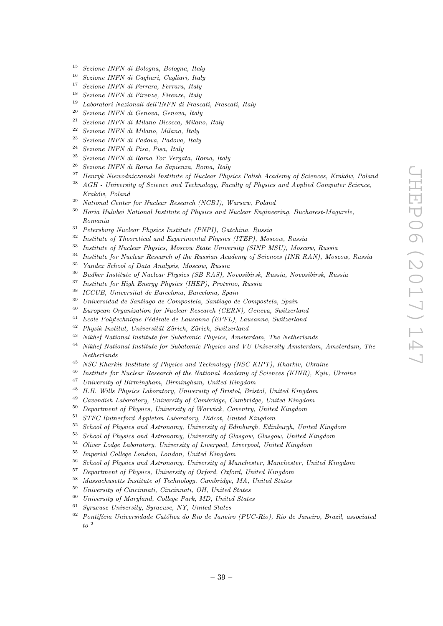- Sezione INFN di Bologna, Bologna, Italy
- Sezione INFN di Cagliari, Cagliari, Italy
- Sezione INFN di Ferrara, Ferrara, Italy
- <sup>18</sup> Sezione INFN di Firenze, Firenze, Italy<br><sup>19</sup> Lehantari Navionali dell'INFN di Frees
- Laboratori Nazionali dell'INFN di Frascati, Frascati, Italy
- <sup>20</sup> Sezione INFN di Genova, Genova, Italy<br><sup>21</sup> Seviene INFN di Milane Bissesse Milan
- <sup>21</sup> Sezione INFN di Milano Bicocca, Milano, Italy<br><sup>22</sup> Seriese INFN di Milano, Milano, Italy
- <sup>22</sup> Sezione INFN di Milano, Milano, Italy<br><sup>23</sup> Series UNFN di Pedang Pedang Italy
- Sezione INFN di Padova, Padova, Italy
- Sezione INFN di Pisa, Pisa, Italy
- <sup>25</sup> Sezione INFN di Roma Tor Vergata, Roma, Italy<br><sup>26</sup> Sezione INFN di Perre Le Seziones, Perre, Italy
- Sezione INFN di Roma La Sapienza, Roma, Italy
- <sup>27</sup> Henryk Niewodniczanski Institute of Nuclear Physics Polish Academy of Sciences, Kraków, Poland
- AGH University of Science and Technology, Faculty of Physics and Applied Computer Science, Kraków, Poland
- National Center for Nuclear Research (NCBJ), Warsaw, Poland
- <sup>30</sup> Horia Hulubei National Institute of Physics and Nuclear Engineering, Bucharest-Magurele, Romania
- Petersburg Nuclear Physics Institute (PNPI), Gatchina, Russia
- Institute of Theoretical and Experimental Physics (ITEP), Moscow, Russia
- Institute of Nuclear Physics, Moscow State University (SINP MSU), Moscow, Russia
- <sup>34</sup> Institute for Nuclear Research of the Russian Academy of Sciences (INR RAN), Moscow, Russia
- Yandex School of Data Analysis, Moscow, Russia
- <sup>36</sup> Budker Institute of Nuclear Physics (SB RAS), Novosibirsk, Russia, Novosibirsk, Russia<br><sup>37</sup> Institute for High Francy Physics (HIFP), Protying Puscia
- Institute for High Energy Physics (IHEP), Protvino, Russia
- ICCUB, Universitat de Barcelona, Barcelona, Spain
- Universidad de Santiago de Compostela, Santiago de Compostela, Spain
- European Organization for Nuclear Research (CERN), Geneva, Switzerland
- Ecole Polytechnique Fédérale de Lausanne (EPFL), Lausanne, Switzerland
- Physik-Institut, Universität Zürich, Zürich, Switzerland
- Nikhef National Institute for Subatomic Physics, Amsterdam, The Netherlands
- Nikhef National Institute for Subatomic Physics and VU University Amsterdam, Amsterdam, The Netherlands
- NSC Kharkiv Institute of Physics and Technology (NSC KIPT), Kharkiv, Ukraine
- Institute for Nuclear Research of the National Academy of Sciences (KINR), Kyiv, Ukraine
- University of Birmingham, Birmingham, United Kingdom
- H.H. Wills Physics Laboratory, University of Bristol, Bristol, United Kingdom
- Cavendish Laboratory, University of Cambridge, Cambridge, United Kingdom
- Department of Physics, University of Warwick, Coventry, United Kingdom
- STFC Rutherford Appleton Laboratory, Didcot, United Kingdom
- School of Physics and Astronomy, University of Edinburgh, Edinburgh, United Kingdom
- School of Physics and Astronomy, University of Glasgow, Glasgow, United Kingdom
- Oliver Lodge Laboratory, University of Liverpool, Liverpool, United Kingdom
- $^{55}$  Imperial College London, London, United Kingdom<br> $^{56}$  School of Physics and Astronomy, University of Me
- School of Physics and Astronomy, University of Manchester, Manchester, United Kingdom
- Department of Physics, University of Oxford, Oxford, United Kingdom
- Massachusetts Institute of Technology, Cambridge, MA, United States
- University of Cincinnati, Cincinnati, OH, United States
- University of Maryland, College Park, MD, United States
- Syracuse University, Syracuse, NY, United States
- Pontifícia Universidade Católica do Rio de Janeiro (PUC-Rio), Rio de Janeiro, Brazil, associated  $to$   $\frac{2}{3}$